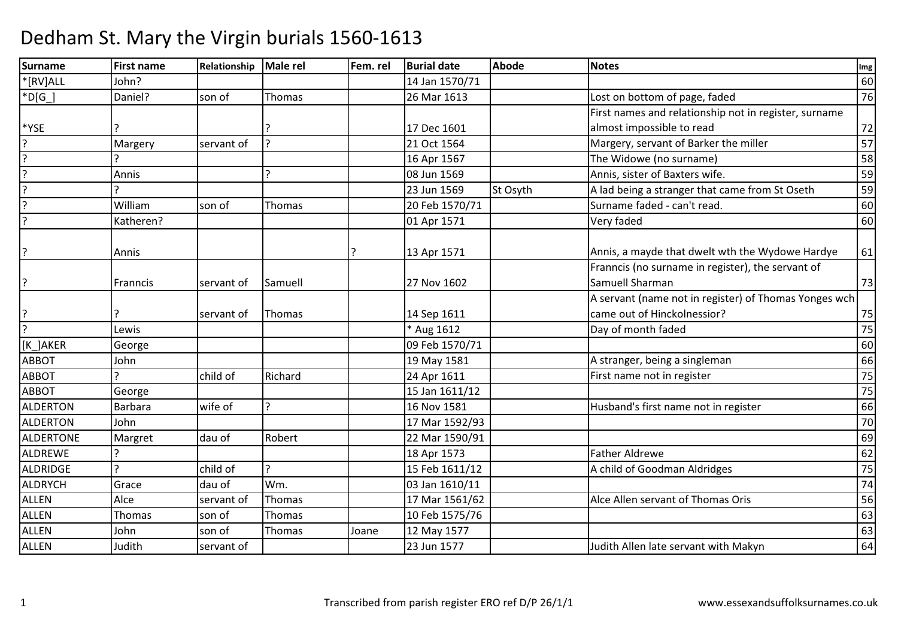| <b>Surname</b>   | <b>First name</b> | Relationship | Male rel       | Fem. rel | <b>Burial date</b> | <b>Abode</b> | <b>Notes</b>                                                         | Img             |
|------------------|-------------------|--------------|----------------|----------|--------------------|--------------|----------------------------------------------------------------------|-----------------|
| *[RV]ALL         | John?             |              |                |          | 14 Jan 1570/71     |              |                                                                      | 60              |
| $*D[G]$          | Daniel?           | son of       | Thomas         |          | 26 Mar 1613        |              | Lost on bottom of page, faded                                        | 76              |
|                  |                   |              |                |          |                    |              | First names and relationship not in register, surname                |                 |
| *YSE             |                   |              |                |          | 17 Dec 1601        |              | almost impossible to read                                            | 72              |
| $\overline{?}$   | Margery           | servant of   | $\overline{z}$ |          | 21 Oct 1564        |              | Margery, servant of Barker the miller                                | 57              |
| $\overline{?}$   |                   |              |                |          | 16 Apr 1567        |              | The Widowe (no surname)                                              | 58              |
|                  | Annis             |              |                |          | 08 Jun 1569        |              | Annis, sister of Baxters wife.                                       | 59              |
| $\overline{?}$   |                   |              |                |          | 23 Jun 1569        | St Osyth     | A lad being a stranger that came from St Oseth                       | 59              |
| ?                | William           | son of       | Thomas         |          | 20 Feb 1570/71     |              | Surname faded - can't read.                                          | 60              |
|                  | Katheren?         |              |                |          | 01 Apr 1571        |              | Very faded                                                           | 60              |
| ?                | Annis             |              |                |          | 13 Apr 1571        |              | Annis, a mayde that dwelt wth the Wydowe Hardye                      | 61              |
| ?                | Franncis          | servant of   | Samuell        |          | 27 Nov 1602        |              | Franncis (no surname in register), the servant of<br>Samuell Sharman | 73              |
|                  |                   |              |                |          |                    |              | A servant (name not in register) of Thomas Yonges wch                |                 |
| ?                |                   | servant of   | Thomas         |          | 14 Sep 1611        |              | came out of Hinckolnessior?                                          | 75              |
| $\overline{?}$   | Lewis             |              |                |          | * Aug 1612         |              | Day of month faded                                                   | $\overline{75}$ |
| [K_]AKER         | George            |              |                |          | 09 Feb 1570/71     |              |                                                                      | 60              |
| <b>ABBOT</b>     | John              |              |                |          | 19 May 1581        |              | A stranger, being a singleman                                        | 66              |
| <b>ABBOT</b>     |                   | child of     | Richard        |          | 24 Apr 1611        |              | First name not in register                                           | 75              |
| <b>ABBOT</b>     | George            |              |                |          | 15 Jan 1611/12     |              |                                                                      | 75              |
| <b>ALDERTON</b>  | <b>Barbara</b>    | wife of      | 2              |          | 16 Nov 1581        |              | Husband's first name not in register                                 | 66              |
| ALDERTON         | John              |              |                |          | 17 Mar 1592/93     |              |                                                                      | 70              |
| <b>ALDERTONE</b> | Margret           | dau of       | Robert         |          | 22 Mar 1590/91     |              |                                                                      | 69              |
| ALDREWE          |                   |              |                |          | 18 Apr 1573        |              | <b>Father Aldrewe</b>                                                | 62              |
| ALDRIDGE         | $\mathbf{D}$      | child of     | C              |          | 15 Feb 1611/12     |              | A child of Goodman Aldridges                                         | 75              |
| <b>ALDRYCH</b>   | Grace             | dau of       | Wm.            |          | 03 Jan 1610/11     |              |                                                                      | 74              |
| <b>ALLEN</b>     | Alce              | servant of   | Thomas         |          | 17 Mar 1561/62     |              | Alce Allen servant of Thomas Oris                                    | 56              |
| <b>ALLEN</b>     | Thomas            | son of       | Thomas         |          | 10 Feb 1575/76     |              |                                                                      | 63              |
| <b>ALLEN</b>     | John              | son of       | Thomas         | Joane    | 12 May 1577        |              |                                                                      | 63              |
| <b>ALLEN</b>     | Judith            | servant of   |                |          | 23 Jun 1577        |              | Judith Allen late servant with Makyn                                 | 64              |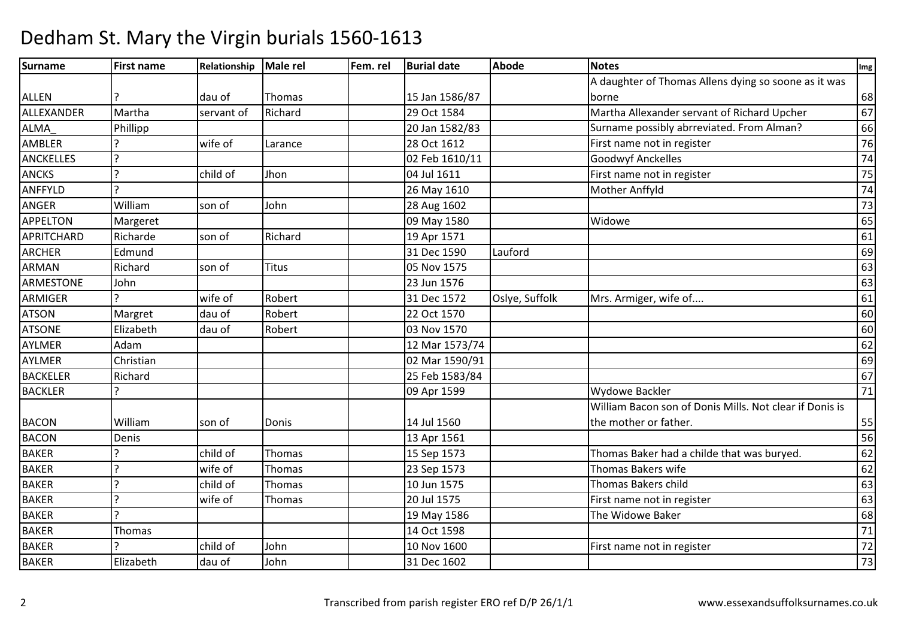| Surname           | <b>First name</b> | Relationship | Male rel     | Fem. rel | <b>Burial date</b> | <b>Abode</b>   | <b>Notes</b>                                            | Img             |
|-------------------|-------------------|--------------|--------------|----------|--------------------|----------------|---------------------------------------------------------|-----------------|
|                   |                   |              |              |          |                    |                | A daughter of Thomas Allens dying so soone as it was    |                 |
| <b>ALLEN</b>      |                   | dau of       | Thomas       |          | 15 Jan 1586/87     |                | borne                                                   | 68              |
| ALLEXANDER        | Martha            | servant of   | Richard      |          | 29 Oct 1584        |                | Martha Allexander servant of Richard Upcher             | 67              |
| ALMA_             | Phillipp          |              |              |          | 20 Jan 1582/83     |                | Surname possibly abrreviated. From Alman?               | 66              |
| <b>AMBLER</b>     |                   | wife of      | Larance      |          | 28 Oct 1612        |                | First name not in register                              | 76              |
| <b>ANCKELLES</b>  | $\overline{z}$    |              |              |          | 02 Feb 1610/11     |                | <b>Goodwyf Anckelles</b>                                | 74              |
| <b>ANCKS</b>      | $\overline{ }$    | child of     | Jhon         |          | 04 Jul 1611        |                | First name not in register                              | $\overline{75}$ |
| ANFFYLD           | $\overline{2}$    |              |              |          | 26 May 1610        |                | Mother Anffyld                                          | 74              |
| <b>ANGER</b>      | William           | son of       | John         |          | 28 Aug 1602        |                |                                                         | $\overline{73}$ |
| <b>APPELTON</b>   | Margeret          |              |              |          | 09 May 1580        |                | Widowe                                                  | 65              |
| <b>APRITCHARD</b> | Richarde          | son of       | Richard      |          | 19 Apr 1571        |                |                                                         | 61              |
| <b>ARCHER</b>     | Edmund            |              |              |          | 31 Dec 1590        | Lauford        |                                                         | 69              |
| <b>ARMAN</b>      | Richard           | son of       | <b>Titus</b> |          | 05 Nov 1575        |                |                                                         | 63              |
| <b>ARMESTONE</b>  | John              |              |              |          | 23 Jun 1576        |                |                                                         | 63              |
| ARMIGER           |                   | wife of      | Robert       |          | 31 Dec 1572        | Oslye, Suffolk | Mrs. Armiger, wife of                                   | 61              |
| <b>ATSON</b>      | Margret           | dau of       | Robert       |          | 22 Oct 1570        |                |                                                         | 60              |
| <b>ATSONE</b>     | Elizabeth         | dau of       | Robert       |          | 03 Nov 1570        |                |                                                         | 60              |
| AYLMER            | Adam              |              |              |          | 12 Mar 1573/74     |                |                                                         | 62              |
| <b>AYLMER</b>     | Christian         |              |              |          | 02 Mar 1590/91     |                |                                                         | 69              |
| <b>BACKELER</b>   | Richard           |              |              |          | 25 Feb 1583/84     |                |                                                         | 67              |
| <b>BACKLER</b>    |                   |              |              |          | 09 Apr 1599        |                | <b>Wydowe Backler</b>                                   | $\overline{71}$ |
|                   |                   |              |              |          |                    |                | William Bacon son of Donis Mills. Not clear if Donis is |                 |
| <b>BACON</b>      | William           | son of       | Donis        |          | 14 Jul 1560        |                | the mother or father.                                   | 55              |
| <b>BACON</b>      | Denis             |              |              |          | 13 Apr 1561        |                |                                                         | 56              |
| <b>BAKER</b>      |                   | child of     | Thomas       |          | 15 Sep 1573        |                | Thomas Baker had a childe that was buryed.              | 62              |
| <b>BAKER</b>      | $\mathbf{P}$      | wife of      | Thomas       |          | 23 Sep 1573        |                | Thomas Bakers wife                                      | 62              |
| <b>BAKER</b>      | 2                 | child of     | Thomas       |          | 10 Jun 1575        |                | Thomas Bakers child                                     | 63              |
| <b>BAKER</b>      | $\overline{z}$    | wife of      | Thomas       |          | 20 Jul 1575        |                | First name not in register                              | 63              |
| <b>BAKER</b>      | $\mathbf{D}$      |              |              |          | 19 May 1586        |                | The Widowe Baker                                        | 68              |
| <b>BAKER</b>      | Thomas            |              |              |          | 14 Oct 1598        |                |                                                         | 71              |
| <b>BAKER</b>      |                   | child of     | John         |          | 10 Nov 1600        |                | First name not in register                              | $\overline{72}$ |
| <b>BAKER</b>      | Elizabeth         | dau of       | John         |          | 31 Dec 1602        |                |                                                         | 73              |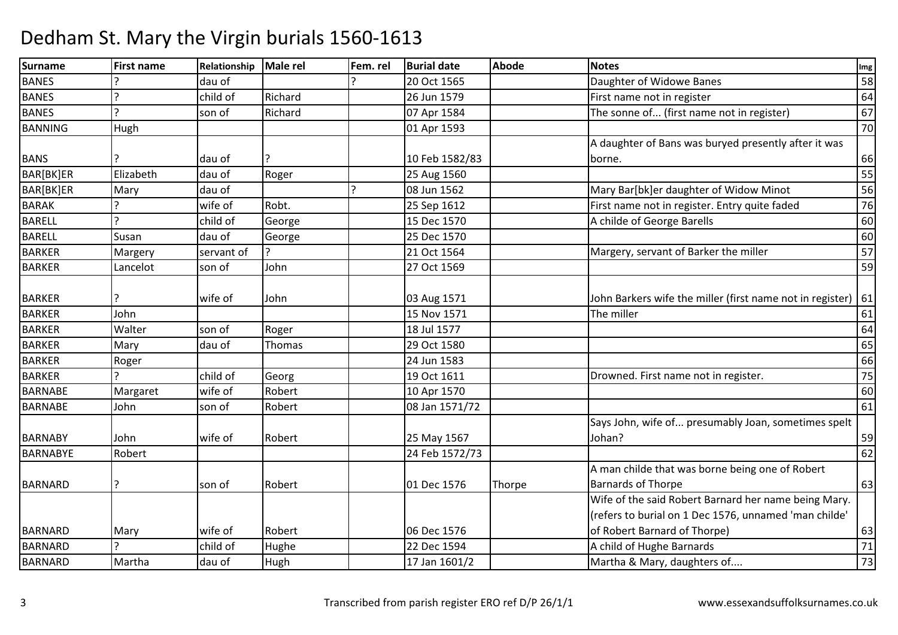| Surname         | <b>First name</b> | Relationship | Male rel | Fem. rel | <b>Burial date</b> | <b>Abode</b> | <b>Notes</b>                                              | Im <sub>g</sub> |
|-----------------|-------------------|--------------|----------|----------|--------------------|--------------|-----------------------------------------------------------|-----------------|
| <b>BANES</b>    |                   | dau of       |          |          | 20 Oct 1565        |              | Daughter of Widowe Banes                                  | 58              |
| <b>BANES</b>    | $\overline{a}$    | child of     | Richard  |          | 26 Jun 1579        |              | First name not in register                                | 64              |
| <b>BANES</b>    |                   | son of       | Richard  |          | 07 Apr 1584        |              | The sonne of (first name not in register)                 | 67              |
| <b>BANNING</b>  | Hugh              |              |          |          | 01 Apr 1593        |              |                                                           | 70              |
|                 |                   |              |          |          |                    |              | A daughter of Bans was buryed presently after it was      |                 |
| <b>BANS</b>     |                   | dau of       |          |          | 10 Feb 1582/83     |              | borne.                                                    | 66              |
| BAR[BK]ER       | Elizabeth         | dau of       | Roger    |          | 25 Aug 1560        |              |                                                           | 55              |
| BAR[BK]ER       | Mary              | dau of       |          |          | 08 Jun 1562        |              | Mary Bar[bk]er daughter of Widow Minot                    | 56              |
| <b>BARAK</b>    |                   | wife of      | Robt.    |          | 25 Sep 1612        |              | First name not in register. Entry quite faded             | 76              |
| BARELL          |                   | child of     | George   |          | 15 Dec 1570        |              | A childe of George Barells                                | 60              |
| <b>BARELL</b>   | Susan             | dau of       | George   |          | 25 Dec 1570        |              |                                                           | 60              |
| <b>BARKER</b>   | Margery           | servant of   |          |          | 21 Oct 1564        |              | Margery, servant of Barker the miller                     | 57              |
| <b>BARKER</b>   | Lancelot          | son of       | John     |          | 27 Oct 1569        |              |                                                           | 59              |
|                 |                   |              |          |          |                    |              |                                                           |                 |
| <b>BARKER</b>   |                   | wife of      | John     |          | 03 Aug 1571        |              | John Barkers wife the miller (first name not in register) | 61              |
| <b>BARKER</b>   | John              |              |          |          | 15 Nov 1571        |              | The miller                                                | 61              |
| <b>BARKER</b>   | Walter            | son of       | Roger    |          | 18 Jul 1577        |              |                                                           | 64              |
| <b>BARKER</b>   | Mary              | dau of       | Thomas   |          | 29 Oct 1580        |              |                                                           | 65              |
| <b>BARKER</b>   | Roger             |              |          |          | 24 Jun 1583        |              |                                                           | 66              |
| <b>BARKER</b>   |                   | child of     | Georg    |          | 19 Oct 1611        |              | Drowned. First name not in register.                      | 75              |
| <b>BARNABE</b>  | Margaret          | wife of      | Robert   |          | 10 Apr 1570        |              |                                                           | 60              |
| <b>BARNABE</b>  | John              | son of       | Robert   |          | 08 Jan 1571/72     |              |                                                           | 61              |
|                 |                   |              |          |          |                    |              | Says John, wife of presumably Joan, sometimes spelt       |                 |
| <b>BARNABY</b>  | John              | wife of      | Robert   |          | 25 May 1567        |              | Johan?                                                    | 59              |
| <b>BARNABYE</b> | Robert            |              |          |          | 24 Feb 1572/73     |              |                                                           | 62              |
|                 |                   |              |          |          |                    |              | A man childe that was borne being one of Robert           |                 |
| <b>BARNARD</b>  |                   | son of       | Robert   |          | 01 Dec 1576        | Thorpe       | <b>Barnards of Thorpe</b>                                 | 63              |
|                 |                   |              |          |          |                    |              | Wife of the said Robert Barnard her name being Mary.      |                 |
|                 |                   |              |          |          |                    |              | (refers to burial on 1 Dec 1576, unnamed 'man childe'     |                 |
| <b>BARNARD</b>  | Mary              | wife of      | Robert   |          | 06 Dec 1576        |              | of Robert Barnard of Thorpe)                              | 63              |
| <b>BARNARD</b>  |                   | child of     | Hughe    |          | 22 Dec 1594        |              | A child of Hughe Barnards                                 | 71              |
| <b>BARNARD</b>  | Martha            | dau of       | Hugh     |          | 17 Jan 1601/2      |              | Martha & Mary, daughters of                               | 73              |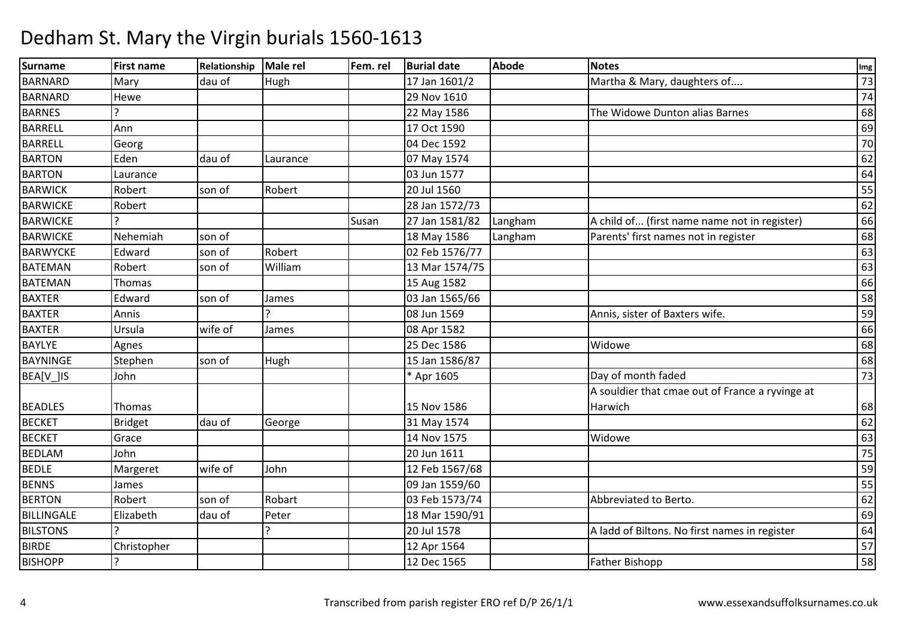| Surname         | <b>First name</b> | Relationship | <b>Male rel</b> | Fem. rel | <b>Burial date</b> | <b>Abode</b> | <b>Notes</b>                                    | Img             |
|-----------------|-------------------|--------------|-----------------|----------|--------------------|--------------|-------------------------------------------------|-----------------|
| <b>BARNARD</b>  | Mary              | dau of       | Hugh            |          | 17 Jan 1601/2      |              | Martha & Mary, daughters of                     | $\overline{73}$ |
| BARNARD         | Hewe              |              |                 |          | 29 Nov 1610        |              |                                                 | 74              |
| <b>BARNES</b>   |                   |              |                 |          | 22 May 1586        |              | The Widowe Dunton alias Barnes                  | 68              |
| <b>BARRELL</b>  | Ann               |              |                 |          | 17 Oct 1590        |              |                                                 | 69              |
| <b>BARRELL</b>  | Georg             |              |                 |          | 04 Dec 1592        |              |                                                 | 70              |
| <b>BARTON</b>   | Eden              | dau of       | Laurance        |          | 07 May 1574        |              |                                                 | 62              |
| <b>BARTON</b>   | Laurance          |              |                 |          | 03 Jun 1577        |              |                                                 | 64              |
| <b>BARWICK</b>  | Robert            | son of       | Robert          |          | 20 Jul 1560        |              |                                                 | 55              |
| <b>BARWICKE</b> | Robert            |              |                 |          | 28 Jan 1572/73     |              |                                                 | 62              |
| <b>BARWICKE</b> |                   |              |                 | Susan    | 27 Jan 1581/82     | Langham      | A child of (first name name not in register)    | 66              |
| <b>BARWICKE</b> | Nehemiah          | son of       |                 |          | 18 May 1586        | Langham      | Parents' first names not in register            | 68              |
| <b>BARWYCKE</b> | Edward            | son of       | Robert          |          | 02 Feb 1576/77     |              |                                                 | 63              |
| <b>BATEMAN</b>  | Robert            | son of       | William         |          | 13 Mar 1574/75     |              |                                                 | 63              |
| <b>BATEMAN</b>  | Thomas            |              |                 |          | 15 Aug 1582        |              |                                                 | 66              |
| <b>BAXTER</b>   | Edward            | son of       | James           |          | 03 Jan 1565/66     |              |                                                 | 58              |
| <b>BAXTER</b>   | Annis             |              |                 |          | 08 Jun 1569        |              | Annis, sister of Baxters wife.                  | 59              |
| <b>BAXTER</b>   | Ursula            | wife of      | James           |          | 08 Apr 1582        |              |                                                 | 66              |
| <b>BAYLYE</b>   | Agnes             |              |                 |          | 25 Dec 1586        |              | Widowe                                          | 68              |
| <b>BAYNINGE</b> | Stephen           | son of       | Hugh            |          | 15 Jan 1586/87     |              |                                                 | 68              |
| BEA[V_]IS       | John              |              |                 |          | * Apr 1605         |              | Day of month faded                              | $\overline{73}$ |
|                 |                   |              |                 |          |                    |              | A souldier that cmae out of France a ryvinge at |                 |
| <b>BEADLES</b>  | Thomas            |              |                 |          | 15 Nov 1586        |              | Harwich                                         | 68              |
| <b>BECKET</b>   | <b>Bridget</b>    | dau of       | George          |          | 31 May 1574        |              |                                                 | 62              |
| <b>BECKET</b>   | Grace             |              |                 |          | 14 Nov 1575        |              | Widowe                                          | 63              |
| <b>BEDLAM</b>   | John              |              |                 |          | 20 Jun 1611        |              |                                                 | 75              |
| <b>BEDLE</b>    | Margeret          | wife of      | John            |          | 12 Feb 1567/68     |              |                                                 | 59              |
| <b>BENNS</b>    | James             |              |                 |          | 09 Jan 1559/60     |              |                                                 | 55              |
| <b>BERTON</b>   | Robert            | son of       | Robart          |          | 03 Feb 1573/74     |              | Abbreviated to Berto.                           | 62              |
| BILLINGALE      | Elizabeth         | dau of       | Peter           |          | 18 Mar 1590/91     |              |                                                 | 69              |
| <b>BILSTONS</b> |                   |              |                 |          | 20 Jul 1578        |              | A ladd of Biltons. No first names in register   | 64              |
| <b>BIRDE</b>    | Christopher       |              |                 |          | 12 Apr 1564        |              |                                                 | 57              |
| <b>BISHOPP</b>  |                   |              |                 |          | 12 Dec 1565        |              | Father Bishopp                                  | 58              |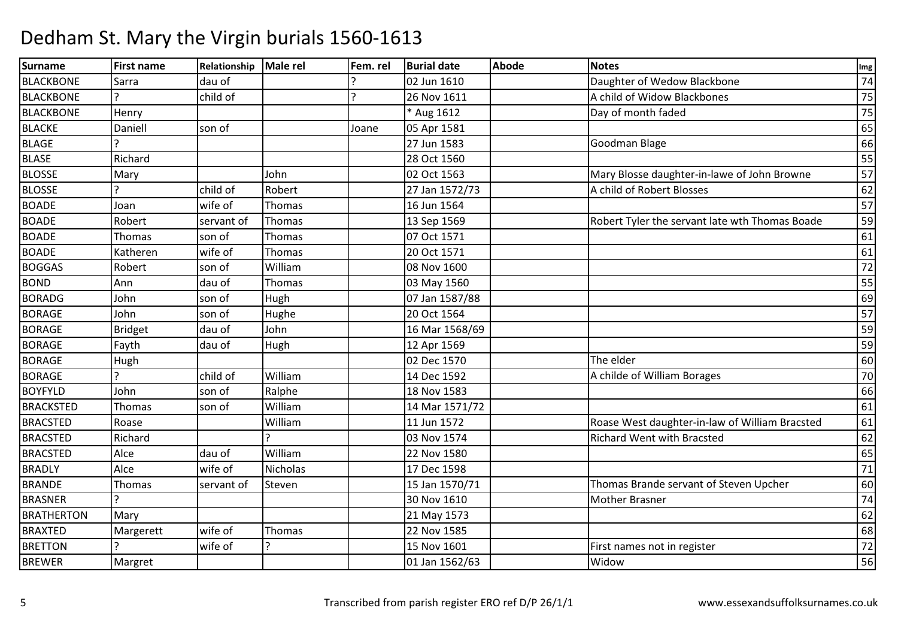| <b>Surname</b>    | <b>First name</b> | Relationship | Male rel | Fem. rel | <b>Burial date</b> | <b>Abode</b> | <b>Notes</b>                                   | Img             |
|-------------------|-------------------|--------------|----------|----------|--------------------|--------------|------------------------------------------------|-----------------|
| <b>BLACKBONE</b>  | Sarra             | dau of       |          |          | 02 Jun 1610        |              | Daughter of Wedow Blackbone                    | 74              |
| <b>BLACKBONE</b>  |                   | child of     |          |          | 26 Nov 1611        |              | A child of Widow Blackbones                    | 75              |
| <b>BLACKBONE</b>  | Henry             |              |          |          | * Aug 1612         |              | Day of month faded                             | 75              |
| <b>BLACKE</b>     | Daniell           | son of       |          | Joane    | 05 Apr 1581        |              |                                                | 65              |
| <b>BLAGE</b>      |                   |              |          |          | 27 Jun 1583        |              | Goodman Blage                                  | 66              |
| <b>BLASE</b>      | Richard           |              |          |          | 28 Oct 1560        |              |                                                | 55              |
| <b>BLOSSE</b>     | Mary              |              | John     |          | 02 Oct 1563        |              | Mary Blosse daughter-in-lawe of John Browne    | $\overline{57}$ |
| <b>BLOSSE</b>     |                   | child of     | Robert   |          | 27 Jan 1572/73     |              | A child of Robert Blosses                      | 62              |
| <b>BOADE</b>      | Joan              | wife of      | Thomas   |          | 16 Jun 1564        |              |                                                | $\overline{57}$ |
| <b>BOADE</b>      | Robert            | servant of   | Thomas   |          | 13 Sep 1569        |              | Robert Tyler the servant late wth Thomas Boade | 59              |
| <b>BOADE</b>      | Thomas            | son of       | Thomas   |          | 07 Oct 1571        |              |                                                | 61              |
| <b>BOADE</b>      | Katheren          | wife of      | Thomas   |          | 20 Oct 1571        |              |                                                | 61              |
| <b>BOGGAS</b>     | Robert            | son of       | William  |          | 08 Nov 1600        |              |                                                | $\overline{72}$ |
| <b>BOND</b>       | Ann               | dau of       | Thomas   |          | 03 May 1560        |              |                                                | 55              |
| <b>BORADG</b>     | John              | son of       | Hugh     |          | 07 Jan 1587/88     |              |                                                | 69              |
| <b>BORAGE</b>     | John              | son of       | Hughe    |          | 20 Oct 1564        |              |                                                | 57              |
| <b>BORAGE</b>     | Bridget           | dau of       | John     |          | 16 Mar 1568/69     |              |                                                | 59              |
| <b>BORAGE</b>     | Fayth             | dau of       | Hugh     |          | 12 Apr 1569        |              |                                                | 59              |
| <b>BORAGE</b>     | Hugh              |              |          |          | 02 Dec 1570        |              | The elder                                      | 60              |
| <b>BORAGE</b>     |                   | child of     | William  |          | 14 Dec 1592        |              | A childe of William Borages                    | 70              |
| <b>BOYFYLD</b>    | John              | son of       | Ralphe   |          | 18 Nov 1583        |              |                                                | 66              |
| <b>BRACKSTED</b>  | Thomas            | son of       | William  |          | 14 Mar 1571/72     |              |                                                | 61              |
| <b>BRACSTED</b>   | Roase             |              | William  |          | 11 Jun 1572        |              | Roase West daughter-in-law of William Bracsted | 61              |
| <b>BRACSTED</b>   | Richard           |              |          |          | 03 Nov 1574        |              | <b>Richard Went with Bracsted</b>              | 62              |
| <b>BRACSTED</b>   | Alce              | dau of       | William  |          | 22 Nov 1580        |              |                                                | 65              |
| <b>BRADLY</b>     | Alce              | wife of      | Nicholas |          | 17 Dec 1598        |              |                                                | 71              |
| <b>BRANDE</b>     | Thomas            | servant of   | Steven   |          | 15 Jan 1570/71     |              | Thomas Brande servant of Steven Upcher         | 60              |
| <b>BRASNER</b>    |                   |              |          |          | 30 Nov 1610        |              | <b>Mother Brasner</b>                          | 74              |
| <b>BRATHERTON</b> | Mary              |              |          |          | 21 May 1573        |              |                                                | 62              |
| <b>BRAXTED</b>    | Margerett         | wife of      | Thomas   |          | 22 Nov 1585        |              |                                                | 68              |
| <b>BRETTON</b>    |                   | wife of      |          |          | 15 Nov 1601        |              | First names not in register                    | 72              |
| <b>BREWER</b>     | Margret           |              |          |          | 01 Jan 1562/63     |              | Widow                                          | $\overline{56}$ |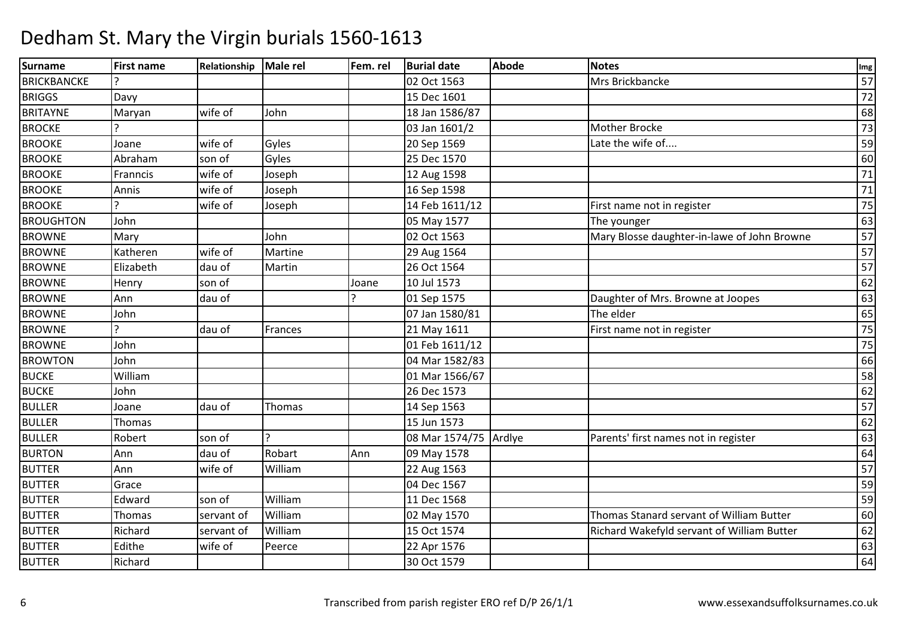| <b>Surname</b>     | <b>First name</b> | Relationship | Male rel | Fem. rel | <b>Burial date</b>    | <b>Abode</b> | <b>Notes</b>                                | Img             |
|--------------------|-------------------|--------------|----------|----------|-----------------------|--------------|---------------------------------------------|-----------------|
| <b>BRICKBANCKE</b> |                   |              |          |          | 02 Oct 1563           |              | Mrs Brickbancke                             | 57              |
| <b>BRIGGS</b>      | Davy              |              |          |          | 15 Dec 1601           |              |                                             | 72              |
| <b>BRITAYNE</b>    | Maryan            | wife of      | John     |          | 18 Jan 1586/87        |              |                                             | 68              |
| <b>BROCKE</b>      |                   |              |          |          | 03 Jan 1601/2         |              | Mother Brocke                               | 73              |
| <b>BROOKE</b>      | Joane             | wife of      | Gyles    |          | 20 Sep 1569           |              | Late the wife of                            | 59              |
| <b>BROOKE</b>      | Abraham           | son of       | Gyles    |          | 25 Dec 1570           |              |                                             | 60              |
| <b>BROOKE</b>      | Franncis          | wife of      | Joseph   |          | 12 Aug 1598           |              |                                             | 71              |
| <b>BROOKE</b>      | Annis             | wife of      | Joseph   |          | 16 Sep 1598           |              |                                             | 71              |
| <b>BROOKE</b>      |                   | wife of      | Joseph   |          | 14 Feb 1611/12        |              | First name not in register                  | $\overline{75}$ |
| <b>BROUGHTON</b>   | John              |              |          |          | 05 May 1577           |              | The younger                                 | 63              |
| <b>BROWNE</b>      | Mary              |              | John     |          | 02 Oct 1563           |              | Mary Blosse daughter-in-lawe of John Browne | 57              |
| <b>BROWNE</b>      | Katheren          | wife of      | Martine  |          | 29 Aug 1564           |              |                                             | 57              |
| <b>BROWNE</b>      | Elizabeth         | dau of       | Martin   |          | 26 Oct 1564           |              |                                             | 57              |
| <b>BROWNE</b>      | Henry             | son of       |          | Joane    | 10 Jul 1573           |              |                                             | 62              |
| <b>BROWNE</b>      | Ann               | dau of       |          |          | 01 Sep 1575           |              | Daughter of Mrs. Browne at Joopes           | 63              |
| <b>BROWNE</b>      | John              |              |          |          | 07 Jan 1580/81        |              | The elder                                   | 65              |
| <b>BROWNE</b>      |                   | dau of       | Frances  |          | 21 May 1611           |              | First name not in register                  | $\overline{75}$ |
| <b>BROWNE</b>      | John              |              |          |          | 01 Feb 1611/12        |              |                                             | 75              |
| <b>BROWTON</b>     | John              |              |          |          | 04 Mar 1582/83        |              |                                             | 66              |
| <b>BUCKE</b>       | William           |              |          |          | 01 Mar 1566/67        |              |                                             | 58              |
| <b>BUCKE</b>       | John              |              |          |          | 26 Dec 1573           |              |                                             | 62              |
| <b>BULLER</b>      | Joane             | dau of       | Thomas   |          | 14 Sep 1563           |              |                                             | 57              |
| <b>BULLER</b>      | Thomas            |              |          |          | 15 Jun 1573           |              |                                             | 62              |
| <b>BULLER</b>      | Robert            | son of       |          |          | 08 Mar 1574/75 Ardlye |              | Parents' first names not in register        | 63              |
| <b>BURTON</b>      | Ann               | dau of       | Robart   | Ann      | 09 May 1578           |              |                                             | 64              |
| <b>BUTTER</b>      | Ann               | wife of      | William  |          | 22 Aug 1563           |              |                                             | 57              |
| <b>BUTTER</b>      | Grace             |              |          |          | 04 Dec 1567           |              |                                             | 59              |
| <b>BUTTER</b>      | Edward            | son of       | William  |          | 11 Dec 1568           |              |                                             | 59              |
| <b>BUTTER</b>      | Thomas            | servant of   | William  |          | 02 May 1570           |              | Thomas Stanard servant of William Butter    | 60              |
| <b>BUTTER</b>      | Richard           | servant of   | William  |          | 15 Oct 1574           |              | Richard Wakefyld servant of William Butter  | 62              |
| <b>BUTTER</b>      | Edithe            | wife of      | Peerce   |          | 22 Apr 1576           |              |                                             | 63              |
| <b>BUTTER</b>      | Richard           |              |          |          | 30 Oct 1579           |              |                                             | 64              |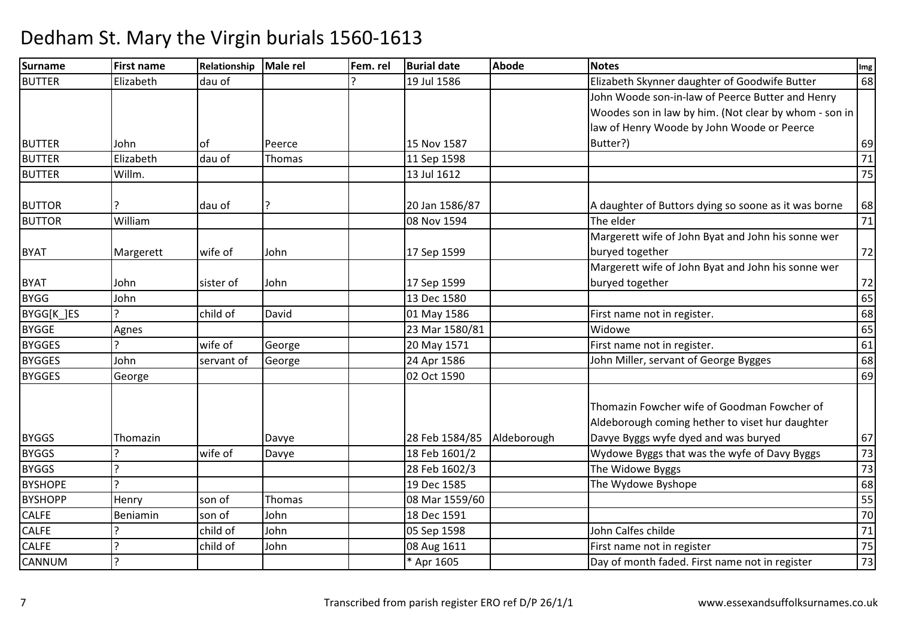#### Surnamee First name Relationship Male rel Fem. rel Burial date Abode Notes International Communication of the Abode BUTTERElizabeth dau of 1 and 19 Jul 1586 and Elizabeth Skynner daughter of Goodwife Butter 68 BUTTER Lohn of Peerce 1 15 Nov 1587 11 Sep 1598 John Woode son-in-law of Peerce Butter and Henry Woodes son in law by him. (Not clear by whom - son in law of Henry Woode by John Woode or Peerce Butter?) <sup>69</sup>71 BUTTERR Elizabeth dau of Thomas 11 Sep 1598 71 71 71 Sep 1598 71 71 BUTTERR Willm. 13 Jul 1612 2000 12:00 13 Jul 1612 2000 12:00 13:00 175 BUTTOR 20 | ? 20 Jan 1586/87 A daughter of Buttors dying so soone as it was borne 68<br>The elder 71 BUTTOR William 08 Nov 1594 The elder <sup>71</sup> BYAT Margerett wife of John 17 Sep 1599 Margerett wife of John Byat and John his sonne wer buryed togetherr 172 BYAT John sister of John 17 Sep 159913 Dec 1580 Margerett wife of John Byat and John his sonne wer buryed togetherr 172  $65$ BYGG John 13 Dec 1580 <sup>65</sup> BYGG[K\_]ES ? child of David01 May 1586 First name not in register.<br>23 Mar 1580/81 Widowe 65 BYGGEAgnes<br>
23 Mar 1580/81<br>
20 May 1571 1 Widowe 65 **BYGGES** S ? George 20 May 1571First name not in register.<br>John Miller, servant of George Bygges 68 BYGGES Johnservant of George 24 Apr 1586 John Miller, servant of George Bygges 68<br>02 Oct 1590 BYGGES George 02 Oct 1590 $\overline{0}$  69 BYGGS Thomazin | Davye 28 Feb 1584/85 Aldeborough Thomazin Fowcher wife of Goodman Fowcher of Aldeborough coming hether to viset hur daughter Davye Byggs wyfe dyed and was buryedd 67 73 BYGGS ?wife of Davye 18 Feb 1601/2Wydowe Byggs that was the wyfe of Davy Byggs<br>The Widowe Byggs 73 **BYGGS** s ? 28 Feb 1602/3The Widowe Byggs<br>
The Wydowe Byshope<br>
68 BYSHOPE ? 19 Dec 1585 The Wydowe Byshope <sup>68</sup> BYSHOPPP Henry son of Thomas 08 Mar 1559/60 18 Mar 1559/60 555 CALFE Beniamin son of John 18 Dec 1591 <sup>70</sup> CALFE ? child of John 05 Sep 1598 John Calfes childe <sup>71</sup> CALFE ? child of JohnJohn 1988 Aug 1611 1998 Bay of month faded. First name not in register 1988 August 25 First name not in register 1988 First name not in register 1988 CANNUM? The Contract of the Lagrange of the Lagrange of the Lagrange of the Lagrange of the Lagrange of the Planck of the Lagrange of the Lagrange of the Lagrange of the Lagrange of the Lagrange of the Lagrange of the Lagrange o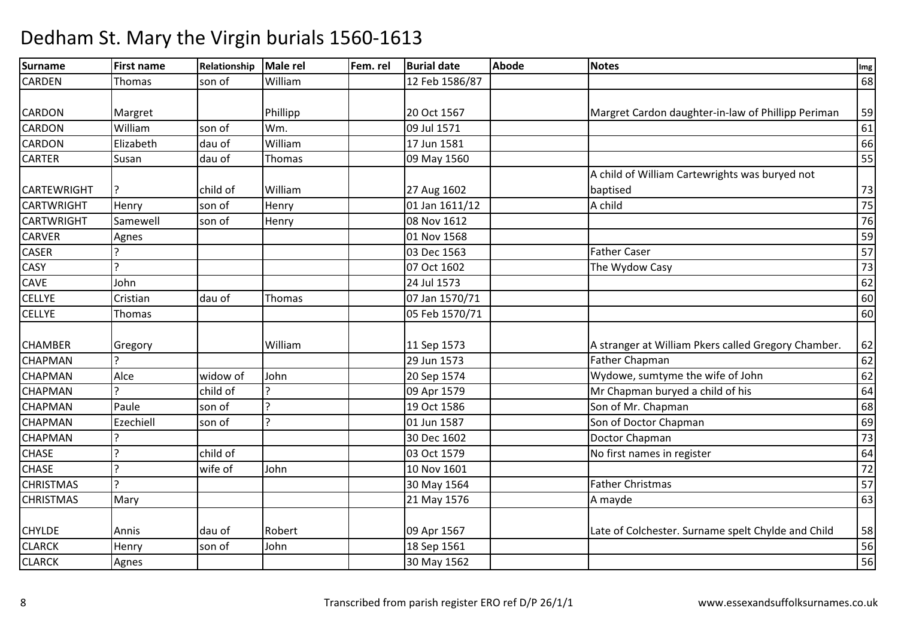#### Surnamee First name Relationship Male rel Fem. rel Burial date Abode Notes International Communication of the Abode CARDENN Thomas son of William 12 Feb 1586/87 <sup>68</sup> CARDON Margret | Phillipp | 20 Oct 1567 20 Oct 1567 Margret Cardon daughter-in-law of Phillipp Periman 59<br>09 Jul 1571 61 **CARDON** William<br>Flizabeth m son of Wm. 09 Jul 1571 61 00 Jul 1571 61 61 **CARDON** N Elizabeth dau of William 17 Jun 1581 <sup>66</sup> CARTERR Susan dau of Thomas 1999 May 1560 555 Susan dan dan dan 155 CARTEWRIGHT ? child of William 27 Aug 1602T Henry son of Henry 101 Jan 1611/12 A child of William Cartewrights was buryed not baptisedd 73  $75$ CARTWRIGHT2 A child 75 **CARTWRIGHT** T Samewell son of Henry 1980 Nov 1612 2 | 76 CARVERR Agnes 159 CASERR 03 Dec 1563 Father Caser 57 **CASY**  ? 07 Oct 160207 Oct 1602 The Wydow Casy 73<br>24 Jul 1573 62 **CAVE**  Johnn 1988 - 1989 - 1999 - 1999 - 1999 - 1999 - 1999 - 1999 - 1999 - 1999 - 1999 - 1999 - 1999 - 1999 - 1999 - 199<br>Die 1999 - 1999 - 1999 - 1999 - 1999 - 1999 - 1999 - 1999 - 1999 - 1999 - 1999 - 1999 - 1999 - 1999 - 1999 - 1 CELLYECristian<br>Thomas dau of Thomas 07 Jan 1570/71 <sup>60</sup> **CELLYE** 05 Feb 1570/71  $\frac{1}{1}$  60 CHAMBER Gregory | William | 11 Sep 1573 11 Sep 1573 A stranger at William Pkers called Gregory Chamber. 62<br>29 Jun 1573 Father Chapman 62 **CHAPMAN** R Pather Chapman Reserve that the Chapman Contract of the Chapman Contract of the Chapman Contract of the Chapman Contract of the Chapman Contract of the Chapman Contract of the Chapman Contract of the Chapman Contract of **CHAPMAN** Alce widow of John 20 Sep 1574 Wydowe, sumtyme the wife of John 62<br>
20 Sep 1574 Wydowe, sumtyme the wife of John 62<br>
20 Apr 1579 Mr Chapman buryed a child of his **CHAPMAN** Paule et al. 2 child of a child of a child of the same of the chapman buryed a child of his chapman buryed a child of his chapman survey of the same of the same of the same of the same of the same of the same of the same o **CHAPMAN** N Paule son of ? 19 Oct 1586 Son of Mr. Chapman 68 **CHAPMAN** N Ezechiell son of ? 01 Jun 1587 Son of Doctor Chapman 69 **CHAPMAN** er and the set of the set of the set of the set of the set of the set of the set of the set of the set of the set of the set of the set of the set of the set of the set of the set of the set of the set of the set of the se **CHASE**  ? child of 03 Oct 157903 Oct 1579 No first names in register 64<br>10 Nov 1601 72 **CHASE**  ? wife of Johnn 10 Nov 1601 20 Nov 1601 20 Nov 1601 20 Nov 1601 20 Nov 1601 20 Nov 1601 20 Nov 1601 20 Nov 1601 20 Nov 1601 2<br>20 Nov 1602 20 Nov 1602 20 Nov 1602 20 Nov 1603 20 Nov 1604 20 Nov 160 Nov 160 Nov 160 Nov 160 Nov 160 Nov 160 CHRISTMAS ? 30 May 1564Father Christmas 57<br>A mayde 63 **CHRISTMAS**  Mary 21 May 15766 Amayde 6 Amayde 63 CHYLDE | Annis | dau of | Robert | | | 09 Apr 1567 09 Apr 1567 Late of Colchester. Surname spelt Chylde and Child 58<br>18 Sep 1561 56 CLARCKK Henry Son of John 18 Sep 1561 New York 19 Sep 1561 S6 CLARCKK | Agnes | No. 2010 | Somali | 30 May 1562 | No. 2010 | Somali | Somali | Somali | So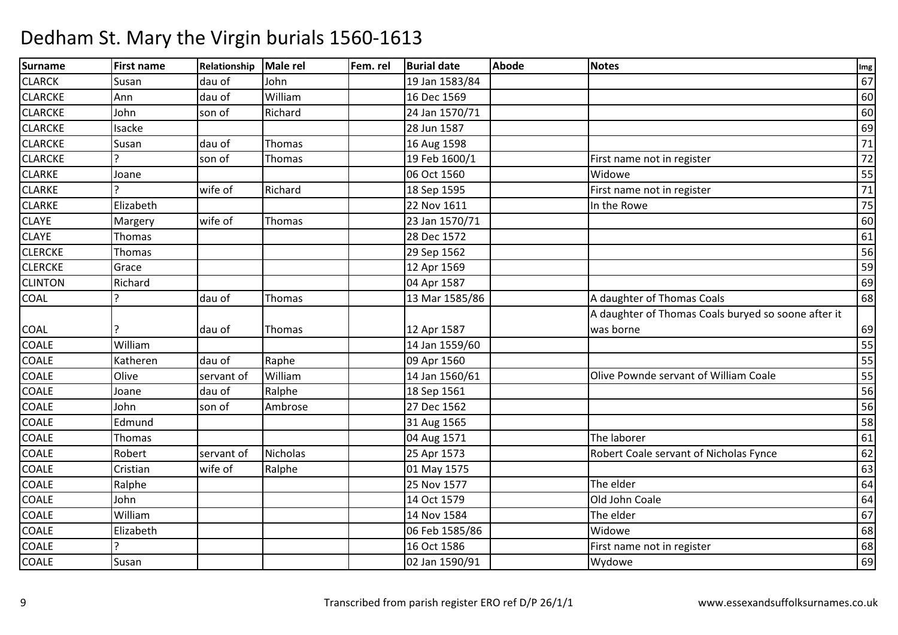| Surname        | <b>First name</b> | Relationship | Male rel        | Fem. rel | <b>Burial date</b> | <b>Abode</b> | <b>Notes</b>                                        | Img             |
|----------------|-------------------|--------------|-----------------|----------|--------------------|--------------|-----------------------------------------------------|-----------------|
| <b>CLARCK</b>  | Susan             | dau of       | John            |          | 19 Jan 1583/84     |              |                                                     | 67              |
| <b>CLARCKE</b> | Ann               | dau of       | William         |          | 16 Dec 1569        |              |                                                     | 60              |
| <b>CLARCKE</b> | John              | son of       | Richard         |          | 24 Jan 1570/71     |              |                                                     | 60              |
| <b>CLARCKE</b> | Isacke            |              |                 |          | 28 Jun 1587        |              |                                                     | 69              |
| <b>CLARCKE</b> | Susan             | dau of       | Thomas          |          | 16 Aug 1598        |              |                                                     | $71\,$          |
| <b>CLARCKE</b> |                   | son of       | Thomas          |          | 19 Feb 1600/1      |              | First name not in register                          | 72              |
| <b>CLARKE</b>  | Joane             |              |                 |          | 06 Oct 1560        |              | Widowe                                              | 55              |
| <b>CLARKE</b>  |                   | wife of      | Richard         |          | 18 Sep 1595        |              | First name not in register                          | $\overline{71}$ |
| <b>CLARKE</b>  | Elizabeth         |              |                 |          | 22 Nov 1611        |              | In the Rowe                                         | 75              |
| <b>CLAYE</b>   | Margery           | wife of      | Thomas          |          | 23 Jan 1570/71     |              |                                                     | 60              |
| <b>CLAYE</b>   | Thomas            |              |                 |          | 28 Dec 1572        |              |                                                     | 61              |
| <b>CLERCKE</b> | Thomas            |              |                 |          | 29 Sep 1562        |              |                                                     | 56              |
| <b>CLERCKE</b> | Grace             |              |                 |          | 12 Apr 1569        |              |                                                     | 59              |
| <b>CLINTON</b> | Richard           |              |                 |          | 04 Apr 1587        |              |                                                     | 69              |
| <b>COAL</b>    |                   | dau of       | Thomas          |          | 13 Mar 1585/86     |              | A daughter of Thomas Coals                          | 68              |
|                |                   |              |                 |          |                    |              | A daughter of Thomas Coals buryed so soone after it |                 |
| COAL           |                   | dau of       | Thomas          |          | 12 Apr 1587        |              | was borne                                           | 69              |
| COALE          | William           |              |                 |          | 14 Jan 1559/60     |              |                                                     | 55              |
| <b>COALE</b>   | Katheren          | dau of       | Raphe           |          | 09 Apr 1560        |              |                                                     | 55              |
| <b>COALE</b>   | Olive             | servant of   | William         |          | 14 Jan 1560/61     |              | Olive Pownde servant of William Coale               | 55              |
| <b>COALE</b>   | Joane             | dau of       | Ralphe          |          | 18 Sep 1561        |              |                                                     | 56              |
| <b>COALE</b>   | John              | son of       | Ambrose         |          | 27 Dec 1562        |              |                                                     | 56              |
| <b>COALE</b>   | Edmund            |              |                 |          | 31 Aug 1565        |              |                                                     | 58              |
| <b>COALE</b>   | Thomas            |              |                 |          | 04 Aug 1571        |              | The laborer                                         | 61              |
| <b>COALE</b>   | Robert            | servant of   | <b>Nicholas</b> |          | 25 Apr 1573        |              | Robert Coale servant of Nicholas Fynce              | 62              |
| <b>COALE</b>   | Cristian          | wife of      | Ralphe          |          | 01 May 1575        |              |                                                     | 63              |
| <b>COALE</b>   | Ralphe            |              |                 |          | 25 Nov 1577        |              | The elder                                           | 64              |
| <b>COALE</b>   | John              |              |                 |          | 14 Oct 1579        |              | Old John Coale                                      | 64              |
| <b>COALE</b>   | William           |              |                 |          | 14 Nov 1584        |              | The elder                                           | 67              |
| COALE          | Elizabeth         |              |                 |          | 06 Feb 1585/86     |              | Widowe                                              | 68              |
| <b>COALE</b>   |                   |              |                 |          | 16 Oct 1586        |              | First name not in register                          | 68              |
| <b>COALE</b>   | Susan             |              |                 |          | 02 Jan 1590/91     |              | Wydowe                                              | 69              |
|                |                   |              |                 |          |                    |              |                                                     |                 |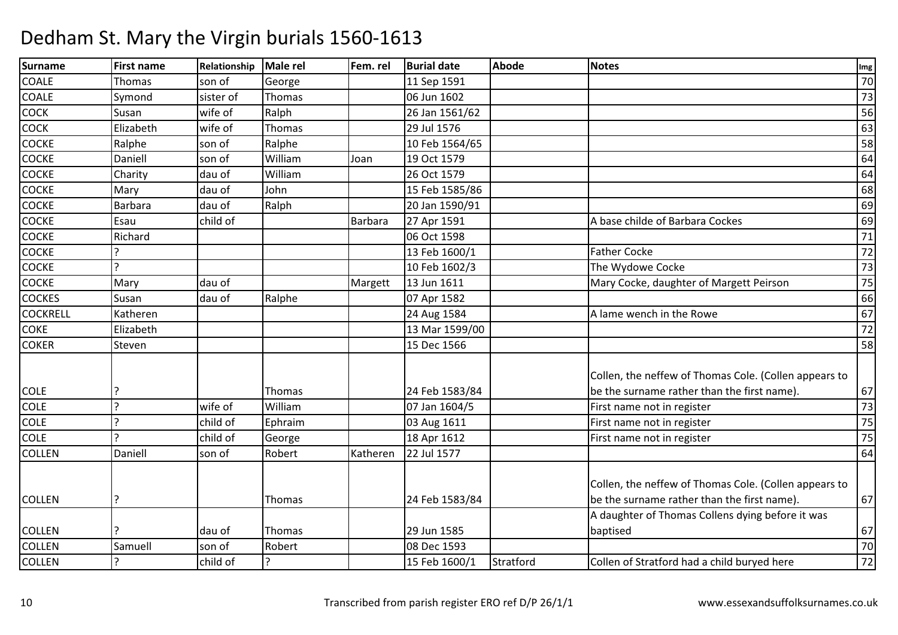#### Surnamee First name Relationship Male rel Fem. rel Burial date Abode Notes International Communication of the Abode COALEThomas Son of George<br>Symond sister of Thomas 11 Sep 1591<br>06 Jun 1602 <sup>70</sup> COALE Symond sister of Thomas 06 Jun 1602 <sup>73</sup> COCKK Susan Wife of Ralph 26 Jan 1561/62 20 Jan 2010 126 Jan 2010 126 Jan 2010 126 Jan 2010 126 Jan 2010 126 Jan 20 COCKK Elizabeth wife of Thomas 29 Jul 1576 29 Jul 1576 63 **COCKE**  Ralpheson of Ralphe 10 Feb 1564/65 5 | 58 **COCKE** E Daniell son of William m Joan 19 Oct 1579 (64 April 19 Oct 1579 – 64 April 19 Oct 1579 – 64 April 19 Oct 1579 – 64 April 19 Oct 1579 <br>April 19 Oct 1578 – 64 April 19 Oct 1579 – 64 April 19 Oct 1579 – 64 April 19 Oct 1579 – 64 April 19 Oct 1579 **COCKE** E Charity dau of William m 26 Oct 1579  $\frac{1}{26}$  oct 1579  $\frac{1}{26}$   $\frac{26}{26}$   $\frac{1}{26}$   $\frac{26}{26}$   $\frac{1}{26}$   $\frac{26}{26}$   $\frac{1}{26}$   $\frac{26}{26}$   $\frac{1}{26}$   $\frac{26}{26}$   $\frac{1}{26}$   $\frac{26}{26}$   $\frac{1}{26}$   $\frac{26}{26}$   $\frac{1}{26}$   $\frac{26}{26}$   $\frac$ **COCKE** E Mary dau of John 15 Feb 1585/86 <sup>68</sup> **COCKE**  Barbara dau of Ralphh |20 Jan 1590/91 |69 **COCKE**  Esauchild of Barbara 27 Apr 1591 A base childe of Barbara Cockes 69<br>06 Oct 1598 71 **COCKE**  Richard 06 Oct 1598 <sup>71</sup> **COCKE**  ? 13 Feb 1600/11 | Father Cocke | 72 **COCKE** P<br>
10 Feb 1602/3<br>
Mary dau of Margett 13 Jun 1611 The Wydowe Cocke<br>Mary Cocke, daughter of Margett Peirson 75 COCKEE Mary dau of Margett 13 Jun 1611 13 Jun 1611 Mary Cocke, daughter of Margett Peirson 75<br>07 Apr 1582 66 **COCKES**  Susann dau of Ralphe 107 Apr 1582 de de la constant de la G66 de la constant de la G66 de la constant de la G66 de l **COCKRELL**  Katheren 24 Aug 1584 A lame wench in the Rowe <sup>67</sup> COKE Elizabeth 13 Mar 1599/00 <sup>72</sup> **COKER** R Steven 15 Dec 1566 588 Steven 15 Dec 15 Dec 1566 588 Steven 15 Dec 1566 588 Steven 15 Dec 15 Dec 1566 588 St COLE ? Thomas 24 Feb 1583/84Collen, the neffew of Thomas Cole. (Collen appears to be the surname rather than the first name). 6773 COLEE 1991 - Property is the United States of William Research States States States States States States States States States States States States States States States States States States States States States States States St Villiam 107 Jan 1604/5 First name not in register 173<br>
Ephraim 03 Aug 1611 First name not in register 75 COLEE 1. 2. 2. Phild of Ephraim Ephraim 1983 Aug 1611 First name not in register 1985 and The Ref 1612 First name not in register 175 COLE ? child of George 18 Apr 1612First name not in register 75<br>64 COLLENN Daniell son of Robert Katheren 22 Jul 1577 and the Contract of the State of the State of the State of the State of the State of the State of the State of the State of the State of the State of the State of the State of t COLLEN ? Thomas 24 Feb 1583/84Collen, the neffew of Thomas Cole. (Collen appears to be the surname rather than the first name). 67COLLEN ? dau of Thomas 29 Jun 158508 Dec 1593 A daughter of Thomas Collens dying before it was baptisedd 67  $\overline{70}$ COLLENN Samuell son of Robert 108 Dec 1593 70 COLLEN? child of ? 15 Feb 1600/1 Stratford Collen of Stratford had a child buryed here <sup>72</sup>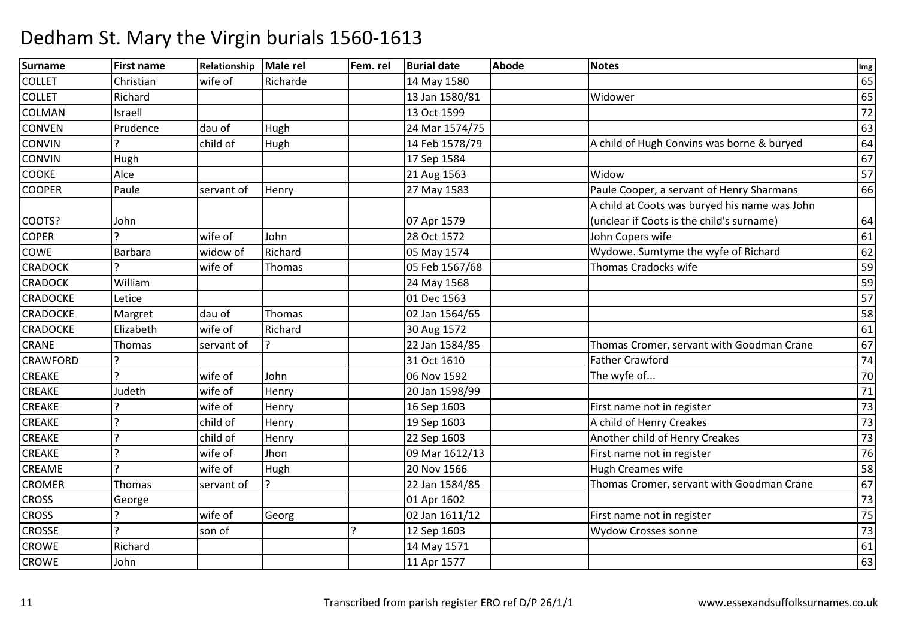| Surname         | <b>First name</b> | Relationship | Male rel | Fem. rel | <b>Burial date</b> | <b>Abode</b> | <b>Notes</b>                                  | Img    |
|-----------------|-------------------|--------------|----------|----------|--------------------|--------------|-----------------------------------------------|--------|
| <b>COLLET</b>   | Christian         | wife of      | Richarde |          | 14 May 1580        |              |                                               | 65     |
| <b>COLLET</b>   | Richard           |              |          |          | 13 Jan 1580/81     |              | Widower                                       | 65     |
| <b>COLMAN</b>   | Israell           |              |          |          | 13 Oct 1599        |              |                                               | 72     |
| <b>CONVEN</b>   | Prudence          | dau of       | Hugh     |          | 24 Mar 1574/75     |              |                                               | 63     |
| <b>CONVIN</b>   |                   | child of     | Hugh     |          | 14 Feb 1578/79     |              | A child of Hugh Convins was borne & buryed    | 64     |
| <b>CONVIN</b>   | Hugh              |              |          |          | 17 Sep 1584        |              |                                               | 67     |
| <b>COOKE</b>    | Alce              |              |          |          | 21 Aug 1563        |              | Widow                                         | 57     |
| <b>COOPER</b>   | Paule             | servant of   | Henry    |          | 27 May 1583        |              | Paule Cooper, a servant of Henry Sharmans     | 66     |
|                 |                   |              |          |          |                    |              | A child at Coots was buryed his name was John |        |
| COOTS?          | John              |              |          |          | 07 Apr 1579        |              | (unclear if Coots is the child's surname)     | 64     |
| <b>COPER</b>    |                   | wife of      | John     |          | 28 Oct 1572        |              | John Copers wife                              | 61     |
| COWE            | Barbara           | widow of     | Richard  |          | 05 May 1574        |              | Wydowe. Sumtyme the wyfe of Richard           | 62     |
| <b>CRADOCK</b>  |                   | wife of      | Thomas   |          | 05 Feb 1567/68     |              | Thomas Cradocks wife                          | 59     |
| <b>CRADOCK</b>  | William           |              |          |          | 24 May 1568        |              |                                               | 59     |
| <b>CRADOCKE</b> | Letice            |              |          |          | 01 Dec 1563        |              |                                               | 57     |
| <b>CRADOCKE</b> | Margret           | dau of       | Thomas   |          | 02 Jan 1564/65     |              |                                               | 58     |
| <b>CRADOCKE</b> | Elizabeth         | wife of      | Richard  |          | 30 Aug 1572        |              |                                               | 61     |
| <b>CRANE</b>    | Thomas            | servant of   |          |          | 22 Jan 1584/85     |              | Thomas Cromer, servant with Goodman Crane     | 67     |
| <b>CRAWFORD</b> |                   |              |          |          | 31 Oct 1610        |              | <b>Father Crawford</b>                        | 74     |
| <b>CREAKE</b>   | $\mathcal{L}$     | wife of      | John     |          | 06 Nov 1592        |              | The wyfe of                                   | 70     |
| <b>CREAKE</b>   | Judeth            | wife of      | Henry    |          | 20 Jan 1598/99     |              |                                               | $71\,$ |
| <b>CREAKE</b>   | $\mathbf{C}$      | wife of      | Henry    |          | 16 Sep 1603        |              | First name not in register                    | 73     |
| <b>CREAKE</b>   | $\mathcal{P}$     | child of     | Henry    |          | 19 Sep 1603        |              | A child of Henry Creakes                      | 73     |
| <b>CREAKE</b>   | $\overline{a}$    | child of     | Henry    |          | 22 Sep 1603        |              | Another child of Henry Creakes                | 73     |
| <b>CREAKE</b>   | $\mathcal{L}$     | wife of      | Jhon     |          | 09 Mar 1612/13     |              | First name not in register                    | 76     |
| <b>CREAME</b>   | $\mathbf{C}$      | wife of      | Hugh     |          | 20 Nov 1566        |              | Hugh Creames wife                             | 58     |
| <b>CROMER</b>   | Thomas            | servant of   |          |          | 22 Jan 1584/85     |              | Thomas Cromer, servant with Goodman Crane     | 67     |
| <b>CROSS</b>    | George            |              |          |          | 01 Apr 1602        |              |                                               | 73     |
| <b>CROSS</b>    | C                 | wife of      | Georg    |          | 02 Jan 1611/12     |              | First name not in register                    | 75     |
| <b>CROSSE</b>   | $\mathbf{C}$      | son of       |          |          | 12 Sep 1603        |              | <b>Wydow Crosses sonne</b>                    | 73     |
| <b>CROWE</b>    | Richard           |              |          |          | 14 May 1571        |              |                                               | 61     |
| <b>CROWE</b>    | John              |              |          |          | 11 Apr 1577        |              |                                               | 63     |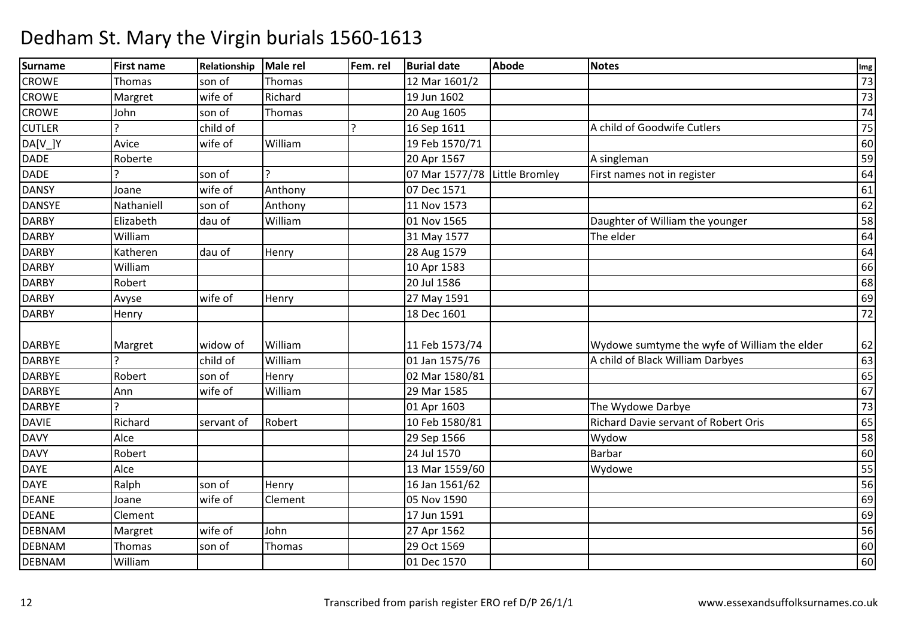#### Surnamee First name Relationship Male rel Fem. rel Burial date Abode Notes International Communication of the Abode **CROWE** Thomas Son of Thomas 12 Mar 1601/2<br>
Margret wife of Richard 19 Jun 1602 2 | 73 **CROWE** Margret 19 Jun 1602 <sup>73</sup> **CROWE**  John son of Thomas 20 Aug 1605 <sup>74</sup> CUTLERR |child of |? |16 Sep 1611 |A child of Goodwife Cutlers | 75 DA[V\_]Y Avice wife of Williamm 19 Feb 1570/71 60<br>
and the state of the state of the state of the state of the state of the state of the state of the state of t<br>
and the state of the state of the state of the state of the state of the state of the stat DADE Roberte $20$  Apr 1567 7 Asingleman Assembly Assembly Assembly Assembly Assembly Assembly Assembly Assembly Assembly Assembly Assembly DADEson of 2<br>
wife of Anthony 2007 Dec 1571 Little Bromley First names not in register 64<br>61 DANSY Joanee wife of Anthony 107 Dec 1571 1 61 DANSYEE Nathaniell Son of Anthony 11 Nov 1573  $\overline{3}$  62 DARBY Elizabeth dau of William01 Nov 1565 Daughter of William the younger 58<br>31 May 1577 The elder 64 DARBY Williamm  $31$  May 1577 The elder  $64$ DARBY Katherenn dau of Henry 28 Aug 1579 1990 1991 1992 1994 1996 1997 1998 1999 1991 1992 1994 1994 1994 1996 1997 1998 199 **DARBY**  Williamm 10 Apr 1583 66 and 20 Apr 1583 66 and 20 Apr 1583 66 and 20 Apr 1583 66 and 20 Apr 1583 66 and 20 Apr 1583 66 and 20 Apr 1583 66 and 20 Apr 1583 66 and 20 Apr 1583 66 and 20 Apr 1583 66 and 20 Apr 1583 66 and 20 Apr 1583 DARBYY Robert 20 Jul 1586  $\overline{6}$  68 **DARBY**  Avysewife of Henry 1591 <u>1</u> 1 69 DARBYY Henry 18 Dec 1601 <sup>72</sup> DARBYE Margret Widow of William 11 Feb 1573/74 11 Feb 1573/74 Wydowe sumtyme the wyfe of William the elder 62<br>01 Jan 1575/76 A child of Black William Darbyes DARBYEE 1988 Percent Political Child of William William 1575/76 A child of Black William Darbyes 63<br>Henry 02 Mar 1580/81 DARBYERobert Son of Henry 102 Mar 1580/81<br>
Ann Wife of William 29 Mar 1585  $\frac{1}{1}$  65 **DARBYF**  AnnWilliam 29 Mar 1585 <sup>67</sup> DARBYE ? 01 Apr 160301 Apr 1603 The Wydowe Darbye<br>10 Feb 1580/81 Richard Davie servant of Robert Oris 65 DAVIE Richardservant of Robert 10 Feb 1580/81 Richard Davie servant of Robert Oris 65<br>29 Sep 1566 Wydow Wydow 58 **DAVY**  Alce 29 Sep 1566 Wydoww 58 DAVY**Propert Robert 24 Jul 1570** 0 Barbar 60 DAYE Alce 13 Mar 1559/600 Wydowe 55 DAYE Ralph son of Henry 16 Jan 1561/62 <sup>56</sup> DEANEJoane<br>Clement e wife of Clement 105 Nov 1590 0 and 0.000 minutes and 0.000 minutes and 0.000 minutes and 0.000 minutes and 0.000 minutes and 0.000 minutes DEANEE Clement 2017 Jun 1591  $\frac{1}{69}$ DEBNAM Margret wife of John 27 Apr 1562 <sup>56</sup> DEBNAM Thomas son of Thomas 29 Oct 1569 <sup>60</sup> DEBNAMWilliam 01 Dec 1570 <sup>60</sup>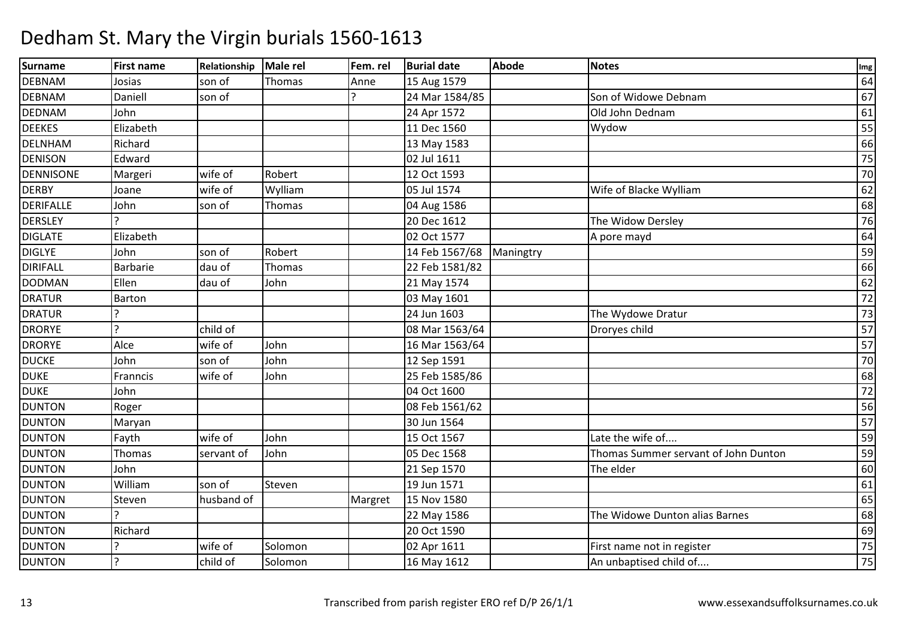| Surname          | <b>First name</b> | Relationship | <b>Male rel</b> | Fem. rel | <b>Burial date</b> | <b>Abode</b> | <b>Notes</b>                         | Img    |
|------------------|-------------------|--------------|-----------------|----------|--------------------|--------------|--------------------------------------|--------|
| <b>DEBNAM</b>    | Josias            | son of       | Thomas          | Anne     | 15 Aug 1579        |              |                                      | 64     |
| <b>DEBNAM</b>    | Daniell           | son of       |                 |          | 24 Mar 1584/85     |              | Son of Widowe Debnam                 | 67     |
| <b>DEDNAM</b>    | John              |              |                 |          | 24 Apr 1572        |              | Old John Dednam                      | 61     |
| <b>DEEKES</b>    | Elizabeth         |              |                 |          | 11 Dec 1560        |              | Wydow                                | 55     |
| <b>DELNHAM</b>   | Richard           |              |                 |          | 13 May 1583        |              |                                      | 66     |
| <b>DENISON</b>   | Edward            |              |                 |          | 02 Jul 1611        |              |                                      | 75     |
| <b>DENNISONE</b> | Margeri           | wife of      | Robert          |          | 12 Oct 1593        |              |                                      | 70     |
| <b>DERBY</b>     | Joane             | wife of      | Wylliam         |          | 05 Jul 1574        |              | Wife of Blacke Wylliam               | 62     |
| <b>DERIFALLE</b> | John              | son of       | Thomas          |          | 04 Aug 1586        |              |                                      | 68     |
| <b>DERSLEY</b>   |                   |              |                 |          | 20 Dec 1612        |              | The Widow Dersley                    | 76     |
| <b>DIGLATE</b>   | Elizabeth         |              |                 |          | 02 Oct 1577        |              | A pore mayd                          | 64     |
| <b>DIGLYE</b>    | John              | son of       | Robert          |          | 14 Feb 1567/68     | Maningtry    |                                      | 59     |
| <b>DIRIFALL</b>  | Barbarie          | dau of       | Thomas          |          | 22 Feb 1581/82     |              |                                      | 66     |
| <b>DODMAN</b>    | Ellen             | dau of       | John            |          | 21 May 1574        |              |                                      | 62     |
| <b>DRATUR</b>    | Barton            |              |                 |          | 03 May 1601        |              |                                      | $72\,$ |
| <b>DRATUR</b>    |                   |              |                 |          | 24 Jun 1603        |              | The Wydowe Dratur                    | 73     |
| <b>DRORYE</b>    | ς                 | child of     |                 |          | 08 Mar 1563/64     |              | Droryes child                        | 57     |
| <b>DRORYE</b>    | Alce              | wife of      | John            |          | 16 Mar 1563/64     |              |                                      | 57     |
| <b>DUCKE</b>     | John              | son of       | John            |          | 12 Sep 1591        |              |                                      | 70     |
| <b>DUKE</b>      | Franncis          | wife of      | John            |          | 25 Feb 1585/86     |              |                                      | 68     |
| <b>DUKE</b>      | John              |              |                 |          | 04 Oct 1600        |              |                                      | 72     |
| <b>DUNTON</b>    | Roger             |              |                 |          | 08 Feb 1561/62     |              |                                      | 56     |
| <b>DUNTON</b>    | Maryan            |              |                 |          | 30 Jun 1564        |              |                                      | 57     |
| <b>DUNTON</b>    | Fayth             | wife of      | John            |          | 15 Oct 1567        |              | Late the wife of                     | 59     |
| <b>DUNTON</b>    | Thomas            | servant of   | John            |          | 05 Dec 1568        |              | Thomas Summer servant of John Dunton | 59     |
| <b>DUNTON</b>    | John              |              |                 |          | 21 Sep 1570        |              | The elder                            | 60     |
| <b>DUNTON</b>    | William           | son of       | Steven          |          | 19 Jun 1571        |              |                                      | 61     |
| <b>DUNTON</b>    | Steven            | husband of   |                 | Margret  | 15 Nov 1580        |              |                                      | 65     |
| <b>DUNTON</b>    | ς                 |              |                 |          | 22 May 1586        |              | The Widowe Dunton alias Barnes       | 68     |
| <b>DUNTON</b>    | Richard           |              |                 |          | 20 Oct 1590        |              |                                      | 69     |
| <b>DUNTON</b>    |                   | wife of      | Solomon         |          | 02 Apr 1611        |              | First name not in register           | 75     |
| <b>DUNTON</b>    | $\overline{?}$    | child of     | Solomon         |          | 16 May 1612        |              | An unbaptised child of               | 75     |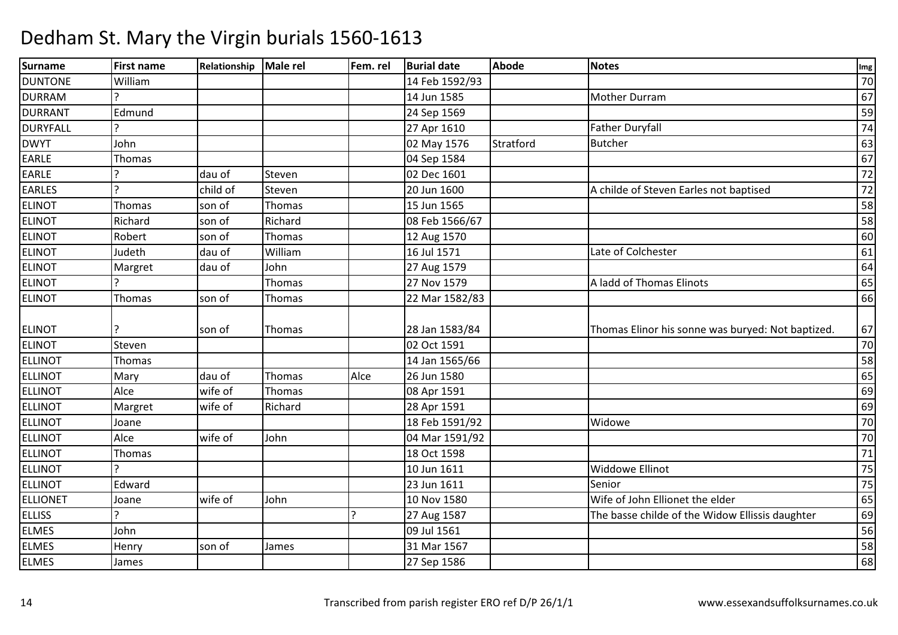| Surname         | <b>First name</b> | Relationship | Male rel | Fem. rel | <b>Burial date</b> | <b>Abode</b> | <b>Notes</b>                                      | Img             |
|-----------------|-------------------|--------------|----------|----------|--------------------|--------------|---------------------------------------------------|-----------------|
| <b>DUNTONE</b>  | William           |              |          |          | 14 Feb 1592/93     |              |                                                   | 70              |
| <b>DURRAM</b>   |                   |              |          |          | 14 Jun 1585        |              | <b>Mother Durram</b>                              | 67              |
| <b>DURRANT</b>  | Edmund            |              |          |          | 24 Sep 1569        |              |                                                   | 59              |
| <b>DURYFALL</b> | $\mathbf{P}$      |              |          |          | 27 Apr 1610        |              | <b>Father Duryfall</b>                            | 74              |
| <b>DWYT</b>     | John              |              |          |          | 02 May 1576        | Stratford    | <b>Butcher</b>                                    | 63              |
| EARLE           | Thomas            |              |          |          | 04 Sep 1584        |              |                                                   | 67              |
| EARLE           |                   | dau of       | Steven   |          | 02 Dec 1601        |              |                                                   | $\overline{72}$ |
| <b>EARLES</b>   | $\overline{2}$    | child of     | Steven   |          | 20 Jun 1600        |              | A childe of Steven Earles not baptised            | 72              |
| <b>ELINOT</b>   | Thomas            | son of       | Thomas   |          | 15 Jun 1565        |              |                                                   | 58              |
| <b>ELINOT</b>   | Richard           | son of       | Richard  |          | 08 Feb 1566/67     |              |                                                   | 58              |
| <b>ELINOT</b>   | Robert            | son of       | Thomas   |          | 12 Aug 1570        |              |                                                   | 60              |
| <b>ELINOT</b>   | Judeth            | dau of       | William  |          | 16 Jul 1571        |              | Late of Colchester                                | 61              |
| <b>ELINOT</b>   | Margret           | dau of       | John     |          | 27 Aug 1579        |              |                                                   | 64              |
| <b>ELINOT</b>   |                   |              | Thomas   |          | 27 Nov 1579        |              | A ladd of Thomas Elinots                          | 65              |
| <b>ELINOT</b>   | Thomas            | son of       | Thomas   |          | 22 Mar 1582/83     |              |                                                   | 66              |
|                 |                   |              |          |          |                    |              |                                                   |                 |
| <b>ELINOT</b>   |                   | son of       | Thomas   |          | 28 Jan 1583/84     |              | Thomas Elinor his sonne was buryed: Not baptized. | 67              |
| <b>ELINOT</b>   | Steven            |              |          |          | 02 Oct 1591        |              |                                                   | 70              |
| <b>ELLINOT</b>  | Thomas            |              |          |          | 14 Jan 1565/66     |              |                                                   | 58              |
| <b>ELLINOT</b>  | Mary              | dau of       | Thomas   | Alce     | 26 Jun 1580        |              |                                                   | 65              |
| <b>ELLINOT</b>  | Alce              | wife of      | Thomas   |          | 08 Apr 1591        |              |                                                   | 69              |
| <b>ELLINOT</b>  | Margret           | wife of      | Richard  |          | 28 Apr 1591        |              |                                                   | 69              |
| <b>ELLINOT</b>  | Joane             |              |          |          | 18 Feb 1591/92     |              | Widowe                                            | 70              |
| <b>ELLINOT</b>  | Alce              | wife of      | John     |          | 04 Mar 1591/92     |              |                                                   | 70              |
| <b>ELLINOT</b>  | Thomas            |              |          |          | 18 Oct 1598        |              |                                                   | 71              |
| <b>ELLINOT</b>  |                   |              |          |          | 10 Jun 1611        |              | Widdowe Ellinot                                   | 75              |
| <b>ELLINOT</b>  | Edward            |              |          |          | 23 Jun 1611        |              | Senior                                            | 75              |
| <b>ELLIONET</b> | Joane             | wife of      | John     |          | 10 Nov 1580        |              | Wife of John Ellionet the elder                   | 65              |
| <b>ELLISS</b>   |                   |              |          | ( ا      | 27 Aug 1587        |              | The basse childe of the Widow Ellissis daughter   | 69              |
| <b>ELMES</b>    | John              |              |          |          | 09 Jul 1561        |              |                                                   | 56              |
| <b>ELMES</b>    | Henry             | son of       | James    |          | 31 Mar 1567        |              |                                                   | 58              |
| <b>ELMES</b>    | James             |              |          |          | 27 Sep 1586        |              |                                                   | 68              |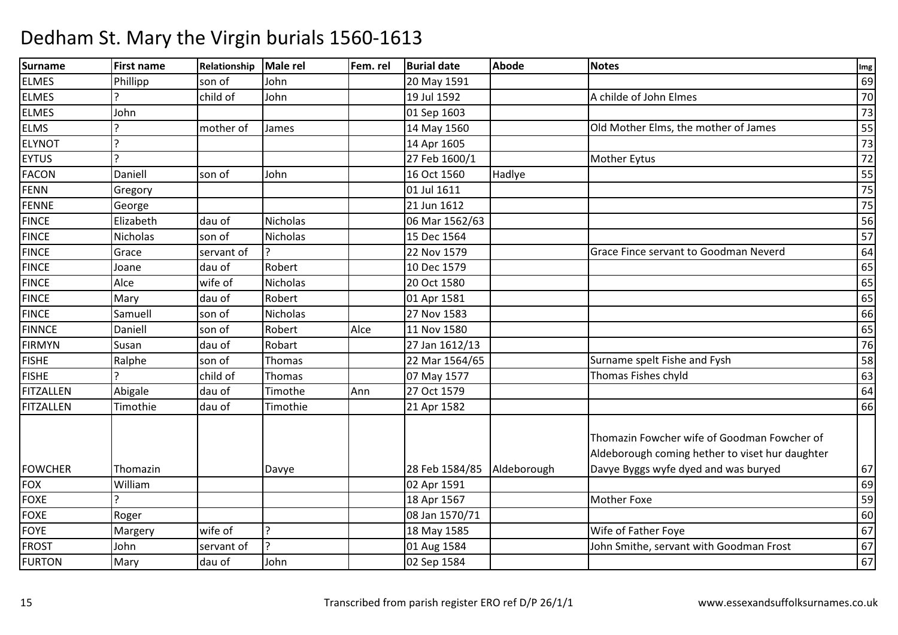| Surname        | <b>First name</b> | Relationship | <b>Male rel</b> | Fem. rel | <b>Burial date</b>         | <b>Abode</b> | <b>Notes</b>                                                                                                                           | Img |
|----------------|-------------------|--------------|-----------------|----------|----------------------------|--------------|----------------------------------------------------------------------------------------------------------------------------------------|-----|
| <b>ELMES</b>   | Phillipp          | son of       | John            |          | 20 May 1591                |              |                                                                                                                                        | 69  |
| <b>ELMES</b>   |                   | child of     | John            |          | 19 Jul 1592                |              | A childe of John Elmes                                                                                                                 | 70  |
| <b>ELMES</b>   | John              |              |                 |          | 01 Sep 1603                |              |                                                                                                                                        | 73  |
| <b>ELMS</b>    | ς                 | mother of    | James           |          | 14 May 1560                |              | Old Mother Elms, the mother of James                                                                                                   | 55  |
| <b>ELYNOT</b>  | $\mathbf{c}$      |              |                 |          | 14 Apr 1605                |              |                                                                                                                                        | 73  |
| <b>EYTUS</b>   | C                 |              |                 |          | 27 Feb 1600/1              |              | Mother Eytus                                                                                                                           | 72  |
| <b>FACON</b>   | Daniell           | son of       | John            |          | 16 Oct 1560                | Hadlye       |                                                                                                                                        | 55  |
| <b>FENN</b>    | Gregory           |              |                 |          | 01 Jul 1611                |              |                                                                                                                                        | 75  |
| FENNE          | George            |              |                 |          | 21 Jun 1612                |              |                                                                                                                                        | 75  |
| <b>FINCE</b>   | Elizabeth         | dau of       | <b>Nicholas</b> |          | 06 Mar 1562/63             |              |                                                                                                                                        | 56  |
| <b>FINCE</b>   | <b>Nicholas</b>   | son of       | Nicholas        |          | 15 Dec 1564                |              |                                                                                                                                        | 57  |
| <b>FINCE</b>   | Grace             | servant of   |                 |          | 22 Nov 1579                |              | Grace Fince servant to Goodman Neverd                                                                                                  | 64  |
| <b>FINCE</b>   | Joane             | dau of       | Robert          |          | 10 Dec 1579                |              |                                                                                                                                        | 65  |
| <b>FINCE</b>   | Alce              | wife of      | Nicholas        |          | 20 Oct 1580                |              |                                                                                                                                        | 65  |
| <b>FINCE</b>   | Mary              | dau of       | Robert          |          | 01 Apr 1581                |              |                                                                                                                                        | 65  |
| <b>FINCE</b>   | Samuell           | son of       | <b>Nicholas</b> |          | 27 Nov 1583                |              |                                                                                                                                        | 66  |
| <b>FINNCE</b>  | Daniell           | son of       | Robert          | Alce     | 11 Nov 1580                |              |                                                                                                                                        | 65  |
| <b>FIRMYN</b>  | Susan             | dau of       | Robart          |          | 27 Jan 1612/13             |              |                                                                                                                                        | 76  |
| <b>FISHE</b>   | Ralphe            | son of       | Thomas          |          | 22 Mar 1564/65             |              | Surname spelt Fishe and Fysh                                                                                                           | 58  |
| <b>FISHE</b>   | ን                 | child of     | Thomas          |          | 07 May 1577                |              | Thomas Fishes chyld                                                                                                                    | 63  |
| FITZALLEN      | Abigale           | dau of       | Timothe         | Ann      | 27 Oct 1579                |              |                                                                                                                                        | 64  |
| FITZALLEN      | Timothie          | dau of       | Timothie        |          | 21 Apr 1582                |              |                                                                                                                                        | 66  |
| <b>FOWCHER</b> | Thomazin          |              | Davye           |          | 28 Feb 1584/85 Aldeborough |              | Thomazin Fowcher wife of Goodman Fowcher of<br>Aldeborough coming hether to viset hur daughter<br>Davye Byggs wyfe dyed and was buryed | 67  |
| <b>FOX</b>     | William           |              |                 |          | 02 Apr 1591                |              |                                                                                                                                        | 69  |
| <b>FOXE</b>    | $\overline{ }$    |              |                 |          | 18 Apr 1567                |              | <b>Mother Foxe</b>                                                                                                                     | 59  |
| FOXE           | Roger             |              |                 |          | 08 Jan 1570/71             |              |                                                                                                                                        | 60  |
| <b>FOYE</b>    | Margery           | wife of      | 2               |          | 18 May 1585                |              | Wife of Father Foye                                                                                                                    | 67  |
| <b>FROST</b>   | John              | servant of   | م ا             |          | 01 Aug 1584                |              | John Smithe, servant with Goodman Frost                                                                                                | 67  |
| <b>FURTON</b>  | Mary              | dau of       | John            |          | 02 Sep 1584                |              |                                                                                                                                        | 67  |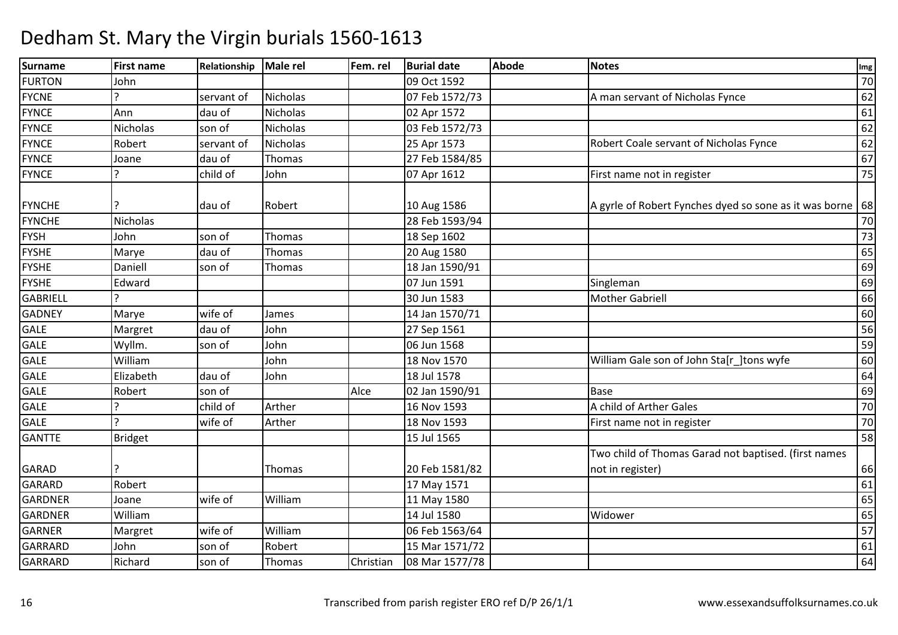#### Surnamee First name Relationship Male rel Fem. rel Burial date Abode Notes International Communication of the Abode FURTONN John 100 Oct 1592 2006 1592 2007 12:00 12:00 12:00 12:00 12:00 12:00 12:00 12:00 12:00 12:00 12:00 12:00 12:0 FYCNEservant of Nicholas | 07 Feb 1572/73 A man servant of Nicholas Fynce 62<br>62 FYNCE Annn dau of Nicholas 02 Apr 1572 de de la contra de la 161 FYNCENicholas Son of Nicholas 103 Feb 1572/73<br>
Robert Servant of Nicholas 125 Apr 1573  $\overline{3}$  62 **FYNCF** E Robert Servant of Nicholas 25 Apr 1573 Robert Coale servant of Nicholas Fynce 62 FYNCE Joanedau of Thomas 27 Feb 1584/85<br>
child of John 07 Apr 1612  $\overline{5}$  67 **FYNCF**  ? child of John07 Apr 1612 **First name not in register** 75 FYNCHE 3 2 | au of Robert 10 Aug 1586 A gyrle of Robert Fynches dyed so sone as it was borne <sup>68</sup> FYNCHE Nicholas 28 Feb 1593/94 $\frac{4}{70}$ FYSHH John son of Thomas 18 Sep 1602 2001 18 Sep 1602 73 FYSHEMarye<br>Daniell dau of Thomas | 20 Aug 1580 0 65 FYSHEson of Thomas 18 Jan 1590/91  $\frac{1}{1}$  69 FYSHE Edward 07 Jun 1591 Singleman <sup>69</sup> **GABRIELL** <u>|</u><br>|- 30 Jun 1583and the Mother Gabriell and the Mother Gabriell and the Mother Gabriell and the Mother Section 166 and the Mot<br>Section 166 and the Mother Gabriell and the Mother Section 166 and the Mother Section 166 and the Mother Sectio GADNEY Maryewife of James 14 Jan 1570/71<br>
dau of John 27 Sep 1561  $\frac{1}{1}$  60 GALEMargret dau of John<br>Wyllm. son of John 27 Sep 1561 <sup>56</sup> GALEE Wyllm. Son of John 06 Jun 1568 <sup>59</sup> GALE WilliamJohn 18 Nov 1570 William Gale son of John Sta[r\_]tons wyfe 60<br>dau of John 18 Jul 1578 64 GALE Elizabethh |dau of |John | 18 Jul 1578 | 19 Jul 1578 | 18 Jul 164 GALEE Robert son of Alce 02 Jan 1590/911 Base 69 GALEE |? |child of |Arther 16 Nov 1593 16 Nov 1593 A child of Arther Gales<br>18 Nov 1593 First name not in register 70 GALEE 18 Nov 1593 18 Nov 1593 First name not in register 70<br>15 Jul 1565 58 **GANTTF** E Bridget 15 Jul 1565  $5 \qquad \qquad$  58 GARAD ? Thomas 20 Feb 1581/82Two child of Thomas Garad not baptised. (first names not in register) $\begin{bmatrix} 66 \end{bmatrix}$ 61 GARARD Robert 17 May 1571 <sup>61</sup> GARDNERR Joane wife of William 11 May 1580 <sup>65</sup> GARDNER William 14 Jul 1580 Widower <sup>65</sup> GARNERMargret William<br>John son of Robert 06 Feb 1563/64 <sup>57</sup> GARRARDD John son of Robert 15 Mar 1571/72 91 John Son of Robert 15 Mar 1571/72 91 John Son of Robert 15 Mar 1571/72 91 John Son of 161 GARRARDRichard son of Thomas Christian 08 Mar 1577/78 <sup>64</sup>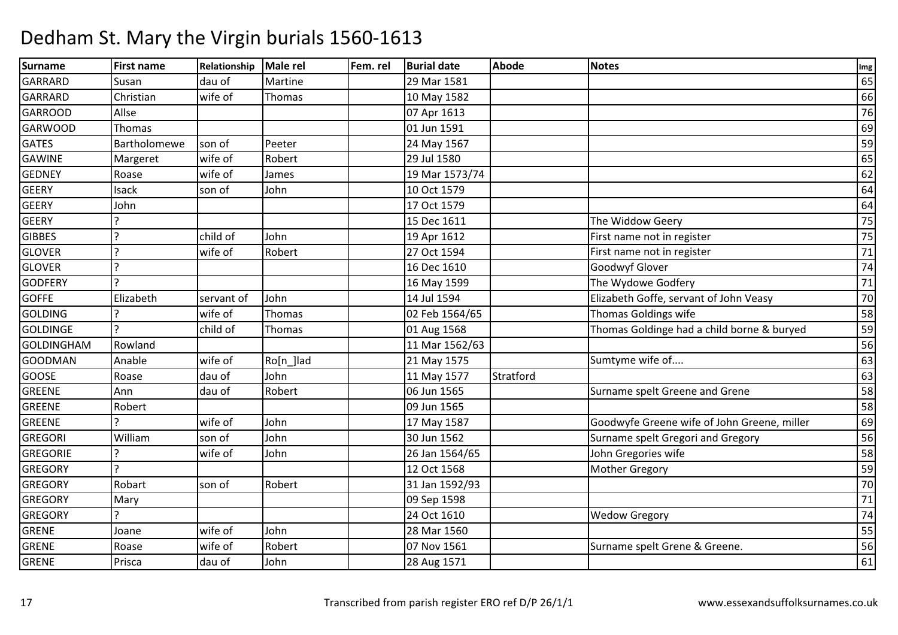| Surname           | <b>First name</b> | Relationship | Male rel  | Fem. rel | <b>Burial date</b> | <b>Abode</b> | <b>Notes</b>                                | Img             |
|-------------------|-------------------|--------------|-----------|----------|--------------------|--------------|---------------------------------------------|-----------------|
| <b>GARRARD</b>    | Susan             | dau of       | Martine   |          | 29 Mar 1581        |              |                                             | 65              |
| <b>GARRARD</b>    | Christian         | wife of      | Thomas    |          | 10 May 1582        |              |                                             | 66              |
| <b>GARROOD</b>    | Allse             |              |           |          | 07 Apr 1613        |              |                                             | 76              |
| <b>GARWOOD</b>    | Thomas            |              |           |          | 01 Jun 1591        |              |                                             | 69              |
| <b>GATES</b>      | Bartholomewe      | son of       | Peeter    |          | 24 May 1567        |              |                                             | 59              |
| <b>GAWINE</b>     | Margeret          | wife of      | Robert    |          | 29 Jul 1580        |              |                                             | 65              |
| <b>GEDNEY</b>     | Roase             | wife of      | James     |          | 19 Mar 1573/74     |              |                                             | 62              |
| <b>GEERY</b>      | Isack             | son of       | John      |          | 10 Oct 1579        |              |                                             | 64              |
| <b>GEERY</b>      | John              |              |           |          | 17 Oct 1579        |              |                                             | 64              |
| <b>GEERY</b>      |                   |              |           |          | 15 Dec 1611        |              | The Widdow Geery                            | 75              |
| <b>GIBBES</b>     | $\overline{?}$    | child of     | John      |          | 19 Apr 1612        |              | First name not in register                  | 75              |
| <b>GLOVER</b>     | $\overline{2}$    | wife of      | Robert    |          | 27 Oct 1594        |              | First name not in register                  | 71              |
| <b>GLOVER</b>     | $\overline{a}$    |              |           |          | 16 Dec 1610        |              | Goodwyf Glover                              | 74              |
| <b>GODFERY</b>    | $\mathbf{C}$      |              |           |          | 16 May 1599        |              | The Wydowe Godfery                          | 71              |
| <b>GOFFE</b>      | Elizabeth         | servant of   | John      |          | 14 Jul 1594        |              | Elizabeth Goffe, servant of John Veasy      | 70              |
| <b>GOLDING</b>    |                   | wife of      | Thomas    |          | 02 Feb 1564/65     |              | Thomas Goldings wife                        | 58              |
| <b>GOLDINGE</b>   | $\mathbf{D}$      | child of     | Thomas    |          | 01 Aug 1568        |              | Thomas Goldinge had a child borne & buryed  | 59              |
| <b>GOLDINGHAM</b> | Rowland           |              |           |          | 11 Mar 1562/63     |              |                                             | 56              |
| <b>GOODMAN</b>    | Anable            | wife of      | Ro[n_]lad |          | 21 May 1575        |              | Sumtyme wife of                             | 63              |
| <b>GOOSE</b>      | Roase             | dau of       | John      |          | 11 May 1577        | Stratford    |                                             | 63              |
| <b>GREENE</b>     | Ann               | dau of       | Robert    |          | 06 Jun 1565        |              | Surname spelt Greene and Grene              | 58              |
| <b>GREENE</b>     | Robert            |              |           |          | 09 Jun 1565        |              |                                             | 58              |
| <b>GREENE</b>     |                   | wife of      | John      |          | 17 May 1587        |              | Goodwyfe Greene wife of John Greene, miller | 69              |
| <b>GREGORI</b>    | William           | son of       | John      |          | 30 Jun 1562        |              | Surname spelt Gregori and Gregory           | 56              |
| <b>GREGORIE</b>   | $\mathbf{P}$      | wife of      | John      |          | 26 Jan 1564/65     |              | John Gregories wife                         | 58              |
| <b>GREGORY</b>    | $\mathbf{D}$      |              |           |          | 12 Oct 1568        |              | <b>Mother Gregory</b>                       | 59              |
| <b>GREGORY</b>    | Robart            | son of       | Robert    |          | 31 Jan 1592/93     |              |                                             | $\overline{70}$ |
| <b>GREGORY</b>    | Mary              |              |           |          | 09 Sep 1598        |              |                                             | $\overline{71}$ |
| <b>GREGORY</b>    | $\mathbf{D}$      |              |           |          | 24 Oct 1610        |              | <b>Wedow Gregory</b>                        | 74              |
| <b>GRENE</b>      | Joane             | wife of      | John      |          | 28 Mar 1560        |              |                                             | 55              |
| <b>GRENE</b>      | Roase             | wife of      | Robert    |          | 07 Nov 1561        |              | Surname spelt Grene & Greene.               | 56              |
| <b>GRENE</b>      | Prisca            | dau of       | John      |          | 28 Aug 1571        |              |                                             | 61              |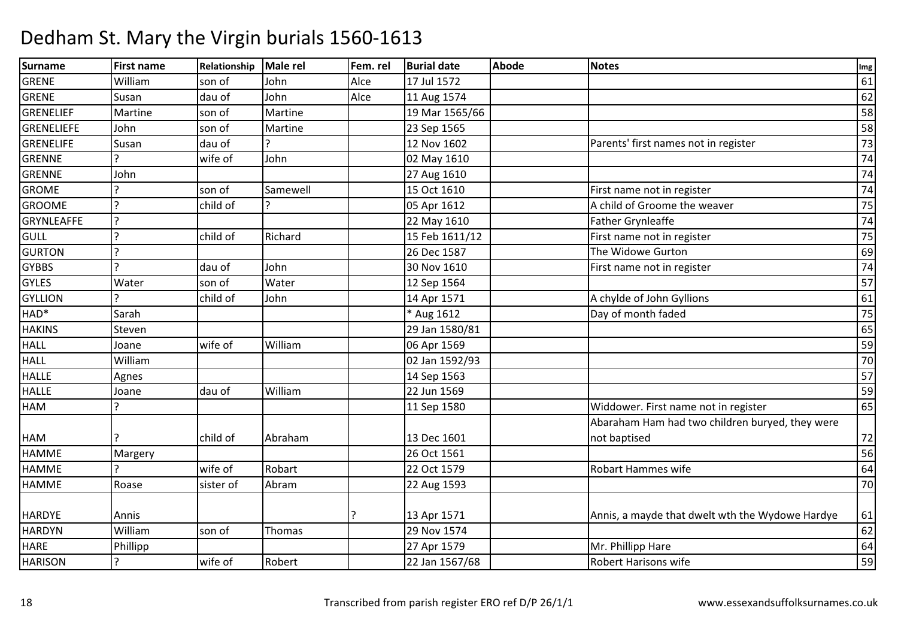| Surname        | <b>First name</b>        | Relationship | <b>Male rel</b> | Fem. rel | <b>Burial date</b> | <b>Abode</b> | <b>Notes</b>                                    | Img             |
|----------------|--------------------------|--------------|-----------------|----------|--------------------|--------------|-------------------------------------------------|-----------------|
| GRENE          | William                  | son of       | John            | Alce     | 17 Jul 1572        |              |                                                 | 61              |
| GRENE          | Susan                    | dau of       | John            | Alce     | 11 Aug 1574        |              |                                                 | 62              |
| GRENELIEF      | Martine                  | son of       | Martine         |          | 19 Mar 1565/66     |              |                                                 | 58              |
| GRENELIEFE     | John                     | son of       | Martine         |          | 23 Sep 1565        |              |                                                 | 58              |
| GRENELIFE      | Susan                    | dau of       |                 |          | 12 Nov 1602        |              | Parents' first names not in register            | $\overline{73}$ |
| <b>GRENNE</b>  | $\mathbf{C}$             | wife of      | John            |          | 02 May 1610        |              |                                                 | 74              |
| <b>GRENNE</b>  | John                     |              |                 |          | 27 Aug 1610        |              |                                                 | 74              |
| <b>GROME</b>   | ς                        | son of       | Samewell        |          | 15 Oct 1610        |              | First name not in register                      | 74              |
| <b>GROOME</b>  | $\mathbf{P}$             | child of     |                 |          | 05 Apr 1612        |              | A child of Groome the weaver                    | 75              |
| GRYNLEAFFE     | $\mathbf{P}$             |              |                 |          | 22 May 1610        |              | <b>Father Grynleaffe</b>                        | 74              |
| GULL           | $\overline{?}$           | child of     | Richard         |          | 15 Feb 1611/12     |              | First name not in register                      | 75              |
| <b>GURTON</b>  | $\overline{?}$           |              |                 |          | 26 Dec 1587        |              | The Widowe Gurton                               | 69              |
| <b>GYBBS</b>   | $\overline{\phantom{a}}$ | dau of       | John            |          | 30 Nov 1610        |              | First name not in register                      | 74              |
| <b>GYLES</b>   | Water                    | son of       | Water           |          | 12 Sep 1564        |              |                                                 | 57              |
| GYLLION        |                          | child of     | John            |          | 14 Apr 1571        |              | A chylde of John Gyllions                       | 61              |
| HAD*           | Sarah                    |              |                 |          | * Aug 1612         |              | Day of month faded                              | $\overline{75}$ |
| <b>HAKINS</b>  | Steven                   |              |                 |          | 29 Jan 1580/81     |              |                                                 | 65              |
| <b>HALL</b>    | Joane                    | wife of      | William         |          | 06 Apr 1569        |              |                                                 | 59              |
| <b>HALL</b>    | William                  |              |                 |          | 02 Jan 1592/93     |              |                                                 | 70              |
| <b>HALLE</b>   | Agnes                    |              |                 |          | 14 Sep 1563        |              |                                                 | 57              |
| <b>HALLE</b>   | Joane                    | dau of       | William         |          | 22 Jun 1569        |              |                                                 | 59              |
| <b>HAM</b>     | ς                        |              |                 |          | 11 Sep 1580        |              | Widdower. First name not in register            | 65              |
|                |                          |              |                 |          |                    |              | Abaraham Ham had two children buryed, they were |                 |
| HAM            |                          | child of     | Abraham         |          | 13 Dec 1601        |              | not baptised                                    | 72              |
| <b>HAMME</b>   | Margery                  |              |                 |          | 26 Oct 1561        |              |                                                 | 56              |
| <b>HAMME</b>   | $\mathbf{C}$             | wife of      | Robart          |          | 22 Oct 1579        |              | Robart Hammes wife                              | 64              |
| <b>HAMME</b>   | Roase                    | sister of    | Abram           |          | 22 Aug 1593        |              |                                                 | 70              |
|                |                          |              |                 |          |                    |              |                                                 |                 |
| <b>HARDYE</b>  | Annis                    |              |                 |          | 13 Apr 1571        |              | Annis, a mayde that dwelt wth the Wydowe Hardye | 61              |
| <b>HARDYN</b>  | William                  | son of       | Thomas          |          | 29 Nov 1574        |              |                                                 | 62              |
| <b>HARE</b>    | Phillipp                 |              |                 |          | 27 Apr 1579        |              | Mr. Phillipp Hare                               | 64              |
| <b>HARISON</b> | P.                       | wife of      | Robert          |          | 22 Jan 1567/68     |              | <b>Robert Harisons wife</b>                     | 59              |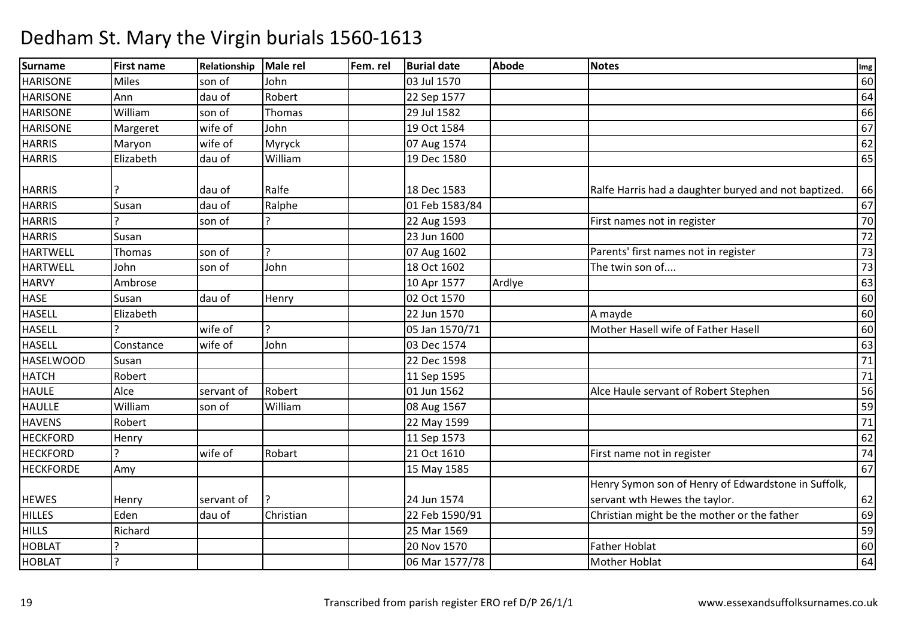#### Surnamee First name Relationship Male rel Fem. rel Burial date Abode Notes International Communication of the Abode **HARISONE** E Miles son of John 03 Jul 1570 <sup>60</sup> **HARISONE**  Annn dau of Robert 22 Sep 1577 degree to the day of 64 **HARISONE**  Williamm son of Thomas 29 Jul 1582 66 and the south of the south of the south of the south of the south of the south o<br>As a contract of the south of the south of the south of the south of the south of the south of the south of th **HARISONE** Margeret | wife of John<br>Maryon | wife of | Myryck n 19 Oct 1584 and 19 Oct 1584 and 20 oct 1584 and 20 oct 20 oct 20 oct 20 oct 20 oct 20 oct 20 oct 20 oct 20 o<br>And 20 oct 20 oct 20 oct 20 oct 20 oct 20 oct 20 oct 20 oct 20 oct 20 oct 20 oct 20 oct 20 oct 20 oct 20 oct 2 **HARRIS**  Maryon wife of Myryck 07 Aug 1574 <sup>62</sup> **HARRIS**  Elizabeth dau of William 19 Dec 1580 <sup>65</sup> HARRIS ? dau of Ralfe 18 Dec 1583Ralfe Harris had a daughter buryed and not baptized. 66 HARRIS Susan dau of Ralphe 01 Feb 1583/84 <sup>67</sup> **HARRIS** S ? son of **P** 22 Aug 1593 First names not in register 70<br>72 HARRIS Susan 23 Jun 1600 <sup>72</sup> HARTWELLThomas son of ? 07 Aug 160207 Aug 1602 Parents' first names not in register 73<br>18 Oct 1602 The twin son of.... 73 **HARTWELL**  John son of John 18 Oct 1602 The twin son of.... <sup>73</sup> **HARVY**  Ambrose10 Apr 1577<br>02 Oct 1570 7 Ardlye 63 **HASF**  Susann dau of Henry 02 Oct 1570 days and days and days days are the day of the day of the day of the day of the day HASELL Elizabeth 22 Jun 1570 A mayde <sup>60</sup> HASELL<u>)</u><br>} wife of ? 05 Jan 1570/71Mother Hasell wife of Father Hasell 60<br>63 **HASELL Constance**  wife of Johnn 03 Dec 1574 63 HASELWOODD Susan 1 22 Dec 1598 22 Dec 1598 22 Dec 1598 22 Dec 1598 22 Dec 1598 22 Dec 1598 2 HATCHRobert 11 Sep 1595 71 **HAULF**  Alcee Servant of Robert 1988 (01 Jun 1562 01 Jun 1562 Alce Haule servant of Robert Stephen 56<br>08 Aug 1567 59 HAULLE William son of William 08 Aug 1567 <sup>59</sup> **HAVENS** S Robert Robert 22 May 1599 <sup>71</sup> **HECKEORD** D Henry 162 **HECKFORD** D ? wife of Robart 21 Oct 1610 First name not in register 74 **HECKFORDE** E Amy 1585 <sup>67</sup> HEWES Henry Servant of 1? 24 Jun 1574 22 Feb 1590/91 Henry Symon son of Henry of Edwardstone in Suffolk, servant wth Hewes the taylor. $\sim$  62  $69$ **HILLES**  Edendau of Christian 22 Feb 1590/91 Christian might be the mother or the father 69<br>25 Mar 1569 **HILLS**  Richard 25 Mar 1569 <sup>59</sup> HOBLAT ? 20 Nov 15700 Father Hoblat 60 HOBLAT ? 06 Mar 1577/78Mother Hoblat 64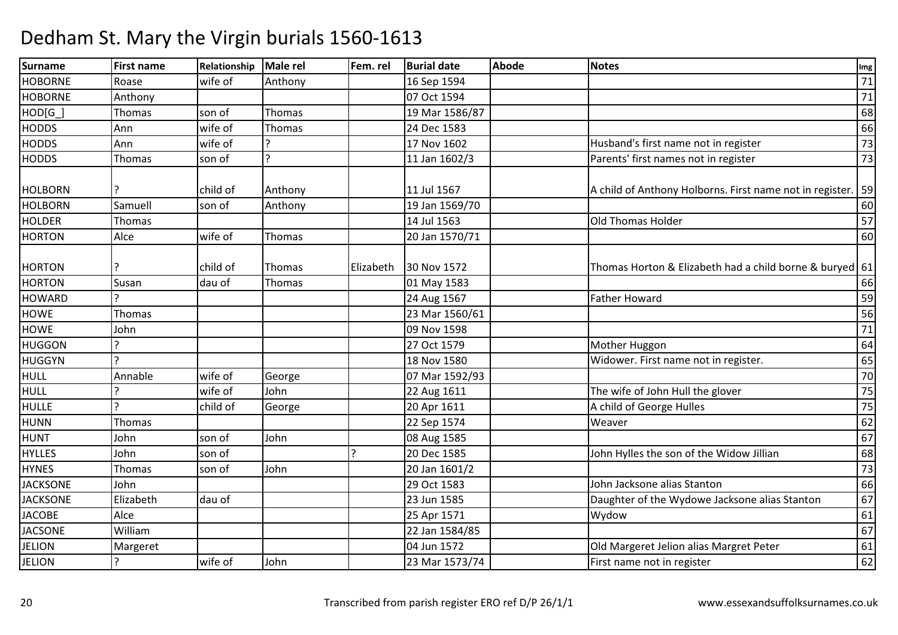| Surname         | <b>First name</b> | Relationship | Male rel     | Fem. rel  | <b>Burial date</b> | <b>Abode</b> | <b>Notes</b>                                             | Img    |
|-----------------|-------------------|--------------|--------------|-----------|--------------------|--------------|----------------------------------------------------------|--------|
| <b>HOBORNE</b>  | Roase             | wife of      | Anthony      |           | 16 Sep 1594        |              |                                                          | 71     |
| <b>HOBORNE</b>  | Anthony           |              |              |           | 07 Oct 1594        |              |                                                          | $71\,$ |
| $HOD[G_$        | Thomas            | son of       | Thomas       |           | 19 Mar 1586/87     |              |                                                          | 68     |
| <b>HODDS</b>    | Ann               | wife of      | Thomas       |           | 24 Dec 1583        |              |                                                          | 66     |
| <b>HODDS</b>    | Ann               | wife of      |              |           | 17 Nov 1602        |              | Husband's first name not in register                     | 73     |
| <b>HODDS</b>    | Thomas            | son of       | $\mathbf{C}$ |           | 11 Jan 1602/3      |              | Parents' first names not in register                     | 73     |
|                 |                   |              |              |           |                    |              |                                                          |        |
| <b>HOLBORN</b>  |                   | child of     | Anthony      |           | 11 Jul 1567        |              | A child of Anthony Holborns. First name not in register. | 59     |
| <b>HOLBORN</b>  | Samuell           | son of       | Anthony      |           | 19 Jan 1569/70     |              |                                                          | 60     |
| <b>HOLDER</b>   | Thomas            |              |              |           | 14 Jul 1563        |              | Old Thomas Holder                                        | 57     |
| <b>HORTON</b>   | Alce              | wife of      | Thomas       |           | 20 Jan 1570/71     |              |                                                          | 60     |
| <b>HORTON</b>   |                   | child of     | Thomas       | Elizabeth | 30 Nov 1572        |              | Thomas Horton & Elizabeth had a child borne & buryed 61  |        |
| <b>HORTON</b>   | Susan             | dau of       | Thomas       |           | 01 May 1583        |              |                                                          | 66     |
| <b>HOWARD</b>   |                   |              |              |           | 24 Aug 1567        |              | <b>Father Howard</b>                                     | 59     |
| HOWE            | Thomas            |              |              |           | 23 Mar 1560/61     |              |                                                          | 56     |
| <b>HOWE</b>     | John              |              |              |           | 09 Nov 1598        |              |                                                          | $71\,$ |
| <b>HUGGON</b>   |                   |              |              |           | 27 Oct 1579        |              | Mother Huggon                                            | 64     |
| <b>HUGGYN</b>   |                   |              |              |           | 18 Nov 1580        |              | Widower. First name not in register.                     | 65     |
| <b>HULL</b>     | Annable           | wife of      | George       |           | 07 Mar 1592/93     |              |                                                          | 70     |
| <b>HULL</b>     |                   | wife of      | John         |           | 22 Aug 1611        |              | The wife of John Hull the glover                         | 75     |
| <b>HULLE</b>    |                   | child of     | George       |           | 20 Apr 1611        |              | A child of George Hulles                                 | 75     |
| <b>HUNN</b>     | Thomas            |              |              |           | 22 Sep 1574        |              | Weaver                                                   | 62     |
| <b>HUNT</b>     | John              | son of       | John         |           | 08 Aug 1585        |              |                                                          | 67     |
| <b>HYLLES</b>   | John              | son of       |              |           | 20 Dec 1585        |              | John Hylles the son of the Widow Jillian                 | 68     |
| <b>HYNES</b>    | Thomas            | son of       | John         |           | 20 Jan 1601/2      |              |                                                          | 73     |
| <b>JACKSONE</b> | John              |              |              |           | 29 Oct 1583        |              | John Jacksone alias Stanton                              | 66     |
| <b>JACKSONE</b> | Elizabeth         | dau of       |              |           | 23 Jun 1585        |              | Daughter of the Wydowe Jacksone alias Stanton            | 67     |
| <b>JACOBE</b>   | Alce              |              |              |           | 25 Apr 1571        |              | Wydow                                                    | 61     |
| <b>JACSONE</b>  | William           |              |              |           | 22 Jan 1584/85     |              |                                                          | 67     |
| <b>JELION</b>   | Margeret          |              |              |           | 04 Jun 1572        |              | Old Margeret Jelion alias Margret Peter                  | 61     |
| <b>JELION</b>   |                   | wife of      | John         |           | 23 Mar 1573/74     |              | First name not in register                               | 62     |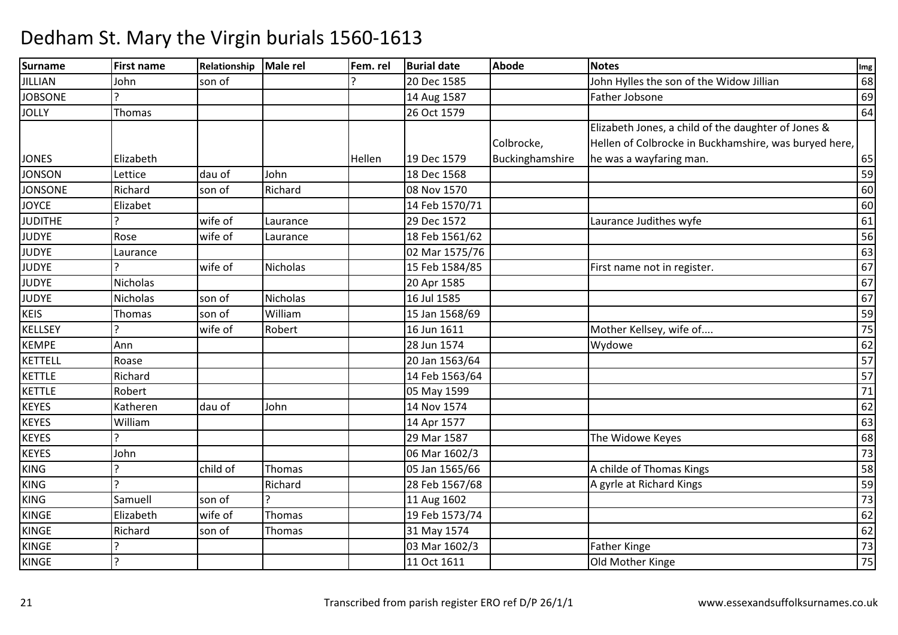| Surname        | <b>First name</b> | Relationship | Male rel        | Fem. rel | <b>Burial date</b> | <b>Abode</b>    | <b>Notes</b>                                          | Img |
|----------------|-------------------|--------------|-----------------|----------|--------------------|-----------------|-------------------------------------------------------|-----|
| <b>JILLIAN</b> | John              | son of       |                 |          | 20 Dec 1585        |                 | John Hylles the son of the Widow Jillian              | 68  |
| <b>JOBSONE</b> | C.                |              |                 |          | 14 Aug 1587        |                 | Father Jobsone                                        | 69  |
| <b>JOLLY</b>   | Thomas            |              |                 |          | 26 Oct 1579        |                 |                                                       | 64  |
|                |                   |              |                 |          |                    |                 | Elizabeth Jones, a child of the daughter of Jones &   |     |
|                |                   |              |                 |          |                    | Colbrocke,      | Hellen of Colbrocke in Buckhamshire, was buryed here, |     |
| <b>JONES</b>   | Elizabeth         |              |                 | Hellen   | 19 Dec 1579        | Buckinghamshire | he was a wayfaring man.                               | 65  |
| <b>JONSON</b>  | Lettice           | dau of       | John            |          | 18 Dec 1568        |                 |                                                       | 59  |
| <b>JONSONE</b> | Richard           | son of       | Richard         |          | 08 Nov 1570        |                 |                                                       | 60  |
| <b>JOYCE</b>   | Elizabet          |              |                 |          | 14 Feb 1570/71     |                 |                                                       | 60  |
| <b>JUDITHE</b> |                   | wife of      | Laurance        |          | 29 Dec 1572        |                 | Laurance Judithes wyfe                                | 61  |
| <b>JUDYE</b>   | Rose              | wife of      | Laurance        |          | 18 Feb 1561/62     |                 |                                                       | 56  |
| <b>JUDYE</b>   | Laurance          |              |                 |          | 02 Mar 1575/76     |                 |                                                       | 63  |
| <b>JUDYE</b>   | C                 | wife of      | <b>Nicholas</b> |          | 15 Feb 1584/85     |                 | First name not in register.                           | 67  |
| JUDYE          | <b>Nicholas</b>   |              |                 |          | 20 Apr 1585        |                 |                                                       | 67  |
| <b>JUDYE</b>   | Nicholas          | son of       | Nicholas        |          | 16 Jul 1585        |                 |                                                       | 67  |
| <b>KEIS</b>    | Thomas            | son of       | William         |          | 15 Jan 1568/69     |                 |                                                       | 59  |
| <b>KELLSEY</b> |                   | wife of      | Robert          |          | 16 Jun 1611        |                 | Mother Kellsey, wife of                               | 75  |
| <b>KEMPE</b>   | Ann               |              |                 |          | 28 Jun 1574        |                 | Wydowe                                                | 62  |
| KETTELL        | Roase             |              |                 |          | 20 Jan 1563/64     |                 |                                                       | 57  |
| <b>KETTLE</b>  | Richard           |              |                 |          | 14 Feb 1563/64     |                 |                                                       | 57  |
| KETTLE         | Robert            |              |                 |          | 05 May 1599        |                 |                                                       | 71  |
| <b>KEYES</b>   | Katheren          | dau of       | John            |          | 14 Nov 1574        |                 |                                                       | 62  |
| <b>KEYES</b>   | William           |              |                 |          | 14 Apr 1577        |                 |                                                       | 63  |
| KEYES          | C                 |              |                 |          | 29 Mar 1587        |                 | The Widowe Keyes                                      | 68  |
| <b>KEYES</b>   | John              |              |                 |          | 06 Mar 1602/3      |                 |                                                       | 73  |
| <b>KING</b>    |                   | child of     | Thomas          |          | 05 Jan 1565/66     |                 | A childe of Thomas Kings                              | 58  |
| <b>KING</b>    | っ                 |              | Richard         |          | 28 Feb 1567/68     |                 | A gyrle at Richard Kings                              | 59  |
| <b>KING</b>    | Samuell           | son of       |                 |          | 11 Aug 1602        |                 |                                                       | 73  |
| <b>KINGE</b>   | Elizabeth         | wife of      | Thomas          |          | 19 Feb 1573/74     |                 |                                                       | 62  |
| KINGE          | Richard           | son of       | Thomas          |          | 31 May 1574        |                 |                                                       | 62  |
| <b>KINGE</b>   | ς                 |              |                 |          | 03 Mar 1602/3      |                 | <b>Father Kinge</b>                                   | 73  |
| <b>KINGE</b>   | $\overline{?}$    |              |                 |          | 11 Oct 1611        |                 | Old Mother Kinge                                      | 75  |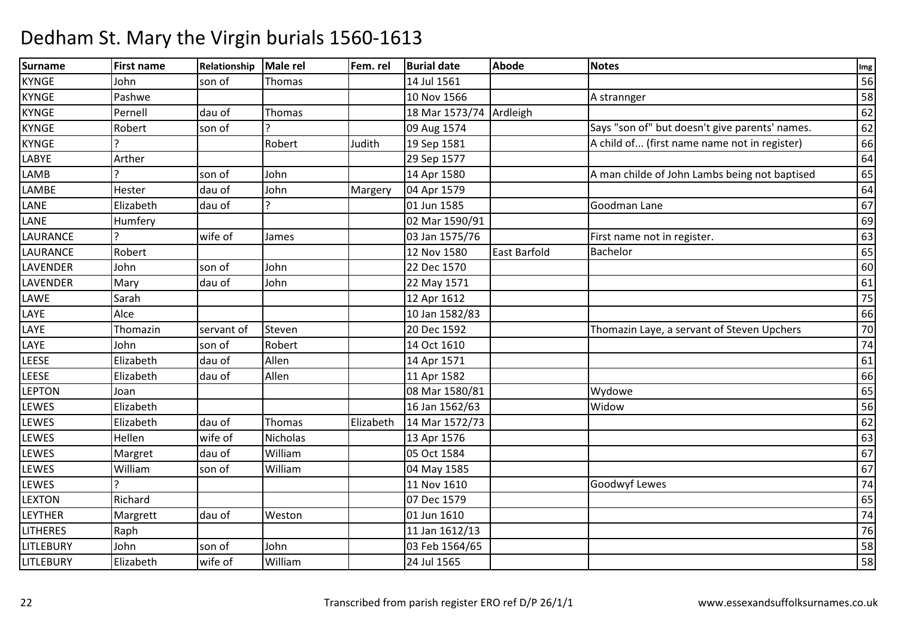| <b>Surname</b>   | <b>First name</b> | Relationship | <b>Male rel</b> | Fem. rel  | <b>Burial date</b> | <b>Abode</b> | <b>Notes</b>                                   | Img |
|------------------|-------------------|--------------|-----------------|-----------|--------------------|--------------|------------------------------------------------|-----|
| <b>KYNGE</b>     | John              | son of       | Thomas          |           | 14 Jul 1561        |              |                                                | 56  |
| <b>KYNGE</b>     | Pashwe            |              |                 |           | 10 Nov 1566        |              | A strannger                                    | 58  |
| <b>KYNGE</b>     | Pernell           | dau of       | Thomas          |           | 18 Mar 1573/74     | Ardleigh     |                                                | 62  |
| <b>KYNGE</b>     | Robert            | son of       |                 |           | 09 Aug 1574        |              | Says "son of" but doesn't give parents' names. | 62  |
| <b>KYNGE</b>     |                   |              | Robert          | Judith    | 19 Sep 1581        |              | A child of (first name name not in register)   | 66  |
| LABYE            | Arther            |              |                 |           | 29 Sep 1577        |              |                                                | 64  |
| LAMB             |                   | son of       | John            |           | 14 Apr 1580        |              | A man childe of John Lambs being not baptised  | 65  |
| LAMBE            | Hester            | dau of       | John            | Margery   | 04 Apr 1579        |              |                                                | 64  |
| LANE             | Elizabeth         | dau of       | $\mathbf{C}$    |           | 01 Jun 1585        |              | Goodman Lane                                   | 67  |
| LANE             | Humfery           |              |                 |           | 02 Mar 1590/91     |              |                                                | 69  |
| LAURANCE         |                   | wife of      | James           |           | 03 Jan 1575/76     |              | First name not in register.                    | 63  |
| LAURANCE         | Robert            |              |                 |           | 12 Nov 1580        | East Barfold | Bachelor                                       | 65  |
| <b>LAVENDER</b>  | John              | son of       | John            |           | 22 Dec 1570        |              |                                                | 60  |
| LAVENDER         | Mary              | dau of       | John            |           | 22 May 1571        |              |                                                | 61  |
| LAWE             | Sarah             |              |                 |           | 12 Apr 1612        |              |                                                | 75  |
| LAYE             | Alce              |              |                 |           | 10 Jan 1582/83     |              |                                                | 66  |
| LAYE             | Thomazin          | servant of   | Steven          |           | 20 Dec 1592        |              | Thomazin Laye, a servant of Steven Upchers     | 70  |
| LAYE             | John              | son of       | Robert          |           | 14 Oct 1610        |              |                                                | 74  |
| LEESE            | Elizabeth         | dau of       | Allen           |           | 14 Apr 1571        |              |                                                | 61  |
| LEESE            | Elizabeth         | dau of       | Allen           |           | 11 Apr 1582        |              |                                                | 66  |
| <b>LEPTON</b>    | Joan              |              |                 |           | 08 Mar 1580/81     |              | Wydowe                                         | 65  |
| LEWES            | Elizabeth         |              |                 |           | 16 Jan 1562/63     |              | Widow                                          | 56  |
| LEWES            | Elizabeth         | dau of       | Thomas          | Elizabeth | 14 Mar 1572/73     |              |                                                | 62  |
| LEWES            | Hellen            | wife of      | Nicholas        |           | 13 Apr 1576        |              |                                                | 63  |
| LEWES            | Margret           | dau of       | William         |           | 05 Oct 1584        |              |                                                | 67  |
| LEWES            | William           | son of       | William         |           | 04 May 1585        |              |                                                | 67  |
| LEWES            |                   |              |                 |           | 11 Nov 1610        |              | <b>Goodwyf Lewes</b>                           | 74  |
| <b>LEXTON</b>    | Richard           |              |                 |           | 07 Dec 1579        |              |                                                | 65  |
| <b>LEYTHER</b>   | Margrett          | dau of       | Weston          |           | 01 Jun 1610        |              |                                                | 74  |
| <b>LITHERES</b>  | Raph              |              |                 |           | 11 Jan 1612/13     |              |                                                | 76  |
| <b>LITLEBURY</b> | John              | son of       | John            |           | 03 Feb 1564/65     |              |                                                | 58  |
| <b>LITLEBURY</b> | Elizabeth         | wife of      | William         |           | 24 Jul 1565        |              |                                                | 58  |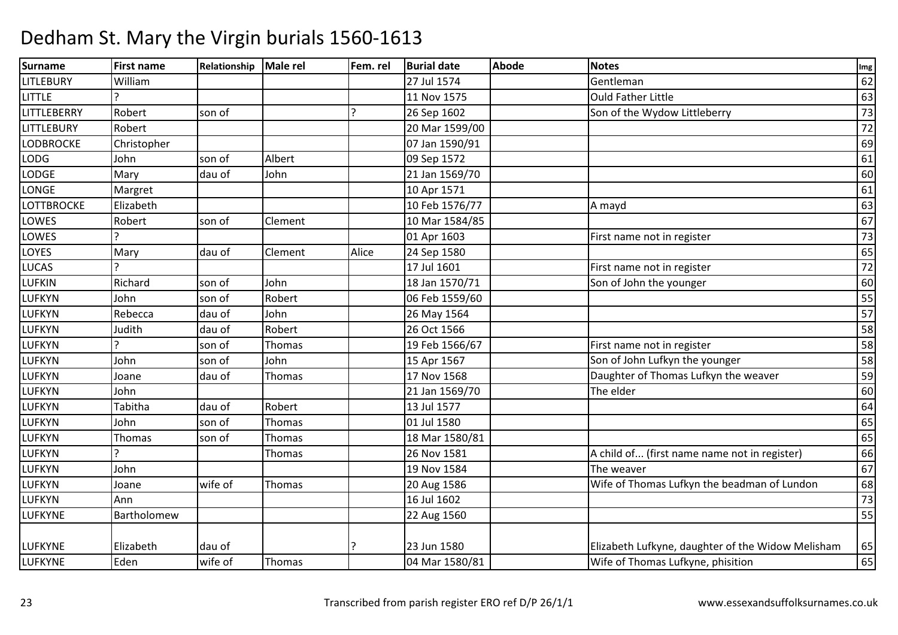| Surname            | <b>First name</b> | Relationship | Male rel | Fem. rel | <b>Burial date</b> | <b>Abode</b> | <b>Notes</b>                                      | Img             |
|--------------------|-------------------|--------------|----------|----------|--------------------|--------------|---------------------------------------------------|-----------------|
| <b>LITLEBURY</b>   | William           |              |          |          | 27 Jul 1574        |              | Gentleman                                         | 62              |
| <b>LITTLE</b>      |                   |              |          |          | 11 Nov 1575        |              | <b>Ould Father Little</b>                         | 63              |
| <b>LITTLEBERRY</b> | Robert            | son of       |          |          | 26 Sep 1602        |              | Son of the Wydow Littleberry                      | 73              |
| <b>LITTLEBURY</b>  | Robert            |              |          |          | 20 Mar 1599/00     |              |                                                   | 72              |
| <b>LODBROCKE</b>   | Christopher       |              |          |          | 07 Jan 1590/91     |              |                                                   | 69              |
| LODG               | John              | son of       | Albert   |          | 09 Sep 1572        |              |                                                   | 61              |
| <b>LODGE</b>       | Mary              | dau of       | John     |          | 21 Jan 1569/70     |              |                                                   | 60              |
| LONGE              | Margret           |              |          |          | 10 Apr 1571        |              |                                                   | 61              |
| <b>LOTTBROCKE</b>  | Elizabeth         |              |          |          | 10 Feb 1576/77     |              | A mayd                                            | 63              |
| LOWES              | Robert            | son of       | Clement  |          | 10 Mar 1584/85     |              |                                                   | 67              |
| LOWES              |                   |              |          |          | 01 Apr 1603        |              | First name not in register                        | 73              |
| LOYES              | Mary              | dau of       | Clement  | Alice    | 24 Sep 1580        |              |                                                   | 65              |
| <b>LUCAS</b>       | $\mathbf{C}$      |              |          |          | 17 Jul 1601        |              | First name not in register                        | $\overline{72}$ |
| <b>LUFKIN</b>      | Richard           | son of       | John     |          | 18 Jan 1570/71     |              | Son of John the younger                           | 60              |
| <b>LUFKYN</b>      | John              | son of       | Robert   |          | 06 Feb 1559/60     |              |                                                   | 55              |
| <b>LUFKYN</b>      | Rebecca           | dau of       | John     |          | 26 May 1564        |              |                                                   | 57              |
| <b>LUFKYN</b>      | Judith            | dau of       | Robert   |          | 26 Oct 1566        |              |                                                   | 58              |
| <b>LUFKYN</b>      |                   | son of       | Thomas   |          | 19 Feb 1566/67     |              | First name not in register                        | 58              |
| LUFKYN             | John              | son of       | John     |          | 15 Apr 1567        |              | Son of John Lufkyn the younger                    | 58              |
| <b>LUFKYN</b>      | Joane             | dau of       | Thomas   |          | 17 Nov 1568        |              | Daughter of Thomas Lufkyn the weaver              | 59              |
| <b>LUFKYN</b>      | John              |              |          |          | 21 Jan 1569/70     |              | The elder                                         | 60              |
| <b>LUFKYN</b>      | Tabitha           | dau of       | Robert   |          | 13 Jul 1577        |              |                                                   | 64              |
| <b>LUFKYN</b>      | John              | son of       | Thomas   |          | 01 Jul 1580        |              |                                                   | 65              |
| <b>LUFKYN</b>      | Thomas            | son of       | Thomas   |          | 18 Mar 1580/81     |              |                                                   | 65              |
| <b>LUFKYN</b>      |                   |              | Thomas   |          | 26 Nov 1581        |              | A child of (first name name not in register)      | 66              |
| <b>LUFKYN</b>      | John              |              |          |          | 19 Nov 1584        |              | The weaver                                        | 67              |
| <b>LUFKYN</b>      | Joane             | wife of      | Thomas   |          | 20 Aug 1586        |              | Wife of Thomas Lufkyn the beadman of Lundon       | 68              |
| <b>LUFKYN</b>      | Ann               |              |          |          | 16 Jul 1602        |              |                                                   | 73              |
| <b>LUFKYNE</b>     | Bartholomew       |              |          |          | 22 Aug 1560        |              |                                                   | 55              |
|                    |                   |              |          |          |                    |              |                                                   |                 |
| <b>LUFKYNE</b>     | Elizabeth         | dau of       |          |          | 23 Jun 1580        |              | Elizabeth Lufkyne, daughter of the Widow Melisham | 65              |
| <b>LUFKYNE</b>     | Eden              | wife of      | Thomas   |          | 04 Mar 1580/81     |              | Wife of Thomas Lufkyne, phisition                 | 65              |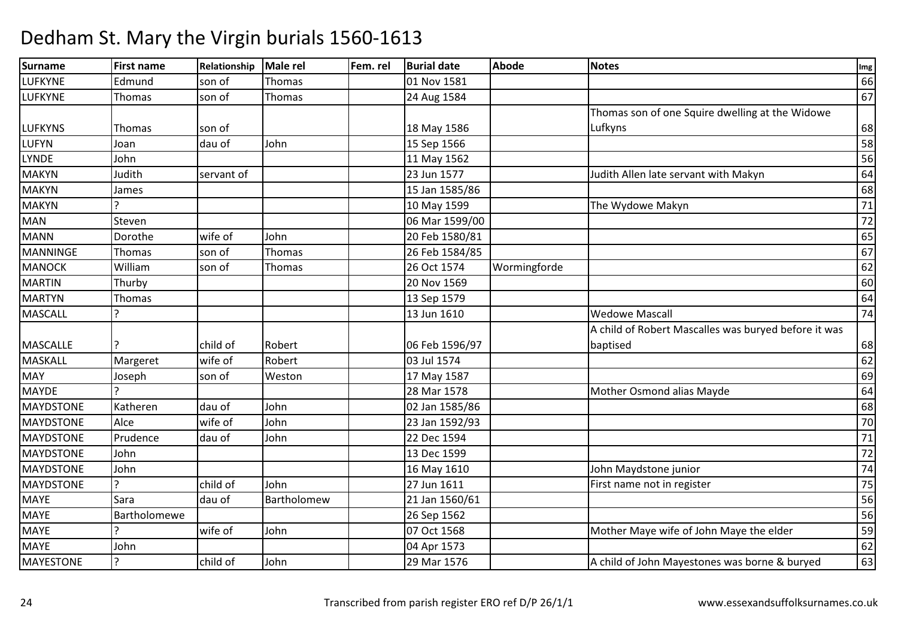| Surname          | <b>First name</b> | Relationship | Male rel    | Fem. rel | <b>Burial date</b> | <b>Abode</b> | <b>Notes</b>                                         | Img    |
|------------------|-------------------|--------------|-------------|----------|--------------------|--------------|------------------------------------------------------|--------|
| <b>LUFKYNE</b>   | Edmund            | son of       | Thomas      |          | 01 Nov 1581        |              |                                                      | 66     |
| LUFKYNE          | Thomas            | son of       | Thomas      |          | 24 Aug 1584        |              |                                                      | 67     |
|                  |                   |              |             |          |                    |              | Thomas son of one Squire dwelling at the Widowe      |        |
| <b>LUFKYNS</b>   | Thomas            | son of       |             |          | 18 May 1586        |              | Lufkyns                                              | 68     |
| LUFYN            | Joan              | dau of       | John        |          | 15 Sep 1566        |              |                                                      | 58     |
| LYNDE            | John              |              |             |          | 11 May 1562        |              |                                                      | 56     |
| <b>MAKYN</b>     | Judith            | servant of   |             |          | 23 Jun 1577        |              | Judith Allen late servant with Makyn                 | 64     |
| <b>MAKYN</b>     | James             |              |             |          | 15 Jan 1585/86     |              |                                                      | 68     |
| <b>MAKYN</b>     |                   |              |             |          | 10 May 1599        |              | The Wydowe Makyn                                     | $71\,$ |
| <b>MAN</b>       | Steven            |              |             |          | 06 Mar 1599/00     |              |                                                      | 72     |
| <b>MANN</b>      | Dorothe           | wife of      | John        |          | 20 Feb 1580/81     |              |                                                      | 65     |
| MANNINGE         | Thomas            | son of       | Thomas      |          | 26 Feb 1584/85     |              |                                                      | 67     |
| <b>MANOCK</b>    | William           | son of       | Thomas      |          | 26 Oct 1574        | Wormingforde |                                                      | 62     |
| <b>MARTIN</b>    | Thurby            |              |             |          | 20 Nov 1569        |              |                                                      | 60     |
| <b>MARTYN</b>    | Thomas            |              |             |          | 13 Sep 1579        |              |                                                      | 64     |
| <b>MASCALL</b>   |                   |              |             |          | 13 Jun 1610        |              | <b>Wedowe Mascall</b>                                | 74     |
|                  |                   |              |             |          |                    |              | A child of Robert Mascalles was buryed before it was |        |
| <b>MASCALLE</b>  |                   | child of     | Robert      |          | 06 Feb 1596/97     |              | baptised                                             | 68     |
| MASKALL          | Margeret          | wife of      | Robert      |          | 03 Jul 1574        |              |                                                      | 62     |
| <b>MAY</b>       | Joseph            | son of       | Weston      |          | 17 May 1587        |              |                                                      | 69     |
| <b>MAYDE</b>     |                   |              |             |          | 28 Mar 1578        |              | Mother Osmond alias Mayde                            | 64     |
| MAYDSTONE        | Katheren          | dau of       | John        |          | 02 Jan 1585/86     |              |                                                      | 68     |
| <b>MAYDSTONE</b> | Alce              | wife of      | John        |          | 23 Jan 1592/93     |              |                                                      | 70     |
| <b>MAYDSTONE</b> | Prudence          | dau of       | John        |          | 22 Dec 1594        |              |                                                      | $71\,$ |
| <b>MAYDSTONE</b> | John              |              |             |          | 13 Dec 1599        |              |                                                      | 72     |
| MAYDSTONE        | John              |              |             |          | 16 May 1610        |              | John Maydstone junior                                | 74     |
| MAYDSTONE        | 5                 | child of     | John        |          | 27 Jun 1611        |              | First name not in register                           | 75     |
| <b>MAYE</b>      | Sara              | dau of       | Bartholomew |          | 21 Jan 1560/61     |              |                                                      | 56     |
| <b>MAYE</b>      | Bartholomewe      |              |             |          | 26 Sep 1562        |              |                                                      | 56     |
| <b>MAYE</b>      | $\overline{a}$    | wife of      | John        |          | 07 Oct 1568        |              | Mother Maye wife of John Maye the elder              | 59     |
| <b>MAYE</b>      | John              |              |             |          | 04 Apr 1573        |              |                                                      | 62     |
| <b>MAYESTONE</b> | ?                 | child of     | John        |          | 29 Mar 1576        |              | A child of John Mayestones was borne & buryed        | 63     |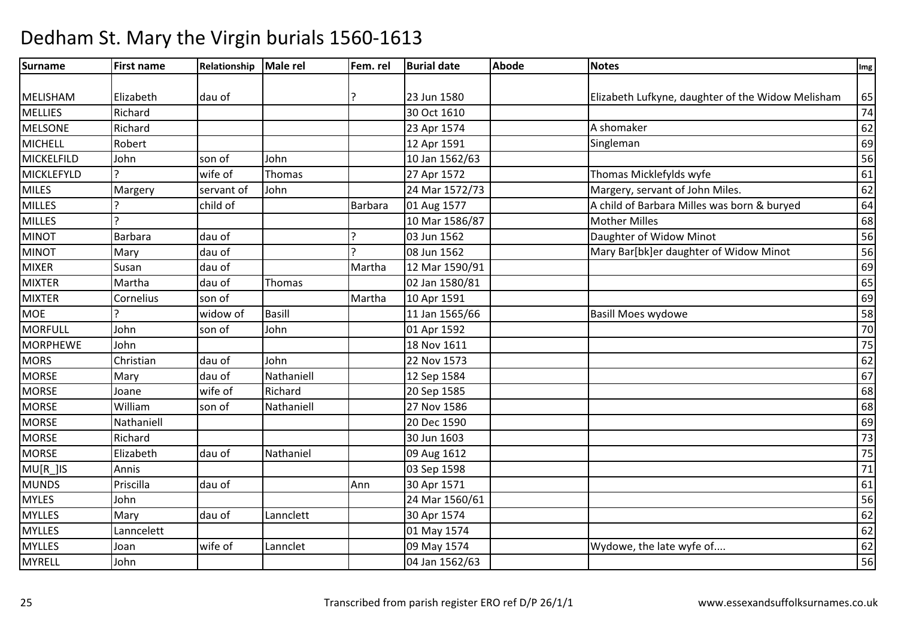| Surname           | <b>First name</b> | Relationship | Male rel      | Fem. rel       | <b>Burial date</b> | <b>Abode</b> | <b>Notes</b>                                      | Img             |
|-------------------|-------------------|--------------|---------------|----------------|--------------------|--------------|---------------------------------------------------|-----------------|
|                   |                   |              |               |                |                    |              |                                                   |                 |
| <b>MELISHAM</b>   | Elizabeth         | dau of       |               |                | 23 Jun 1580        |              | Elizabeth Lufkyne, daughter of the Widow Melisham | 65              |
| <b>MELLIES</b>    | Richard           |              |               |                | 30 Oct 1610        |              |                                                   | 74              |
| <b>MELSONE</b>    | Richard           |              |               |                | 23 Apr 1574        |              | A shomaker                                        | 62              |
| MICHELL           | Robert            |              |               |                | 12 Apr 1591        |              | Singleman                                         | 69              |
| MICKELFILD        | John              | son of       | John          |                | 10 Jan 1562/63     |              |                                                   | 56              |
| <b>MICKLEFYLD</b> |                   | wife of      | Thomas        |                | 27 Apr 1572        |              | Thomas Micklefylds wyfe                           | 61              |
| <b>MILES</b>      | Margery           | servant of   | John          |                | 24 Mar 1572/73     |              | Margery, servant of John Miles.                   | 62              |
| <b>MILLES</b>     |                   | child of     |               | <b>Barbara</b> | 01 Aug 1577        |              | A child of Barbara Milles was born & buryed       | 64              |
| <b>MILLES</b>     |                   |              |               |                | 10 Mar 1586/87     |              | <b>Mother Milles</b>                              | 68              |
| <b>MINOT</b>      | Barbara           | dau of       |               |                | 03 Jun 1562        |              | Daughter of Widow Minot                           | 56              |
| <b>MINOT</b>      | Mary              | dau of       |               |                | 08 Jun 1562        |              | Mary Bar[bk]er daughter of Widow Minot            | 56              |
| <b>MIXER</b>      | Susan             | dau of       |               | Martha         | 12 Mar 1590/91     |              |                                                   | 69              |
| <b>MIXTER</b>     | Martha            | dau of       | Thomas        |                | 02 Jan 1580/81     |              |                                                   | 65              |
| <b>MIXTER</b>     | Cornelius         | son of       |               | Martha         | 10 Apr 1591        |              |                                                   | 69              |
| <b>MOE</b>        |                   | widow of     | <b>Basill</b> |                | 11 Jan 1565/66     |              | <b>Basill Moes wydowe</b>                         | 58              |
| <b>MORFULL</b>    | John              | son of       | John          |                | 01 Apr 1592        |              |                                                   | 70              |
| <b>MORPHEWE</b>   | John              |              |               |                | 18 Nov 1611        |              |                                                   | 75              |
| <b>MORS</b>       | Christian         | dau of       | John          |                | 22 Nov 1573        |              |                                                   | 62              |
| <b>MORSE</b>      | Mary              | dau of       | Nathaniell    |                | 12 Sep 1584        |              |                                                   | 67              |
| <b>MORSE</b>      | Joane             | wife of      | Richard       |                | 20 Sep 1585        |              |                                                   | 68              |
| <b>MORSE</b>      | William           | son of       | Nathaniell    |                | 27 Nov 1586        |              |                                                   | 68              |
| <b>MORSE</b>      | Nathaniell        |              |               |                | 20 Dec 1590        |              |                                                   | 69              |
| <b>MORSE</b>      | Richard           |              |               |                | 30 Jun 1603        |              |                                                   | $\overline{73}$ |
| <b>MORSE</b>      | Elizabeth         | dau of       | Nathaniel     |                | 09 Aug 1612        |              |                                                   | 75              |
| MU[R_]IS          | Annis             |              |               |                | 03 Sep 1598        |              |                                                   | 71              |
| <b>MUNDS</b>      | Priscilla         | dau of       |               | Ann            | 30 Apr 1571        |              |                                                   | 61              |
| <b>MYLES</b>      | John              |              |               |                | 24 Mar 1560/61     |              |                                                   | 56              |
| <b>MYLLES</b>     | Mary              | dau of       | Lannclett     |                | 30 Apr 1574        |              |                                                   | 62              |
| <b>MYLLES</b>     | Lanncelett        |              |               |                | 01 May 1574        |              |                                                   | 62              |
| <b>MYLLES</b>     | Joan              | wife of      | Lannclet      |                | 09 May 1574        |              | Wydowe, the late wyfe of                          | 62              |
| <b>MYRELL</b>     | John              |              |               |                | 04 Jan 1562/63     |              |                                                   | 56              |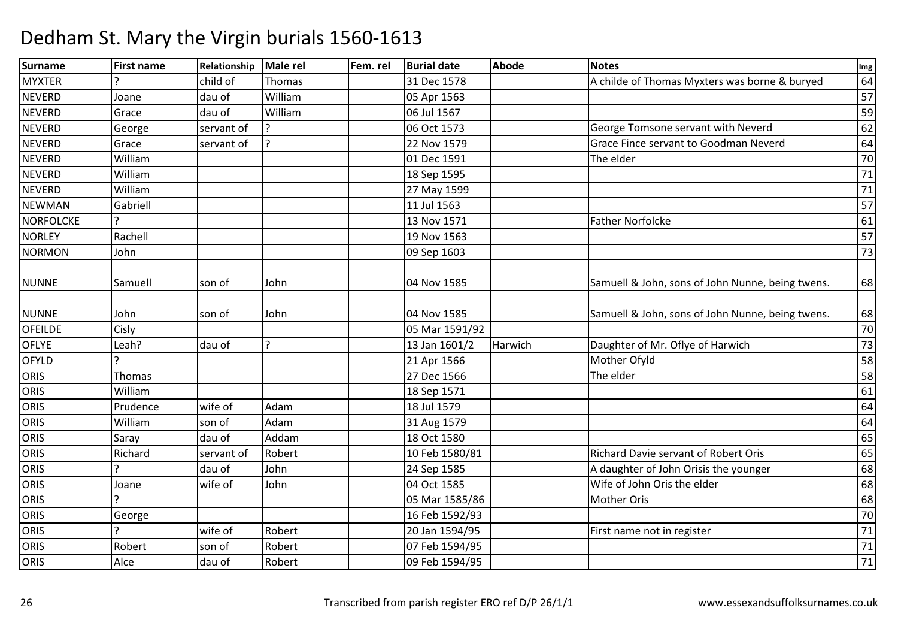#### Surnamee First name Relationship Male rel Fem. rel Burial date Abode Notes International Communication of the Abode **MYXTER** Physics is a child of Thomas and Thomas and the set of S1 Dec 1578 and A childe of Thomas Myxters was borne & buryed and the set of A childe of Thomas Myxters was borne & buryed and the set of  $\frac{1}{57}$ **NEVERD** D Joane dau of William 05 Apr 1563 <sup>57</sup> **NEVERD** D Grace dau of William m 06 Jul 1567  $\frac{1}{2}$  59 **NEVERD** George Servant of Product 2006 Oct 1573 George Tomsone servant with Neverd 62<br>Grace Servant of Product 22 Nov 1579 Grace Fince servant to Goodman Neverd 64 **NEVERD** Proved 22 Nov 1579 Crace Fince servant to Goodman Neverd 64<br>
The elder 70 NEVERD William 01 Dec 1591 The elder <sup>70</sup> **NEVERD**  Williamm 13 Sep 1595 71<br>25 April 18 Sep 1595 72 - 25 April 18 Sep 1595 71 - 25 April 18 Sep 1595 71 - 25 April 1910 **NEVERD** William<br>Gabriell m 27 May 1599 71<br>The contract of the contract of the contract of the contract of the contract of the contract of the contract o NEWMANN Gabriell 157 (11 Jul 1563 – 11 Jul 1563 – 12 Jul 1564 – 13 Jul 150 – 157 – 157 – 157 – 157 – 157 – 157 – 157<br>Sabriell 157 – 157 – 158 – 159 – 159 – 159 – 159 – 159 – 159 – 159 – 159 – 159 – 159 – 159 – 159 – 159 – 159 – **NORFOLCKE**  ? 13 Nov 157113 Nov 1571 Father Norfolcke 61<br>19 Nov 1563 57 **NORLEY** Y Rachell Rachell 29 Nov 1563 3 a contract to the contract of the contract of the contract of the contract of the contract of the contract of the contract of the contract of the contract of the contract of the contract of the contract of the contract o NORMONN John 13 NUNNE Samuell son of John 04 Nov 1585Samuell & John, sons of John Nunne, being twens.  $\begin{bmatrix} 68 \end{bmatrix}$ NUNNE John son of John 04 Nov 1585 Samuell & John, sons of John Nunne, being twens. <sup>68</sup> **OFFILDE** Cisly Cisly (1591/92) 2 | 70 OFLYE Leah? dau of ? 13 Jan 1601/2 HarwichDaughter of Mr. Oflye of Harwich 73<br>Mother Ofyld 58 OFYLD ? 21 Apr 1566 Mother Ofyld <sup>58</sup> **ORIS**  Thomas 27 Dec 15666 The elder 58 **ORIS**  Williamm 18 Sep 1571 61<br>18 Sep 1571 62 Sep 1571 61 **ORIS**  Prudencewife of Adam m  $18$  Jul 1579  $\frac{1}{24}$   $\frac{1}{272}$   $\frac{1}{272}$   $\frac{1}{272}$   $\frac{1}{272}$   $\frac{1}{272}$   $\frac{1}{272}$   $\frac{1}{272}$   $\frac{1}{272}$   $\frac{1}{272}$   $\frac{1}{272}$   $\frac{1}{272}$   $\frac{1}{272}$   $\frac{1}{272}$   $\frac{1}{272}$   $\frac{1}{272}$   $\frac{1}{272}$   $\$ **ORIS**  Williamm son of Adam 31 Aug 1579 64<br>1980 - Carl Line 1, 1980 1980 1980 64 **ORIS** Saray dau of Addam 18 Oct 1580 <sup>65</sup> **ORIS**  Richardservant of Robert 10 Feb 1580/81 Richard Davie servant of Robert Oris 65<br>
and the servant of Robert Oris 10 Feb 1580/81<br>
A daughter of John Orisis the younger **ORIS**  ?dau of A daughter of John Orisis the younger 68<br>Wife of John Oris the elder 68 ORIS Joane wife of John04 Oct 1585 Wife of John Oris the elder 68<br>05 Mar 1585/86 Mother Oris 68 **ORIS**  ? 05 Mar 1585/866 Mother Oris 68 **ORIS George**  16 Feb 1592/93 $\overline{3}$  70 **ORIS**  ?wife of Robert 1 20 Jan 1594/95 First name not in register 71<br>71 **ORIS** Robert son of Robert 1 and 107 Feb 1594/95 <sup>71</sup> **ORIS**  Alcedau of Robert 1 09 Feb 1594/95 <sup>71</sup>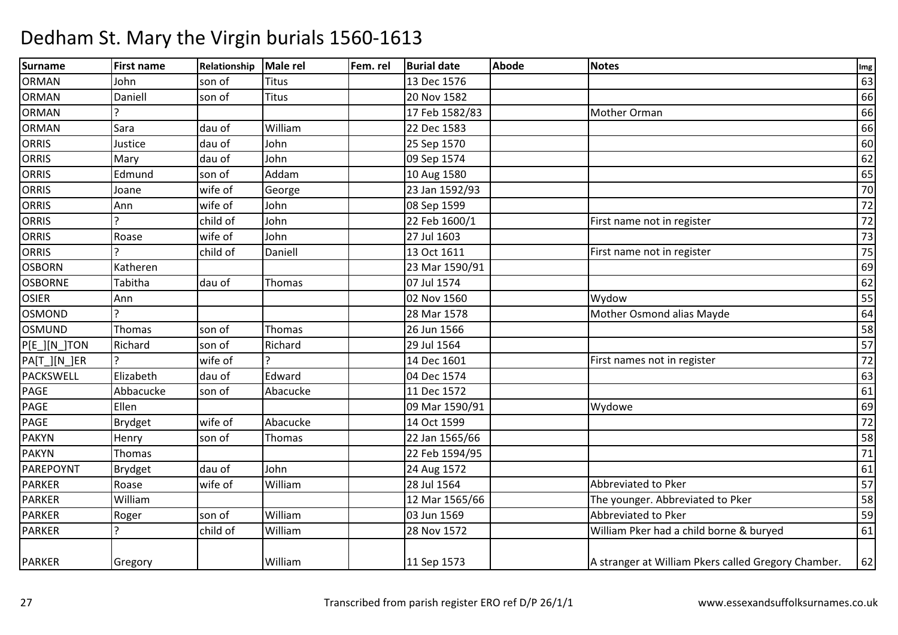| Surname          | <b>First name</b>     | Relationship | Male rel     | Fem. rel | <b>Burial date</b> | <b>Abode</b> | <b>Notes</b>                                        | Img    |
|------------------|-----------------------|--------------|--------------|----------|--------------------|--------------|-----------------------------------------------------|--------|
| <b>ORMAN</b>     | John                  | son of       | <b>Titus</b> |          | 13 Dec 1576        |              |                                                     | 63     |
| <b>ORMAN</b>     | Daniell               | son of       | <b>Titus</b> |          | 20 Nov 1582        |              |                                                     | 66     |
| <b>ORMAN</b>     |                       |              |              |          | 17 Feb 1582/83     |              | Mother Orman                                        | 66     |
| <b>ORMAN</b>     | Sara                  | dau of       | William      |          | 22 Dec 1583        |              |                                                     | 66     |
| <b>ORRIS</b>     | Justice               | dau of       | John         |          | 25 Sep 1570        |              |                                                     | 60     |
| <b>ORRIS</b>     | Mary                  | dau of       | John         |          | 09 Sep 1574        |              |                                                     | 62     |
| <b>ORRIS</b>     | Edmund                | son of       | Addam        |          | 10 Aug 1580        |              |                                                     | 65     |
| <b>ORRIS</b>     | Joane                 | wife of      | George       |          | 23 Jan 1592/93     |              |                                                     | 70     |
| ORRIS            | Ann                   | wife of      | John         |          | 08 Sep 1599        |              |                                                     | 72     |
| <b>ORRIS</b>     |                       | child of     | John         |          | 22 Feb 1600/1      |              | First name not in register                          | 72     |
| <b>ORRIS</b>     | Roase                 | wife of      | John         |          | 27 Jul 1603        |              |                                                     | 73     |
| <b>ORRIS</b>     |                       | child of     | Daniell      |          | 13 Oct 1611        |              | First name not in register                          | 75     |
| <b>OSBORN</b>    | Katheren              |              |              |          | 23 Mar 1590/91     |              |                                                     | 69     |
| <b>OSBORNE</b>   | Tabitha               | dau of       | Thomas       |          | 07 Jul 1574        |              |                                                     | 62     |
| <b>OSIER</b>     | Ann                   |              |              |          | 02 Nov 1560        |              | Wydow                                               | 55     |
| <b>OSMOND</b>    | $\mathcal{P}$         |              |              |          | 28 Mar 1578        |              | Mother Osmond alias Mayde                           | 64     |
| <b>OSMUND</b>    | Thomas                | son of       | Thomas       |          | 26 Jun 1566        |              |                                                     | 58     |
| P[E_][N_]TON     | Richard               | son of       | Richard      |          | 29 Jul 1564        |              |                                                     | 57     |
| PA[T_][N_]ER     |                       | wife of      |              |          | 14 Dec 1601        |              | First names not in register                         | 72     |
| <b>PACKSWELL</b> | Elizabeth             | dau of       | Edward       |          | 04 Dec 1574        |              |                                                     | 63     |
| PAGE             | Abbacucke             | son of       | Abacucke     |          | 11 Dec 1572        |              |                                                     | 61     |
| PAGE             | Ellen                 |              |              |          | 09 Mar 1590/91     |              | Wydowe                                              | 69     |
| PAGE             | Brydget               | wife of      | Abacucke     |          | 14 Oct 1599        |              |                                                     | 72     |
| <b>PAKYN</b>     | Henry                 | son of       | Thomas       |          | 22 Jan 1565/66     |              |                                                     | 58     |
| <b>PAKYN</b>     | Thomas                |              |              |          | 22 Feb 1594/95     |              |                                                     | $71\,$ |
| PAREPOYNT        | <b>Brydget</b>        | dau of       | John         |          | 24 Aug 1572        |              |                                                     | 61     |
| <b>PARKER</b>    | Roase                 | wife of      | William      |          | 28 Jul 1564        |              | Abbreviated to Pker                                 | 57     |
| <b>PARKER</b>    | William               |              |              |          | 12 Mar 1565/66     |              | The younger. Abbreviated to Pker                    | 58     |
| <b>PARKER</b>    | Roger                 | son of       | William      |          | 03 Jun 1569        |              | Abbreviated to Pker                                 | 59     |
| <b>PARKER</b>    | $\boldsymbol{\gamma}$ | child of     | William      |          | 28 Nov 1572        |              | William Pker had a child borne & buryed             | 61     |
| <b>PARKER</b>    | Gregory               |              | William      |          | 11 Sep 1573        |              | A stranger at William Pkers called Gregory Chamber. | 62     |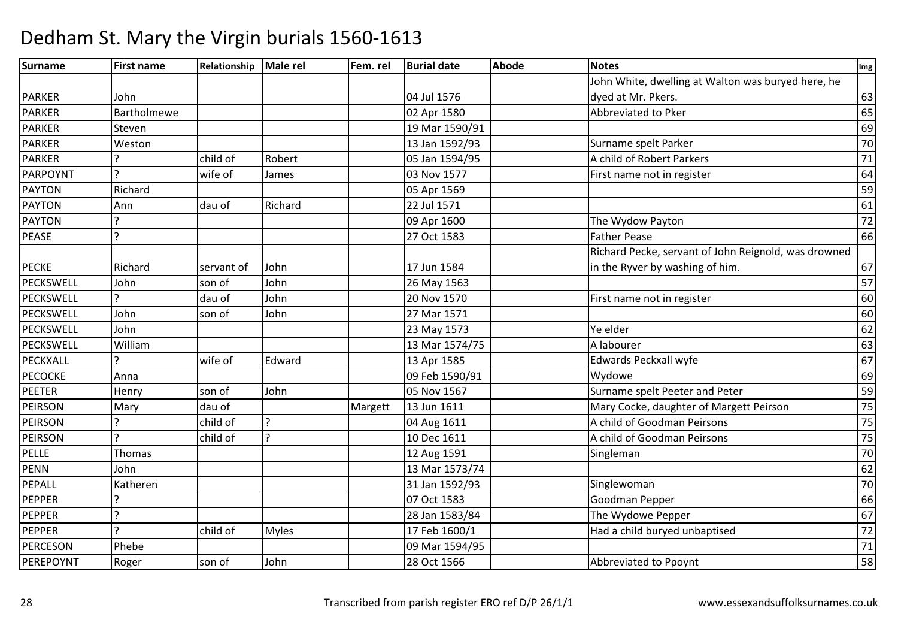| Surname          | <b>First name</b> | Relationship | Male rel       | Fem. rel | <b>Burial date</b> | <b>Abode</b> | <b>Notes</b>                                         | Img             |
|------------------|-------------------|--------------|----------------|----------|--------------------|--------------|------------------------------------------------------|-----------------|
|                  |                   |              |                |          |                    |              | John White, dwelling at Walton was buryed here, he   |                 |
| <b>PARKER</b>    | John              |              |                |          | 04 Jul 1576        |              | dyed at Mr. Pkers.                                   | 63              |
| <b>PARKER</b>    | Bartholmewe       |              |                |          | 02 Apr 1580        |              | Abbreviated to Pker                                  | 65              |
| <b>PARKER</b>    | Steven            |              |                |          | 19 Mar 1590/91     |              |                                                      | 69              |
| PARKER           | Weston            |              |                |          | 13 Jan 1592/93     |              | Surname spelt Parker                                 | 70              |
| <b>PARKER</b>    |                   | child of     | Robert         |          | 05 Jan 1594/95     |              | A child of Robert Parkers                            | $71\,$          |
| PARPOYNT         | $\mathbf{C}$      | wife of      | James          |          | 03 Nov 1577        |              | First name not in register                           | 64              |
| <b>PAYTON</b>    | Richard           |              |                |          | 05 Apr 1569        |              |                                                      | 59              |
| <b>PAYTON</b>    | Ann               | dau of       | Richard        |          | 22 Jul 1571        |              |                                                      | 61              |
| PAYTON           | $\mathbf{C}$      |              |                |          | 09 Apr 1600        |              | The Wydow Payton                                     | 72              |
| <b>PEASE</b>     | $\overline{a}$    |              |                |          | 27 Oct 1583        |              | <b>Father Pease</b>                                  | 66              |
|                  |                   |              |                |          |                    |              | Richard Pecke, servant of John Reignold, was drowned |                 |
| <b>PECKE</b>     | Richard           | servant of   | John           |          | 17 Jun 1584        |              | in the Ryver by washing of him.                      | 67              |
| PECKSWELL        | John              | son of       | John           |          | 26 May 1563        |              |                                                      | 57              |
| <b>PECKSWELL</b> |                   | dau of       | John           |          | 20 Nov 1570        |              | First name not in register                           | 60              |
| PECKSWELL        | John              | son of       | John           |          | 27 Mar 1571        |              |                                                      | 60              |
| PECKSWELL        | John              |              |                |          | 23 May 1573        |              | Ye elder                                             | 62              |
| PECKSWELL        | William           |              |                |          | 13 Mar 1574/75     |              | A labourer                                           | 63              |
| PECKXALL         |                   | wife of      | Edward         |          | 13 Apr 1585        |              | Edwards Peckxall wyfe                                | 67              |
| <b>PECOCKE</b>   | Anna              |              |                |          | 09 Feb 1590/91     |              | Wydowe                                               | 69              |
| <b>PEETER</b>    | Henry             | son of       | John           |          | 05 Nov 1567        |              | Surname spelt Peeter and Peter                       | 59              |
| PEIRSON          | Mary              | dau of       |                | Margett  | 13 Jun 1611        |              | Mary Cocke, daughter of Margett Peirson              | 75              |
| PEIRSON          |                   | child of     | 2              |          | 04 Aug 1611        |              | A child of Goodman Peirsons                          | 75              |
| <b>PEIRSON</b>   | $\mathcal{L}$     | child of     | $\overline{a}$ |          | 10 Dec 1611        |              | A child of Goodman Peirsons                          | 75              |
| PELLE            | Thomas            |              |                |          | 12 Aug 1591        |              | Singleman                                            | 70              |
| <b>PENN</b>      | John              |              |                |          | 13 Mar 1573/74     |              |                                                      | 62              |
| PEPALL           | Katheren          |              |                |          | 31 Jan 1592/93     |              | Singlewoman                                          | $\overline{70}$ |
| PEPPER           | $\overline{?}$    |              |                |          | 07 Oct 1583        |              | Goodman Pepper                                       | 66              |
| PEPPER           | $\overline{?}$    |              |                |          | 28 Jan 1583/84     |              | The Wydowe Pepper                                    | 67              |
| PEPPER           | $\overline{z}$    | child of     | <b>Myles</b>   |          | 17 Feb 1600/1      |              | Had a child buryed unbaptised                        | 72              |
| PERCESON         | Phebe             |              |                |          | 09 Mar 1594/95     |              |                                                      | $\overline{71}$ |
| PEREPOYNT        | Roger             | son of       | John           |          | 28 Oct 1566        |              | Abbreviated to Ppoynt                                | 58              |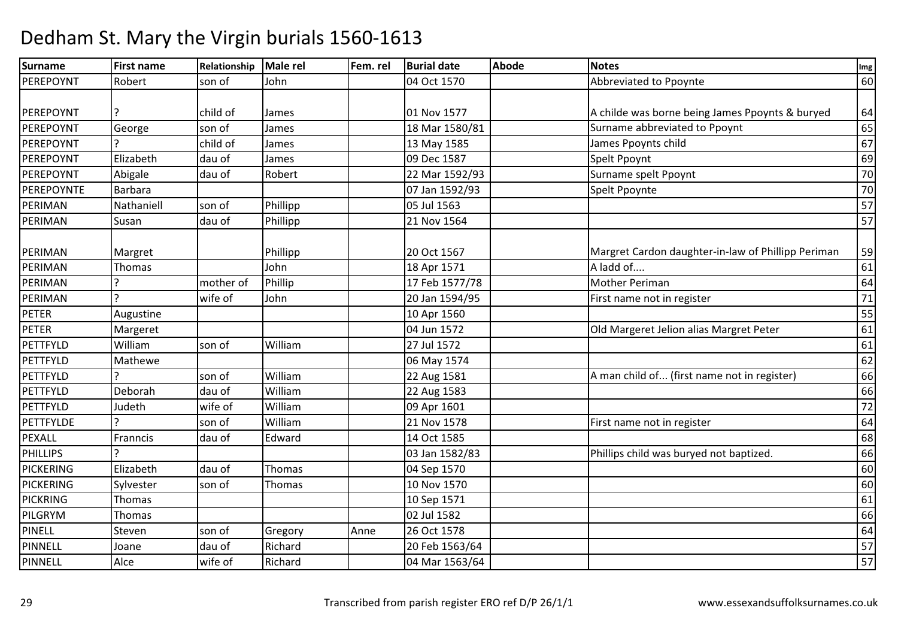| Surname          | <b>First name</b> | Relationship | Male rel | Fem. rel | <b>Burial date</b> | <b>Abode</b> | <b>Notes</b>                                       | Img    |
|------------------|-------------------|--------------|----------|----------|--------------------|--------------|----------------------------------------------------|--------|
| PEREPOYNT        | Robert            | son of       | John     |          | 04 Oct 1570        |              | Abbreviated to Ppoynte                             | 60     |
|                  |                   |              |          |          |                    |              |                                                    |        |
| PEREPOYNT        |                   | child of     | James    |          | 01 Nov 1577        |              | A childe was borne being James Ppoynts & buryed    | 64     |
| PEREPOYNT        | George            | son of       | James    |          | 18 Mar 1580/81     |              | Surname abbreviated to Ppoynt                      | 65     |
| PEREPOYNT        |                   | child of     | James    |          | 13 May 1585        |              | James Ppoynts child                                | 67     |
| PEREPOYNT        | Elizabeth         | dau of       | James    |          | 09 Dec 1587        |              | Spelt Ppoynt                                       | 69     |
| PEREPOYNT        | Abigale           | dau of       | Robert   |          | 22 Mar 1592/93     |              | Surname spelt Ppoynt                               | 70     |
| PEREPOYNTE       | <b>Barbara</b>    |              |          |          | 07 Jan 1592/93     |              | Spelt Ppoynte                                      | 70     |
| PERIMAN          | Nathaniell        | son of       | Phillipp |          | 05 Jul 1563        |              |                                                    | 57     |
| PERIMAN          | Susan             | dau of       | Phillipp |          | 21 Nov 1564        |              |                                                    | 57     |
|                  |                   |              |          |          |                    |              |                                                    |        |
| PERIMAN          | Margret           |              | Phillipp |          | 20 Oct 1567        |              | Margret Cardon daughter-in-law of Phillipp Periman | 59     |
| PERIMAN          | Thomas            |              | John     |          | 18 Apr 1571        |              | A ladd of                                          | 61     |
| PERIMAN          |                   | mother of    | Phillip  |          | 17 Feb 1577/78     |              | <b>Mother Periman</b>                              | 64     |
| PERIMAN          |                   | wife of      | John     |          | 20 Jan 1594/95     |              | First name not in register                         | $71\,$ |
| <b>PETER</b>     | Augustine         |              |          |          | 10 Apr 1560        |              |                                                    | 55     |
| PETER            | Margeret          |              |          |          | 04 Jun 1572        |              | Old Margeret Jelion alias Margret Peter            | 61     |
| PETTFYLD         | William           | son of       | William  |          | 27 Jul 1572        |              |                                                    | 61     |
| PETTFYLD         | Mathewe           |              |          |          | 06 May 1574        |              |                                                    | 62     |
| PETTFYLD         |                   | son of       | William  |          | 22 Aug 1581        |              | A man child of (first name not in register)        | 66     |
| PETTFYLD         | Deborah           | dau of       | William  |          | 22 Aug 1583        |              |                                                    | 66     |
| PETTFYLD         | Judeth            | wife of      | William  |          | 09 Apr 1601        |              |                                                    | 72     |
| PETTFYLDE        |                   | son of       | William  |          | 21 Nov 1578        |              | First name not in register                         | 64     |
| <b>PEXALL</b>    | Franncis          | dau of       | Edward   |          | 14 Oct 1585        |              |                                                    | 68     |
| <b>PHILLIPS</b>  |                   |              |          |          | 03 Jan 1582/83     |              | Phillips child was buryed not baptized.            | 66     |
| <b>PICKERING</b> | Elizabeth         | dau of       | Thomas   |          | 04 Sep 1570        |              |                                                    | 60     |
| <b>PICKERING</b> | Sylvester         | son of       | Thomas   |          | 10 Nov 1570        |              |                                                    | 60     |
| PICKRING         | Thomas            |              |          |          | 10 Sep 1571        |              |                                                    | 61     |
| PILGRYM          | Thomas            |              |          |          | 02 Jul 1582        |              |                                                    | 66     |
| PINELL           | Steven            | son of       | Gregory  | Anne     | 26 Oct 1578        |              |                                                    | 64     |
| PINNELL          | Joane             | dau of       | Richard  |          | 20 Feb 1563/64     |              |                                                    | 57     |
| PINNELL          | Alce              | wife of      | Richard  |          | 04 Mar 1563/64     |              |                                                    | 57     |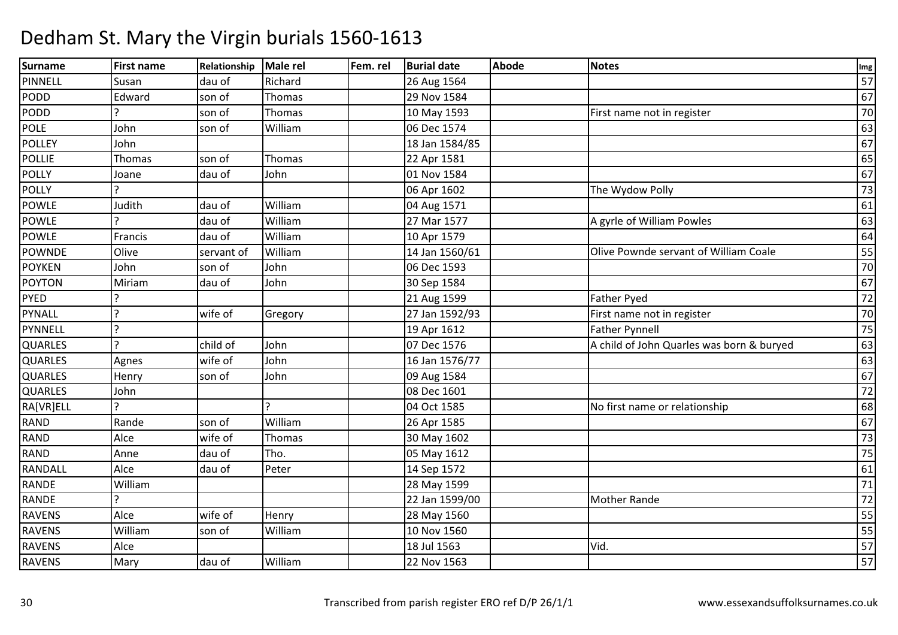#### Surnamee First name Relationship Male rel Fem. rel Burial date Abode Notes International Communication of the Abode PINNELL Susan dau of Richard 26 Aug 1564 <sup>57</sup> PODDD Edward son of Thomas 29 Nov 1584 20 Nov 1594 67 PODDD 10 May 1593 First name not in register 10 May 1593 First name not in register 170 POLE John son of Williamm 06 Dec 1574 63<br>  $\frac{1}{2}$  63 **POLLEY**  Johnn 18 Jan 1584/85 (18 Jan 1584/85 contracts to the contracts of the contracts of the contracts of the contracts<br>And the contracts of the contracts of the contracts of the contracts of the contracts of the contracts of the c POLLIEE Thomas Son of Thomas 22 Apr 1581  $\frac{1}{1}$  65 POLLY Joane dau of John 01 Nov 1584 <sup>67</sup> POLLY ? 06 Apr 160206 Apr 1602 The Wydow Polly 73<br>04 Aug 1571 61 POWLE Judithdau of Milliam<br>|<br>| dau of Milliam 04 Aug 1571 <sup>61</sup> POWLE ? dau of WilliamVilliam 27 Mar 1577 A gyrle of William Powles 63<br>
William 10 Apr 1579 64 POWLEE Francis dau of William m 10 Apr 1579 64<br>14 Apr 1570 64 POWNDEOlive<br>John servant of William<br>son of John 14 Jan 1560/61 **Olive Pownde servant of William Coale** 55<br>06 Dec 1593 70 **POYKEN**  John son of John 06 Dec 1593 <sup>70</sup> POYTON Miriamm dau of John 30 Sep 1584 67 (1990) of the data of the separate of the separate of the separate of the separate of the separate of the separate of the separate of the separate of the separate of the separate of the separat PYED ? 21 Aug 1599 Father Pyed <sup>72</sup> PYNALL<u>.</u><br>2 wife of Gregory 27 Jan 1592/93First name not in register 70<br>Father Pynnell 75 PYNNELL ?? 19 Apr 1612 19 Apr 1612 The Father Pynnell<br>19 Apr 1612 The State of John Quarles was born & buryed QUARLES ? child of JohnA child of John Quarles was born & buryed 63 QUARLESAgnes wife of John n 16 Jan 1576/77 | 16 Jan 1576/77 | 16 Jan 1576/77 | 16 Jan 1576 | 163 **QUARLES** S Henry son of John 09 Aug 1584 <sup>67</sup> **QUARLES**  John 08 Dec 1601 <sup>72</sup> **RAIVRIELL**  ? ? 04 Oct 158504 Oct 1585 No first name or relationship 68<br>26 Apr 1585 67 RANDD Rande son of William m 26 Apr 1585 67<br>
and the contract of the contract of the contract of the contract of the contract of the contract of the contra<br>
and the contract of the contract of the contract of the contract of the contract of the cont RANDD Alce wife of Thomas 30 May 1602 73 RANDD Anne dau of Tho. 05 May 1612 175 **RANDALL**  Alcedau of Peter 14 Sep 1572 2 a contract a contract of the contract of the contract of the contract of the contract of the contract of the<br>International contract of the contract of the contract of the contract of the contract of the contract of the RANDE William 28 May 1599 <sup>71</sup> RANDE ? 22 Jan 1599/00Mother Rande 72 RAVENS Alce $H$ enry  $\vert$  28 May 1560 0 55 RAVENS William son of William 10 Nov 1560 <sup>55</sup> RAVENS Alcee 18 Jul 1563<br>2001 - Jan Jul 1563 3 Vid. 57 RAVENSS Mary dau of William 22 Nov 1563 <sup>57</sup>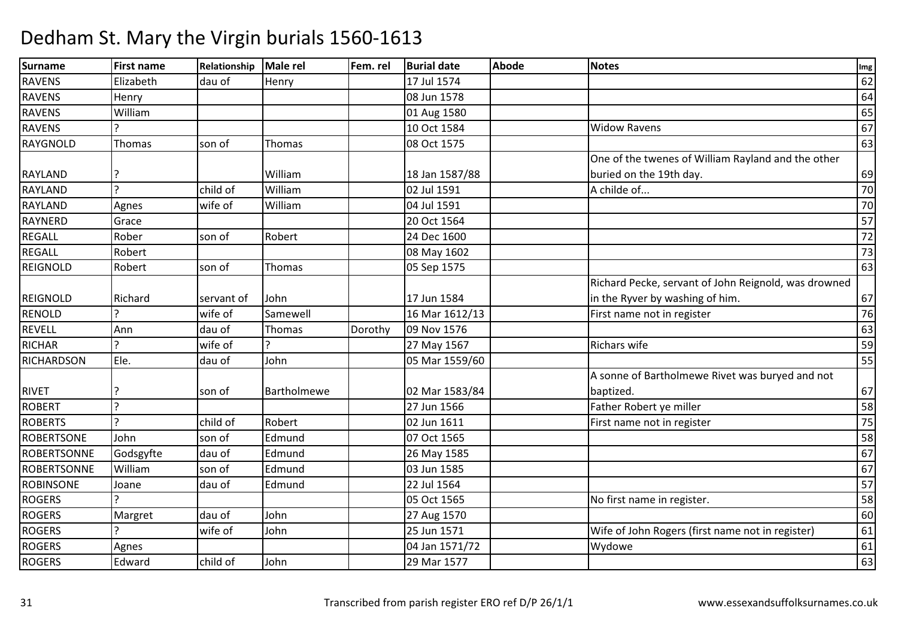| Surname            | <b>First name</b> | Relationship | Male rel    | Fem. rel | <b>Burial date</b> | <b>Abode</b> | <b>Notes</b>                                         | Img             |
|--------------------|-------------------|--------------|-------------|----------|--------------------|--------------|------------------------------------------------------|-----------------|
| <b>RAVENS</b>      | Elizabeth         | dau of       | Henry       |          | 17 Jul 1574        |              |                                                      | 62              |
| RAVENS             | Henry             |              |             |          | 08 Jun 1578        |              |                                                      | 64              |
| <b>RAVENS</b>      | William           |              |             |          | 01 Aug 1580        |              |                                                      | 65              |
| <b>RAVENS</b>      |                   |              |             |          | 10 Oct 1584        |              | <b>Widow Ravens</b>                                  | 67              |
| <b>RAYGNOLD</b>    | Thomas            | son of       | Thomas      |          | 08 Oct 1575        |              |                                                      | 63              |
|                    |                   |              |             |          |                    |              | One of the twenes of William Rayland and the other   |                 |
| <b>RAYLAND</b>     |                   |              | William     |          | 18 Jan 1587/88     |              | buried on the 19th day.                              | 69              |
| <b>RAYLAND</b>     | $\overline{2}$    | child of     | William     |          | 02 Jul 1591        |              | A childe of                                          | 70              |
| <b>RAYLAND</b>     | Agnes             | wife of      | William     |          | 04 Jul 1591        |              |                                                      | $\overline{70}$ |
| <b>RAYNERD</b>     | Grace             |              |             |          | 20 Oct 1564        |              |                                                      | 57              |
| <b>REGALL</b>      | Rober             | son of       | Robert      |          | 24 Dec 1600        |              |                                                      | 72              |
| <b>REGALL</b>      | Robert            |              |             |          | 08 May 1602        |              |                                                      | 73              |
| <b>REIGNOLD</b>    | Robert            | son of       | Thomas      |          | 05 Sep 1575        |              |                                                      | 63              |
|                    |                   |              |             |          |                    |              | Richard Pecke, servant of John Reignold, was drowned |                 |
| <b>REIGNOLD</b>    | Richard           | servant of   | John        |          | 17 Jun 1584        |              | in the Ryver by washing of him.                      | 67              |
| <b>RENOLD</b>      |                   | wife of      | Samewell    |          | 16 Mar 1612/13     |              | First name not in register                           | 76              |
| <b>REVELL</b>      | Ann               | dau of       | Thomas      | Dorothy  | 09 Nov 1576        |              |                                                      | 63              |
| <b>RICHAR</b>      |                   | wife of      |             |          | 27 May 1567        |              | <b>Richars wife</b>                                  | 59              |
| <b>RICHARDSON</b>  | Ele.              | dau of       | John        |          | 05 Mar 1559/60     |              |                                                      | 55              |
|                    |                   |              |             |          |                    |              | A sonne of Bartholmewe Rivet was buryed and not      |                 |
| <b>RIVET</b>       | ?                 | son of       | Bartholmewe |          | 02 Mar 1583/84     |              | baptized.                                            | 67              |
| <b>ROBERT</b>      | $\overline{ }$    |              |             |          | 27 Jun 1566        |              | Father Robert ye miller                              | 58              |
| <b>ROBERTS</b>     |                   | child of     | Robert      |          | 02 Jun 1611        |              | First name not in register                           | 75              |
| <b>ROBERTSONE</b>  | John              | son of       | Edmund      |          | 07 Oct 1565        |              |                                                      | $\overline{58}$ |
| <b>ROBERTSONNE</b> | Godsgyfte         | dau of       | Edmund      |          | 26 May 1585        |              |                                                      | 67              |
| <b>ROBERTSONNE</b> | William           | son of       | Edmund      |          | 03 Jun 1585        |              |                                                      | 67              |
| <b>ROBINSONE</b>   | Joane             | dau of       | Edmund      |          | 22 Jul 1564        |              |                                                      | 57              |
| <b>ROGERS</b>      |                   |              |             |          | 05 Oct 1565        |              | No first name in register.                           | 58              |
| <b>ROGERS</b>      | Margret           | dau of       | John        |          | 27 Aug 1570        |              |                                                      | 60              |
| <b>ROGERS</b>      |                   | wife of      | John        |          | 25 Jun 1571        |              | Wife of John Rogers (first name not in register)     | 61              |
| <b>ROGERS</b>      | Agnes             |              |             |          | 04 Jan 1571/72     |              | Wydowe                                               | 61              |
| <b>ROGERS</b>      | Edward            | child of     | John        |          | 29 Mar 1577        |              |                                                      | 63              |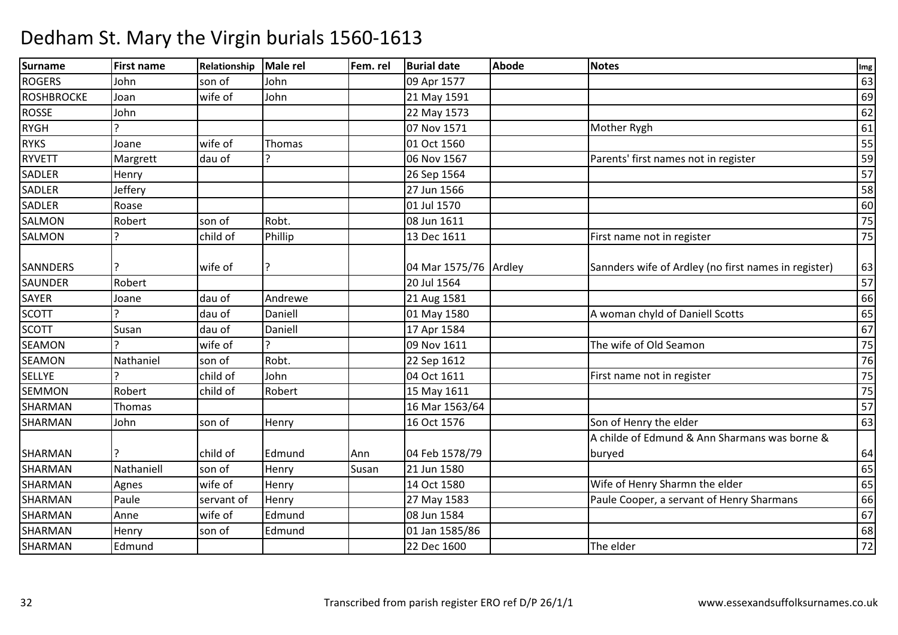| <b>Surname</b>  | <b>First name</b> | Relationship | <b>Male rel</b> | Fem. rel | <b>Burial date</b>    | <b>Abode</b> | <b>Notes</b>                                         | Img |
|-----------------|-------------------|--------------|-----------------|----------|-----------------------|--------------|------------------------------------------------------|-----|
| <b>ROGERS</b>   | John              | son of       | John            |          | 09 Apr 1577           |              |                                                      | 63  |
| ROSHBROCKE      | Joan              | wife of      | John            |          | 21 May 1591           |              |                                                      | 69  |
| <b>ROSSE</b>    | John              |              |                 |          | 22 May 1573           |              |                                                      | 62  |
| <b>RYGH</b>     |                   |              |                 |          | 07 Nov 1571           |              | Mother Rygh                                          | 61  |
| <b>RYKS</b>     | Joane             | wife of      | Thomas          |          | 01 Oct 1560           |              |                                                      | 55  |
| <b>RYVETT</b>   | Margrett          | dau of       |                 |          | 06 Nov 1567           |              | Parents' first names not in register                 | 59  |
| <b>SADLER</b>   | Henry             |              |                 |          | 26 Sep 1564           |              |                                                      | 57  |
| <b>SADLER</b>   | Jeffery           |              |                 |          | 27 Jun 1566           |              |                                                      | 58  |
| <b>SADLER</b>   | Roase             |              |                 |          | 01 Jul 1570           |              |                                                      | 60  |
| SALMON          | Robert            | son of       | Robt.           |          | 08 Jun 1611           |              |                                                      | 75  |
| <b>SALMON</b>   | C                 | child of     | Phillip         |          | 13 Dec 1611           |              | First name not in register                           | 75  |
| <b>SANNDERS</b> |                   | wife of      |                 |          | 04 Mar 1575/76 Ardley |              | Sannders wife of Ardley (no first names in register) | 63  |
| <b>SAUNDER</b>  | Robert            |              |                 |          | 20 Jul 1564           |              |                                                      | 57  |
| <b>SAYER</b>    | Joane             | dau of       | Andrewe         |          | 21 Aug 1581           |              |                                                      | 66  |
| <b>SCOTT</b>    |                   | dau of       | Daniell         |          | 01 May 1580           |              | A woman chyld of Daniell Scotts                      | 65  |
| <b>SCOTT</b>    | Susan             | dau of       | Daniell         |          | 17 Apr 1584           |              |                                                      | 67  |
| <b>SEAMON</b>   |                   | wife of      |                 |          | 09 Nov 1611           |              | The wife of Old Seamon                               | 75  |
| <b>SEAMON</b>   | Nathaniel         | son of       | Robt.           |          | 22 Sep 1612           |              |                                                      | 76  |
| <b>SELLYE</b>   |                   | child of     | John            |          | 04 Oct 1611           |              | First name not in register                           | 75  |
| <b>SEMMON</b>   | Robert            | child of     | Robert          |          | 15 May 1611           |              |                                                      | 75  |
| SHARMAN         | Thomas            |              |                 |          | 16 Mar 1563/64        |              |                                                      | 57  |
| SHARMAN         | John              | son of       | Henry           |          | 16 Oct 1576           |              | Son of Henry the elder                               | 63  |
|                 |                   |              |                 |          |                       |              | A childe of Edmund & Ann Sharmans was borne &        |     |
| <b>SHARMAN</b>  |                   | child of     | Edmund          | Ann      | 04 Feb 1578/79        |              | buryed                                               | 64  |
| SHARMAN         | Nathaniell        | son of       | Henry           | Susan    | 21 Jun 1580           |              |                                                      | 65  |
| <b>SHARMAN</b>  | Agnes             | wife of      | Henry           |          | 14 Oct 1580           |              | Wife of Henry Sharmn the elder                       | 65  |
| SHARMAN         | Paule             | servant of   | Henry           |          | 27 May 1583           |              | Paule Cooper, a servant of Henry Sharmans            | 66  |
| SHARMAN         | Anne              | wife of      | Edmund          |          | 08 Jun 1584           |              |                                                      | 67  |
| SHARMAN         | Henry             | son of       | Edmund          |          | 01 Jan 1585/86        |              |                                                      | 68  |
| SHARMAN         | Edmund            |              |                 |          | 22 Dec 1600           |              | The elder                                            | 72  |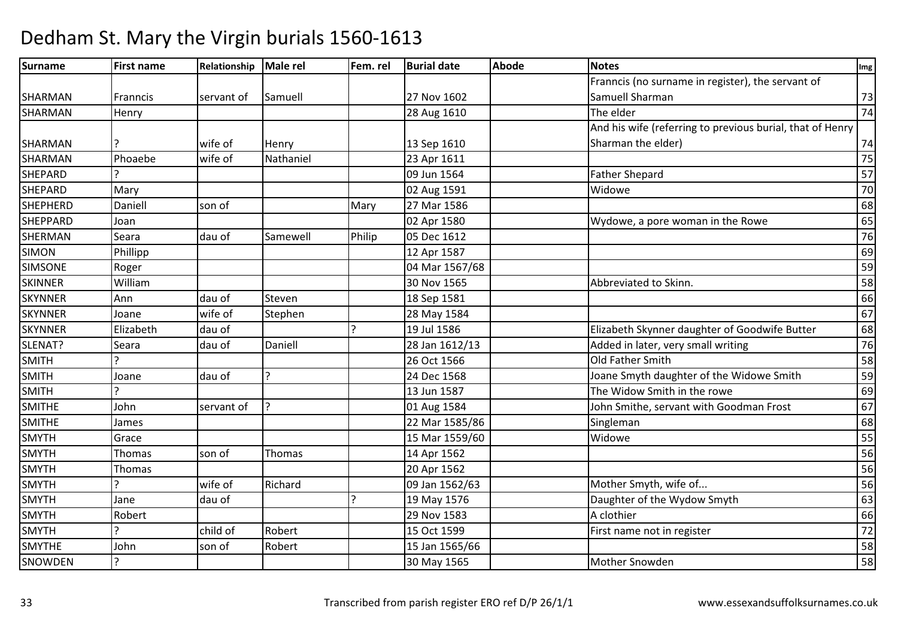| Surname         | <b>First name</b> | Relationship | Male rel  | Fem. rel | <b>Burial date</b> | <b>Abode</b> | <b>Notes</b>                                              | Img    |
|-----------------|-------------------|--------------|-----------|----------|--------------------|--------------|-----------------------------------------------------------|--------|
|                 |                   |              |           |          |                    |              | Franncis (no surname in register), the servant of         |        |
| SHARMAN         | Franncis          | servant of   | Samuell   |          | 27 Nov 1602        |              | Samuell Sharman                                           | 73     |
| <b>SHARMAN</b>  | Henry             |              |           |          | 28 Aug 1610        |              | The elder                                                 | 74     |
|                 |                   |              |           |          |                    |              | And his wife (referring to previous burial, that of Henry |        |
| SHARMAN         |                   | wife of      | Henry     |          | 13 Sep 1610        |              | Sharman the elder)                                        | $74\,$ |
| SHARMAN         | Phoaebe           | wife of      | Nathaniel |          | 23 Apr 1611        |              |                                                           | 75     |
| <b>SHEPARD</b>  |                   |              |           |          | 09 Jun 1564        |              | <b>Father Shepard</b>                                     | 57     |
| <b>SHEPARD</b>  | Mary              |              |           |          | 02 Aug 1591        |              | Widowe                                                    | 70     |
| <b>SHEPHERD</b> | Daniell           | son of       |           | Mary     | 27 Mar 1586        |              |                                                           | 68     |
| <b>SHEPPARD</b> | Joan              |              |           |          | 02 Apr 1580        |              | Wydowe, a pore woman in the Rowe                          | 65     |
| <b>SHERMAN</b>  | Seara             | dau of       | Samewell  | Philip   | 05 Dec 1612        |              |                                                           | 76     |
| <b>SIMON</b>    | Phillipp          |              |           |          | 12 Apr 1587        |              |                                                           | 69     |
| <b>SIMSONE</b>  | Roger             |              |           |          | 04 Mar 1567/68     |              |                                                           | 59     |
| <b>SKINNER</b>  | William           |              |           |          | 30 Nov 1565        |              | Abbreviated to Skinn.                                     | 58     |
| <b>SKYNNER</b>  | Ann               | dau of       | Steven    |          | 18 Sep 1581        |              |                                                           | 66     |
| <b>SKYNNER</b>  | Joane             | wife of      | Stephen   |          | 28 May 1584        |              |                                                           | 67     |
| <b>SKYNNER</b>  | Elizabeth         | dau of       |           |          | 19 Jul 1586        |              | Elizabeth Skynner daughter of Goodwife Butter             | 68     |
| SLENAT?         | Seara             | dau of       | Daniell   |          | 28 Jan 1612/13     |              | Added in later, very small writing                        | 76     |
| <b>SMITH</b>    |                   |              |           |          | 26 Oct 1566        |              | Old Father Smith                                          | 58     |
| <b>SMITH</b>    | Joane             | dau of       |           |          | 24 Dec 1568        |              | Joane Smyth daughter of the Widowe Smith                  | 59     |
| <b>SMITH</b>    | ς                 |              |           |          | 13 Jun 1587        |              | The Widow Smith in the rowe                               | 69     |
| <b>SMITHE</b>   | John              | servant of   |           |          | 01 Aug 1584        |              | John Smithe, servant with Goodman Frost                   | 67     |
| <b>SMITHE</b>   | James             |              |           |          | 22 Mar 1585/86     |              | Singleman                                                 | 68     |
| <b>SMYTH</b>    | Grace             |              |           |          | 15 Mar 1559/60     |              | Widowe                                                    | 55     |
| <b>SMYTH</b>    | Thomas            | son of       | Thomas    |          | 14 Apr 1562        |              |                                                           | 56     |
| <b>SMYTH</b>    | Thomas            |              |           |          | 20 Apr 1562        |              |                                                           | 56     |
| <b>SMYTH</b>    |                   | wife of      | Richard   |          | 09 Jan 1562/63     |              | Mother Smyth, wife of                                     | 56     |
| <b>SMYTH</b>    | Jane              | dau of       |           | כו       | 19 May 1576        |              | Daughter of the Wydow Smyth                               | 63     |
| <b>SMYTH</b>    | Robert            |              |           |          | 29 Nov 1583        |              | A clothier                                                | 66     |
| <b>SMYTH</b>    | C                 | child of     | Robert    |          | 15 Oct 1599        |              | First name not in register                                | 72     |
| <b>SMYTHE</b>   | John              | son of       | Robert    |          | 15 Jan 1565/66     |              |                                                           | 58     |
| SNOWDEN         | ?                 |              |           |          | 30 May 1565        |              | Mother Snowden                                            | 58     |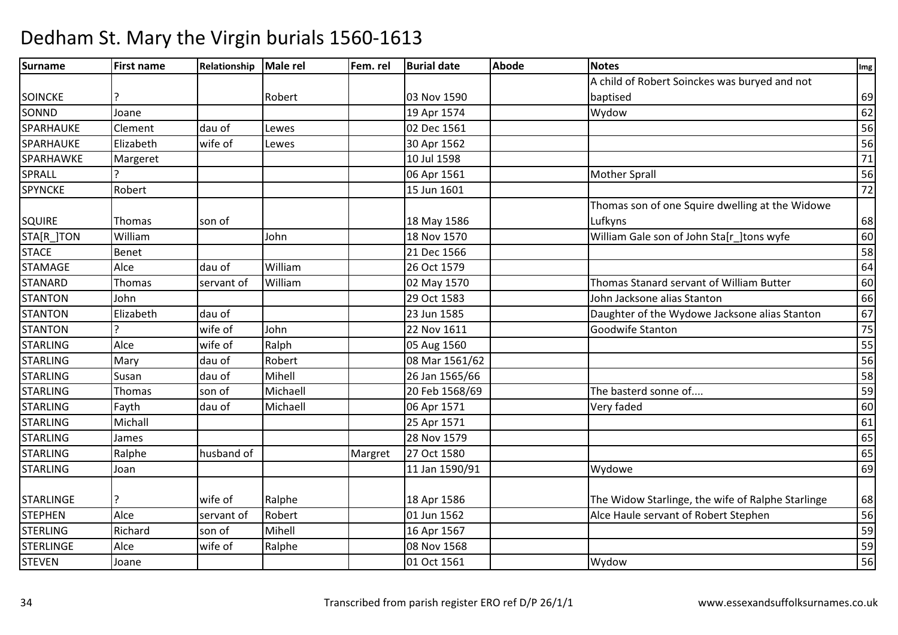| Surname          | <b>First name</b> | Relationship | <b>Male rel</b> | Fem. rel | <b>Burial date</b> | <b>Abode</b> | <b>Notes</b>                                      | Img             |
|------------------|-------------------|--------------|-----------------|----------|--------------------|--------------|---------------------------------------------------|-----------------|
|                  |                   |              |                 |          |                    |              | A child of Robert Soinckes was buryed and not     |                 |
| <b>SOINCKE</b>   |                   |              | Robert          |          | 03 Nov 1590        |              | baptised                                          | 69              |
| SONND            | Joane             |              |                 |          | 19 Apr 1574        |              | Wydow                                             | 62              |
| SPARHAUKE        | Clement           | dau of       | Lewes           |          | 02 Dec 1561        |              |                                                   | 56              |
| SPARHAUKE        | Elizabeth         | wife of      | Lewes           |          | 30 Apr 1562        |              |                                                   | 56              |
| SPARHAWKE        | Margeret          |              |                 |          | 10 Jul 1598        |              |                                                   | 71              |
| SPRALL           |                   |              |                 |          | 06 Apr 1561        |              | <b>Mother Sprall</b>                              | 56              |
| <b>SPYNCKE</b>   | Robert            |              |                 |          | 15 Jun 1601        |              |                                                   | 72              |
|                  |                   |              |                 |          |                    |              | Thomas son of one Squire dwelling at the Widowe   |                 |
| <b>SQUIRE</b>    | Thomas            | son of       |                 |          | 18 May 1586        |              | Lufkyns                                           | 68              |
| STA[R_]TON       | William           |              | John            |          | 18 Nov 1570        |              | William Gale son of John Sta[r ]tons wyfe         | 60              |
| <b>STACE</b>     | Benet             |              |                 |          | 21 Dec 1566        |              |                                                   | 58              |
| <b>STAMAGE</b>   | Alce              | dau of       | William         |          | 26 Oct 1579        |              |                                                   | 64              |
| <b>STANARD</b>   | Thomas            | servant of   | William         |          | 02 May 1570        |              | Thomas Stanard servant of William Butter          | 60              |
| <b>STANTON</b>   | John              |              |                 |          | 29 Oct 1583        |              | John Jacksone alias Stanton                       | 66              |
| <b>STANTON</b>   | Elizabeth         | dau of       |                 |          | 23 Jun 1585        |              | Daughter of the Wydowe Jacksone alias Stanton     | 67              |
| <b>STANTON</b>   |                   | wife of      | John            |          | 22 Nov 1611        |              | Goodwife Stanton                                  | 75              |
| <b>STARLING</b>  | Alce              | wife of      | Ralph           |          | 05 Aug 1560        |              |                                                   | $\overline{55}$ |
| <b>STARLING</b>  | Mary              | dau of       | Robert          |          | 08 Mar 1561/62     |              |                                                   | 56              |
| <b>STARLING</b>  | Susan             | dau of       | Mihell          |          | 26 Jan 1565/66     |              |                                                   | 58              |
| <b>STARLING</b>  | Thomas            | son of       | Michaell        |          | 20 Feb 1568/69     |              | The basterd sonne of                              | 59              |
| <b>STARLING</b>  | Fayth             | dau of       | Michaell        |          | 06 Apr 1571        |              | Very faded                                        | 60              |
| <b>STARLING</b>  | Michall           |              |                 |          | 25 Apr 1571        |              |                                                   | 61              |
| <b>STARLING</b>  | James             |              |                 |          | 28 Nov 1579        |              |                                                   | 65              |
| <b>STARLING</b>  | Ralphe            | husband of   |                 | Margret  | 27 Oct 1580        |              |                                                   | 65              |
| <b>STARLING</b>  | Joan              |              |                 |          | 11 Jan 1590/91     |              | Wydowe                                            | 69              |
|                  |                   |              |                 |          |                    |              |                                                   |                 |
| <b>STARLINGE</b> | 7                 | wife of      | Ralphe          |          | 18 Apr 1586        |              | The Widow Starlinge, the wife of Ralphe Starlinge | 68              |
| <b>STEPHEN</b>   | Alce              | servant of   | Robert          |          | 01 Jun 1562        |              | Alce Haule servant of Robert Stephen              | 56              |
| STERLING         | Richard           | son of       | Mihell          |          | 16 Apr 1567        |              |                                                   | 59              |
| <b>STERLINGE</b> | Alce              | wife of      | Ralphe          |          | 08 Nov 1568        |              |                                                   | 59              |
| <b>STEVEN</b>    | Joane             |              |                 |          | 01 Oct 1561        |              | Wydow                                             | 56              |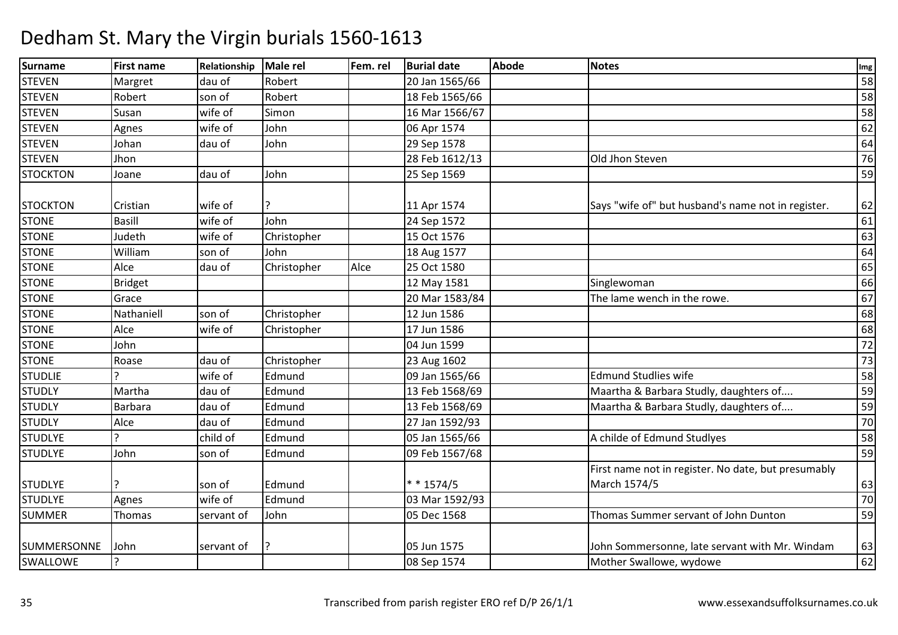#### Surnamee First name Relationship Male rel Fem. rel Burial date Abode Notes International Communication of the Abode **STEVEN**  Margret dau of Robert 20 Jan 1565/66 <sup>58</sup> **STEVEN** Robert son of Robert 18 Feb 1565/66 588 States in the Robert 18 Feb 1565/66 588 States in the Robert 18 States in the States of the States in the States in the States in the States in the States in the States in the States STEVENN Susan wife of Simon 16 Mar 1566/67 Susan Susan 58 STEVENN Agnes wife of John 06 Apr 1574 and the Agnes 62 **STEVEN** N Johan dau of John 29 Sep 1578 20 Sep 1578 64 STEVENN Jhon 1612/13 Dhon 28 Feb 1612/13 Old Jhon Steven 26 Old Jhon Steven 26 **STOCKTON**  Joane dau of John 25 Sep 1569 <sup>59</sup> STOCKTON ICristian I wife of  $\vert$ ? 11 Apr 1574 11 Apr 1574 Says "wife of" but husband's name not in register. 62<br>24 Sep 1572 61 STONEE Basill Wife of John 24 Sep 1572 <sup>61</sup> STONE Judethh wife of Christopher 15 Oct 1576 1576 1576 63 STONE Williamm son of John 18 Aug 1577 64 Aug 1577 64 Aug 1577 64 Aug 1577 64 Aug 164 STONEAlce<br>Bridget dau of Christopher | Alce | 25 Oct 1580  $\begin{bmatrix} 0 & 0 \end{bmatrix}$ **STONE** E Bridget 12 May 1581 1 Singlewoman 66 **STONE** Grace<br>Nathaniell 20 Mar 1583/84<br>
Christopher 12 Jun 1586 The lame wench in the rowe. 67 STONEE Nathaniell Son of Christopher 12 Jun 1586 <sup>68</sup> **STONE**  Alcewife of Christopher 17 Jun 1586<br>04 Jun 1599  $\overline{6}$  68 **STONE**  John 04 Jun 1599 <sup>72</sup> **STONE**  Roasedau of Christopher 123 Aug 1602<br>
wife of Edmund 199 Jan 1565/ 2 | 73 **STUDLIE** E |? |wife of |Edmund Edmund 13 09 Jan 1565/66 Edmund Studlies wife 58<br>Edmund 13 Feb 1568/69 Maartha & Barbara Studly. daughters of the Studies STUDLYY Martha dau of Edmund Edmund
Edmund
Edmund
Edmund
Edmund
Edmund
Edmund
Edmund
Edmund
Edmund
Edmund
Edmund
Edmund
Edmund
Edmund
Edmund
Edmund
Edmund
Edmund
Edmund
Edmund
Edmund
Edmund
Edmund
Edmund
Edmund
Edmund
Edmund
Edmund
Edmund
Edmund
Edmun **STUDLY**  Barbara dau of Edmund13 Feb 1568/69 Maartha & Barbara Studly, daughters of.... 59<br>27 Jan 1592/93 70 **STUDLY**  Alcedau of Edmund<br>
child of Edmund d 27 Jan 1592/93 20 Jan 1592/93 20 Jan 2010 12:00 20 Jan 2010 12:00 20 Jan 2010 12:00 20 Jan 2010 12:00 20 Jan 2010 12:00 20 Jan 2010 12:00 20 Jan 2010 12:00 20 Jan 2010 12:00 20 Jan 2010 12:00 20 Jan 2010 12:00 20 Jan 201 STUDLYE ? child of EdmundEdmund 105 Jan 1565/66 A childe of Edmund Studlyes 58<br>Edmund 109 Feb 1567/68 59 **STUDLYE**  John son of Edmund 09 Feb 1567/68 <sup>59</sup> STUDLYE |? son of | Edmund | \* \* 1574/5 03 Mar 1592/93 First name not in register. No date, but presumably March 1574/55 63  $70$ STUDLYEE Agnes Wife of Edmund 03 Mar 1592/93 <sup>70</sup> SUMMER Thomas servant of John 05 Dec 1568 Thomas Summer servant of John Dunton <sup>59</sup> SUMMERSONNE John servant of P. 1888 and 1575 John Sommersonne, late servant with Mr. Windam $\frac{63}{62}$ SWALLOWE ? 08 Sep 157408 Sep 1574 | Case Controller Swallowe, wydowe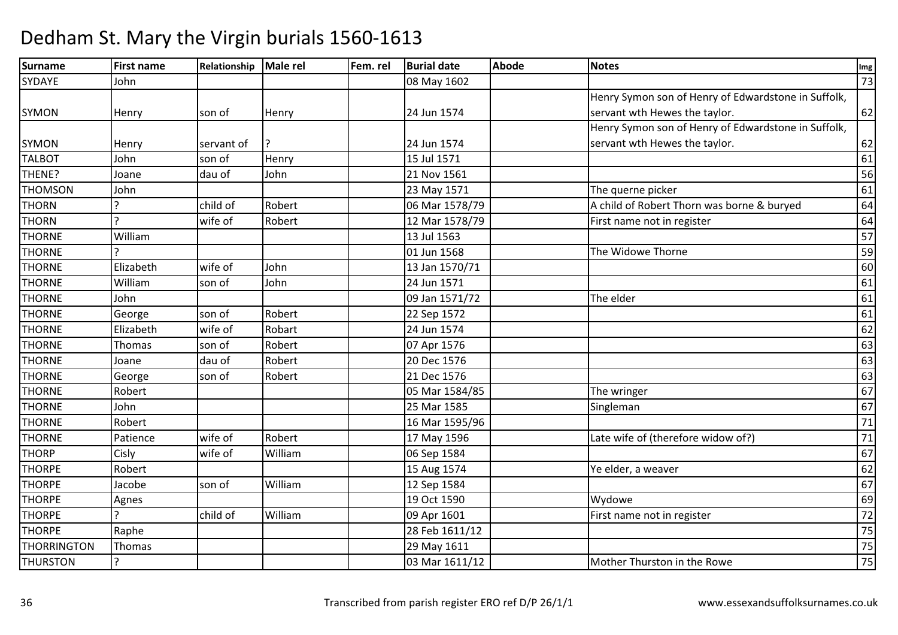| <b>Surname</b>     | <b>First name</b> | Relationship | Male rel | Fem. rel | <b>Burial date</b> | <b>Abode</b> | <b>Notes</b>                                        | Img             |
|--------------------|-------------------|--------------|----------|----------|--------------------|--------------|-----------------------------------------------------|-----------------|
| SYDAYE             | John              |              |          |          | 08 May 1602        |              |                                                     | 73              |
|                    |                   |              |          |          |                    |              | Henry Symon son of Henry of Edwardstone in Suffolk, |                 |
| <b>SYMON</b>       | Henry             | son of       | Henry    |          | 24 Jun 1574        |              | servant wth Hewes the taylor.                       | 62              |
|                    |                   |              |          |          |                    |              | Henry Symon son of Henry of Edwardstone in Suffolk, |                 |
| <b>SYMON</b>       | Henry             | servant of   |          |          | 24 Jun 1574        |              | servant wth Hewes the taylor.                       | 62              |
| <b>TALBOT</b>      | John              | son of       | Henry    |          | 15 Jul 1571        |              |                                                     | 61              |
| THENE?             | Joane             | dau of       | John     |          | 21 Nov 1561        |              |                                                     | 56              |
| <b>THOMSON</b>     | John              |              |          |          | 23 May 1571        |              | The querne picker                                   | 61              |
| <b>THORN</b>       | $\mathbf{P}$      | child of     | Robert   |          | 06 Mar 1578/79     |              | A child of Robert Thorn was borne & buryed          | 64              |
| <b>THORN</b>       | $\mathbf{c}$      | wife of      | Robert   |          | 12 Mar 1578/79     |              | First name not in register                          | 64              |
| <b>THORNE</b>      | William           |              |          |          | 13 Jul 1563        |              |                                                     | 57              |
| <b>THORNE</b>      |                   |              |          |          | 01 Jun 1568        |              | The Widowe Thorne                                   | 59              |
| <b>THORNE</b>      | Elizabeth         | wife of      | John     |          | 13 Jan 1570/71     |              |                                                     | 60              |
| <b>THORNE</b>      | William           | son of       | John     |          | 24 Jun 1571        |              |                                                     | 61              |
| <b>THORNE</b>      | John              |              |          |          | 09 Jan 1571/72     |              | The elder                                           | 61              |
| <b>THORNE</b>      | George            | son of       | Robert   |          | 22 Sep 1572        |              |                                                     | 61              |
| <b>THORNE</b>      | Elizabeth         | wife of      | Robart   |          | 24 Jun 1574        |              |                                                     | 62              |
| <b>THORNE</b>      | Thomas            | son of       | Robert   |          | 07 Apr 1576        |              |                                                     | 63              |
| <b>THORNE</b>      | Joane             | dau of       | Robert   |          | 20 Dec 1576        |              |                                                     | 63              |
| <b>THORNE</b>      | George            | son of       | Robert   |          | 21 Dec 1576        |              |                                                     | 63              |
| <b>THORNE</b>      | Robert            |              |          |          | 05 Mar 1584/85     |              | The wringer                                         | 67              |
| <b>THORNE</b>      | John              |              |          |          | 25 Mar 1585        |              | Singleman                                           | 67              |
| <b>THORNE</b>      | Robert            |              |          |          | 16 Mar 1595/96     |              |                                                     | $71\,$          |
| <b>THORNE</b>      | Patience          | wife of      | Robert   |          | 17 May 1596        |              | Late wife of (therefore widow of?)                  | $\overline{71}$ |
| <b>THORP</b>       | Cisly             | wife of      | William  |          | 06 Sep 1584        |              |                                                     | 67              |
| <b>THORPE</b>      | Robert            |              |          |          | 15 Aug 1574        |              | Ye elder, a weaver                                  | 62              |
| <b>THORPE</b>      | Jacobe            | son of       | William  |          | 12 Sep 1584        |              |                                                     | 67              |
| <b>THORPE</b>      | Agnes             |              |          |          | 19 Oct 1590        |              | Wydowe                                              | 69              |
| <b>THORPE</b>      | $\mathbf{P}$      | child of     | William  |          | 09 Apr 1601        |              | First name not in register                          | 72              |
| <b>THORPE</b>      | Raphe             |              |          |          | 28 Feb 1611/12     |              |                                                     | 75              |
| <b>THORRINGTON</b> | Thomas            |              |          |          | 29 May 1611        |              |                                                     | 75              |
| <b>THURSTON</b>    | $\overline{?}$    |              |          |          | 03 Mar 1611/12     |              | Mother Thurston in the Rowe                         | 75              |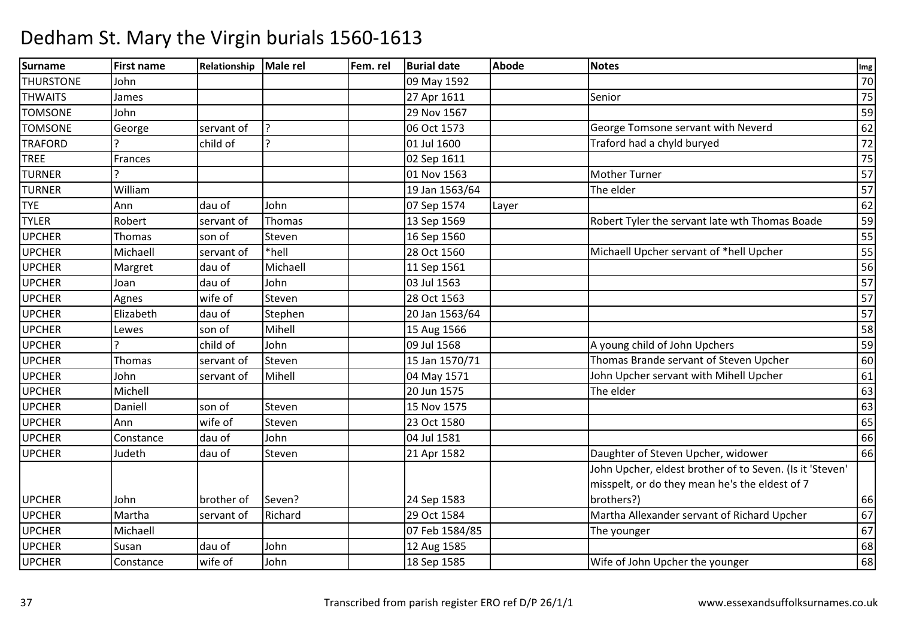| Surname          | <b>First name</b> | Relationship | Male rel     | Fem. rel | <b>Burial date</b> | <b>Abode</b> | <b>Notes</b>                                             | Img             |
|------------------|-------------------|--------------|--------------|----------|--------------------|--------------|----------------------------------------------------------|-----------------|
| <b>THURSTONE</b> | John              |              |              |          | 09 May 1592        |              |                                                          | 70              |
| <b>THWAITS</b>   | James             |              |              |          | 27 Apr 1611        |              | Senior                                                   | 75              |
| <b>TOMSONE</b>   | John              |              |              |          | 29 Nov 1567        |              |                                                          | 59              |
| <b>TOMSONE</b>   | George            | servant of   |              |          | 06 Oct 1573        |              | George Tomsone servant with Neverd                       | 62              |
| <b>TRAFORD</b>   |                   | child of     | $\mathbf{C}$ |          | 01 Jul 1600        |              | Traford had a chyld buryed                               | $\overline{72}$ |
| <b>TREE</b>      | Frances           |              |              |          | 02 Sep 1611        |              |                                                          | 75              |
| <b>TURNER</b>    |                   |              |              |          | 01 Nov 1563        |              | <b>Mother Turner</b>                                     | 57              |
| <b>TURNER</b>    | William           |              |              |          | 19 Jan 1563/64     |              | The elder                                                | 57              |
| <b>TYE</b>       | Ann               | dau of       | John         |          | 07 Sep 1574        | Layer        |                                                          | 62              |
| <b>TYLER</b>     | Robert            | servant of   | Thomas       |          | 13 Sep 1569        |              | Robert Tyler the servant late wth Thomas Boade           | 59              |
| <b>UPCHER</b>    | Thomas            | son of       | Steven       |          | 16 Sep 1560        |              |                                                          | 55              |
| <b>UPCHER</b>    | Michaell          | servant of   | *hell        |          | 28 Oct 1560        |              | Michaell Upcher servant of *hell Upcher                  | 55              |
| <b>UPCHER</b>    | Margret           | dau of       | Michaell     |          | 11 Sep 1561        |              |                                                          | 56              |
| <b>UPCHER</b>    | Joan              | dau of       | John         |          | 03 Jul 1563        |              |                                                          | 57              |
| <b>UPCHER</b>    | Agnes             | wife of      | Steven       |          | 28 Oct 1563        |              |                                                          | 57              |
| <b>UPCHER</b>    | Elizabeth         | dau of       | Stephen      |          | 20 Jan 1563/64     |              |                                                          | 57              |
| <b>UPCHER</b>    | Lewes             | son of       | Mihell       |          | 15 Aug 1566        |              |                                                          | 58              |
| <b>UPCHER</b>    | C                 | child of     | John         |          | 09 Jul 1568        |              | A young child of John Upchers                            | 59              |
| <b>UPCHER</b>    | Thomas            | servant of   | Steven       |          | 15 Jan 1570/71     |              | Thomas Brande servant of Steven Upcher                   | 60              |
| <b>UPCHER</b>    | John              | servant of   | Mihell       |          | 04 May 1571        |              | John Upcher servant with Mihell Upcher                   | 61              |
| <b>UPCHER</b>    | Michell           |              |              |          | 20 Jun 1575        |              | The elder                                                | 63              |
| <b>UPCHER</b>    | Daniell           | son of       | Steven       |          | 15 Nov 1575        |              |                                                          | 63              |
| <b>UPCHER</b>    | Ann               | wife of      | Steven       |          | 23 Oct 1580        |              |                                                          | 65              |
| <b>UPCHER</b>    | Constance         | dau of       | John         |          | 04 Jul 1581        |              |                                                          | 66              |
| <b>UPCHER</b>    | Judeth            | dau of       | Steven       |          | 21 Apr 1582        |              | Daughter of Steven Upcher, widower                       | 66              |
|                  |                   |              |              |          |                    |              | John Upcher, eldest brother of to Seven. (Is it 'Steven' |                 |
|                  |                   |              |              |          |                    |              | misspelt, or do they mean he's the eldest of 7           |                 |
| <b>UPCHER</b>    | John              | brother of   | Seven?       |          | 24 Sep 1583        |              | brothers?)                                               | 66              |
| <b>UPCHER</b>    | Martha            | servant of   | Richard      |          | 29 Oct 1584        |              | Martha Allexander servant of Richard Upcher              | 67              |
| <b>UPCHER</b>    | Michaell          |              |              |          | 07 Feb 1584/85     |              | The younger                                              | 67              |
| <b>UPCHER</b>    | Susan             | dau of       | John         |          | 12 Aug 1585        |              |                                                          | 68              |
| <b>UPCHER</b>    | Constance         | wife of      | John         |          | 18 Sep 1585        |              | Wife of John Upcher the younger                          | 68              |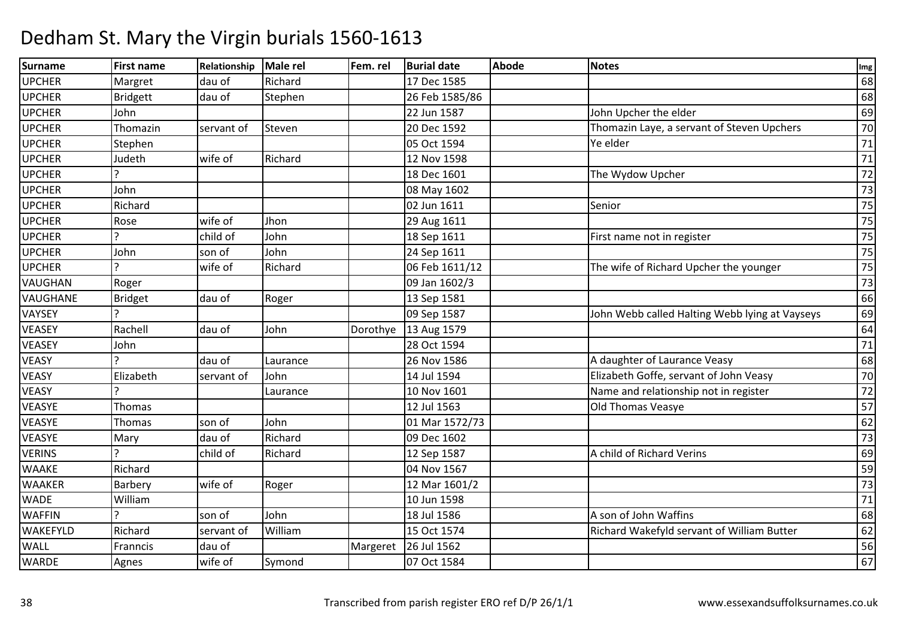| Surname         | <b>First name</b> | Relationship | Male rel | Fem. rel | <b>Burial date</b> | <b>Abode</b> | <b>Notes</b>                                   | Img    |
|-----------------|-------------------|--------------|----------|----------|--------------------|--------------|------------------------------------------------|--------|
| <b>UPCHER</b>   | Margret           | dau of       | Richard  |          | 17 Dec 1585        |              |                                                | 68     |
| <b>UPCHER</b>   | <b>Bridgett</b>   | dau of       | Stephen  |          | 26 Feb 1585/86     |              |                                                | 68     |
| <b>UPCHER</b>   | John              |              |          |          | 22 Jun 1587        |              | John Upcher the elder                          | 69     |
| <b>UPCHER</b>   | Thomazin          | servant of   | Steven   |          | 20 Dec 1592        |              | Thomazin Laye, a servant of Steven Upchers     | 70     |
| <b>UPCHER</b>   | Stephen           |              |          |          | 05 Oct 1594        |              | Ye elder                                       | 71     |
| <b>UPCHER</b>   | Judeth            | wife of      | Richard  |          | 12 Nov 1598        |              |                                                | $71\,$ |
| <b>UPCHER</b>   |                   |              |          |          | 18 Dec 1601        |              | The Wydow Upcher                               | 72     |
| <b>UPCHER</b>   | John              |              |          |          | 08 May 1602        |              |                                                | 73     |
| <b>UPCHER</b>   | Richard           |              |          |          | 02 Jun 1611        |              | Senior                                         | 75     |
| <b>UPCHER</b>   | Rose              | wife of      | Jhon     |          | 29 Aug 1611        |              |                                                | 75     |
| <b>UPCHER</b>   |                   | child of     | John     |          | 18 Sep 1611        |              | First name not in register                     | 75     |
| <b>UPCHER</b>   | John              | son of       | John     |          | 24 Sep 1611        |              |                                                | 75     |
| <b>UPCHER</b>   | $\mathbf{D}$      | wife of      | Richard  |          | 06 Feb 1611/12     |              | The wife of Richard Upcher the younger         | 75     |
| <b>VAUGHAN</b>  | Roger             |              |          |          | 09 Jan 1602/3      |              |                                                | 73     |
| <b>VAUGHANE</b> | <b>Bridget</b>    | dau of       | Roger    |          | 13 Sep 1581        |              |                                                | 66     |
| VAYSEY          |                   |              |          |          | 09 Sep 1587        |              | John Webb called Halting Webb lying at Vayseys | 69     |
| <b>VEASEY</b>   | Rachell           | dau of       | John     | Dorothye | 13 Aug 1579        |              |                                                | 64     |
| <b>VEASEY</b>   | John              |              |          |          | 28 Oct 1594        |              |                                                | 71     |
| <b>VEASY</b>    |                   | dau of       | Laurance |          | 26 Nov 1586        |              | A daughter of Laurance Veasy                   | 68     |
| <b>VEASY</b>    | Elizabeth         | servant of   | John     |          | 14 Jul 1594        |              | Elizabeth Goffe, servant of John Veasy         | 70     |
| <b>VEASY</b>    | C                 |              | Laurance |          | 10 Nov 1601        |              | Name and relationship not in register          | 72     |
| <b>VEASYE</b>   | Thomas            |              |          |          | 12 Jul 1563        |              | Old Thomas Veasye                              | 57     |
| <b>VEASYE</b>   | Thomas            | son of       | John     |          | 01 Mar 1572/73     |              |                                                | 62     |
| <b>VEASYE</b>   | Mary              | dau of       | Richard  |          | 09 Dec 1602        |              |                                                | 73     |
| <b>VERINS</b>   |                   | child of     | Richard  |          | 12 Sep 1587        |              | A child of Richard Verins                      | 69     |
| <b>WAAKE</b>    | Richard           |              |          |          | 04 Nov 1567        |              |                                                | 59     |
| <b>WAAKER</b>   | Barbery           | wife of      | Roger    |          | 12 Mar 1601/2      |              |                                                | 73     |
| <b>WADE</b>     | William           |              |          |          | 10 Jun 1598        |              |                                                | 71     |
| <b>WAFFIN</b>   | C                 | son of       | John     |          | 18 Jul 1586        |              | A son of John Waffins                          | 68     |
| <b>WAKEFYLD</b> | Richard           | servant of   | William  |          | 15 Oct 1574        |              | Richard Wakefyld servant of William Butter     | 62     |
| <b>WALL</b>     | Franncis          | dau of       |          | Margeret | 26 Jul 1562        |              |                                                | 56     |
| <b>WARDE</b>    | Agnes             | wife of      | Symond   |          | 07 Oct 1584        |              |                                                | 67     |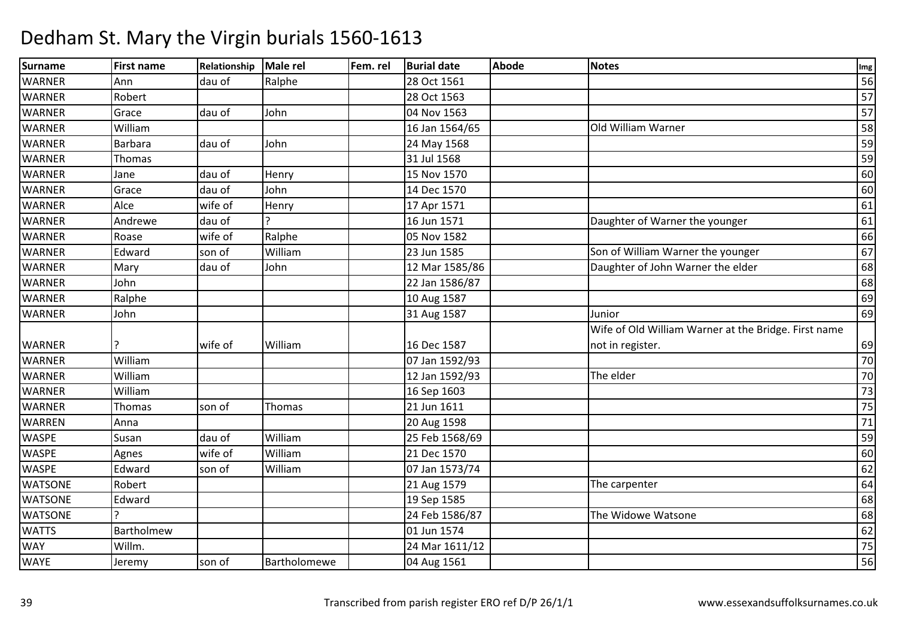| Surname        | <b>First name</b> | Relationship | Male rel     | Fem. rel | <b>Burial date</b> | <b>Abode</b> | <b>Notes</b>                                         | Img    |
|----------------|-------------------|--------------|--------------|----------|--------------------|--------------|------------------------------------------------------|--------|
| <b>WARNER</b>  | Ann               | dau of       | Ralphe       |          | 28 Oct 1561        |              |                                                      | 56     |
| <b>WARNER</b>  | Robert            |              |              |          | 28 Oct 1563        |              |                                                      | 57     |
| <b>WARNER</b>  | Grace             | dau of       | John         |          | 04 Nov 1563        |              |                                                      | 57     |
| <b>WARNER</b>  | William           |              |              |          | 16 Jan 1564/65     |              | Old William Warner                                   | 58     |
| <b>WARNER</b>  | Barbara           | dau of       | John         |          | 24 May 1568        |              |                                                      | 59     |
| <b>WARNER</b>  | Thomas            |              |              |          | 31 Jul 1568        |              |                                                      | 59     |
| <b>WARNER</b>  | Jane              | dau of       | Henry        |          | 15 Nov 1570        |              |                                                      | 60     |
| <b>WARNER</b>  | Grace             | dau of       | John         |          | 14 Dec 1570        |              |                                                      | 60     |
| <b>WARNER</b>  | Alce              | wife of      | Henry        |          | 17 Apr 1571        |              |                                                      | 61     |
| <b>WARNER</b>  | Andrewe           | dau of       |              |          | 16 Jun 1571        |              | Daughter of Warner the younger                       | 61     |
| <b>WARNER</b>  | Roase             | wife of      | Ralphe       |          | 05 Nov 1582        |              |                                                      | 66     |
| <b>WARNER</b>  | Edward            | son of       | William      |          | 23 Jun 1585        |              | Son of William Warner the younger                    | 67     |
| <b>WARNER</b>  | Mary              | dau of       | John         |          | 12 Mar 1585/86     |              | Daughter of John Warner the elder                    | 68     |
| <b>WARNER</b>  | John              |              |              |          | 22 Jan 1586/87     |              |                                                      | 68     |
| <b>WARNER</b>  | Ralphe            |              |              |          | 10 Aug 1587        |              |                                                      | 69     |
| <b>WARNER</b>  | John              |              |              |          | 31 Aug 1587        |              | Junior                                               | 69     |
|                |                   |              |              |          |                    |              | Wife of Old William Warner at the Bridge. First name |        |
| <b>WARNER</b>  |                   | wife of      | William      |          | 16 Dec 1587        |              | not in register.                                     | 69     |
| <b>WARNER</b>  | William           |              |              |          | 07 Jan 1592/93     |              |                                                      | 70     |
| <b>WARNER</b>  | William           |              |              |          | 12 Jan 1592/93     |              | The elder                                            | 70     |
| <b>WARNER</b>  | William           |              |              |          | 16 Sep 1603        |              |                                                      | 73     |
| <b>WARNER</b>  | Thomas            | son of       | Thomas       |          | 21 Jun 1611        |              |                                                      | 75     |
| <b>WARREN</b>  | Anna              |              |              |          | 20 Aug 1598        |              |                                                      | $71\,$ |
| <b>WASPE</b>   | Susan             | dau of       | William      |          | 25 Feb 1568/69     |              |                                                      | 59     |
| <b>WASPE</b>   | Agnes             | wife of      | William      |          | 21 Dec 1570        |              |                                                      | 60     |
| <b>WASPE</b>   | Edward            | son of       | William      |          | 07 Jan 1573/74     |              |                                                      | 62     |
| <b>WATSONE</b> | Robert            |              |              |          | 21 Aug 1579        |              | The carpenter                                        | 64     |
| <b>WATSONE</b> | Edward            |              |              |          | 19 Sep 1585        |              |                                                      | 68     |
| <b>WATSONE</b> |                   |              |              |          | 24 Feb 1586/87     |              | The Widowe Watsone                                   | 68     |
| <b>WATTS</b>   | Bartholmew        |              |              |          | 01 Jun 1574        |              |                                                      | 62     |
| <b>WAY</b>     | Willm.            |              |              |          | 24 Mar 1611/12     |              |                                                      | 75     |
| <b>WAYE</b>    | Jeremy            | son of       | Bartholomewe |          | 04 Aug 1561        |              |                                                      | 56     |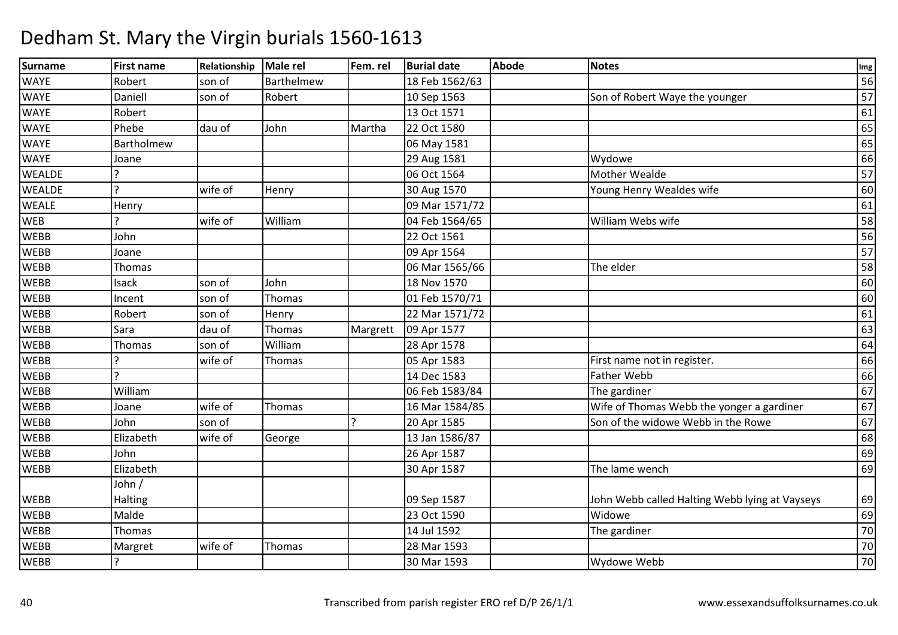| <b>Surname</b> | <b>First name</b> | Relationship | Male rel   | Fem. rel | <b>Burial date</b> | Abode | <b>Notes</b>                                   | Img |
|----------------|-------------------|--------------|------------|----------|--------------------|-------|------------------------------------------------|-----|
| <b>WAYE</b>    | Robert            | son of       | Barthelmew |          | 18 Feb 1562/63     |       |                                                | 56  |
| <b>WAYE</b>    | Daniell           | son of       | Robert     |          | 10 Sep 1563        |       | Son of Robert Waye the younger                 | 57  |
| <b>WAYE</b>    | Robert            |              |            |          | 13 Oct 1571        |       |                                                | 61  |
| <b>WAYE</b>    | Phebe             | dau of       | John       | Martha   | 22 Oct 1580        |       |                                                | 65  |
| <b>WAYE</b>    | Bartholmew        |              |            |          | 06 May 1581        |       |                                                | 65  |
| <b>WAYE</b>    | Joane             |              |            |          | 29 Aug 1581        |       | Wydowe                                         | 66  |
| <b>WEALDE</b>  |                   |              |            |          | 06 Oct 1564        |       | Mother Wealde                                  | 57  |
| <b>WEALDE</b>  | $\overline{P}$    | wife of      | Henry      |          | 30 Aug 1570        |       | Young Henry Wealdes wife                       | 60  |
| <b>WEALE</b>   | Henry             |              |            |          | 09 Mar 1571/72     |       |                                                | 61  |
| <b>WEB</b>     |                   | wife of      | William    |          | 04 Feb 1564/65     |       | William Webs wife                              | 58  |
| <b>WEBB</b>    | John              |              |            |          | 22 Oct 1561        |       |                                                | 56  |
| <b>WEBB</b>    | Joane             |              |            |          | 09 Apr 1564        |       |                                                | 57  |
| <b>WEBB</b>    | Thomas            |              |            |          | 06 Mar 1565/66     |       | The elder                                      | 58  |
| <b>WEBB</b>    | Isack             | son of       | John       |          | 18 Nov 1570        |       |                                                | 60  |
| <b>WEBB</b>    | Incent            | son of       | Thomas     |          | 01 Feb 1570/71     |       |                                                | 60  |
| <b>WEBB</b>    | Robert            | son of       | Henry      |          | 22 Mar 1571/72     |       |                                                | 61  |
| <b>WEBB</b>    | Sara              | dau of       | Thomas     | Margrett | 09 Apr 1577        |       |                                                | 63  |
| <b>WEBB</b>    | Thomas            | son of       | William    |          | 28 Apr 1578        |       |                                                | 64  |
| <b>WEBB</b>    |                   | wife of      | Thomas     |          | 05 Apr 1583        |       | First name not in register.                    | 66  |
| <b>WEBB</b>    | $\mathbf{C}$      |              |            |          | 14 Dec 1583        |       | <b>Father Webb</b>                             | 66  |
| <b>WEBB</b>    | William           |              |            |          | 06 Feb 1583/84     |       | The gardiner                                   | 67  |
| <b>WEBB</b>    | Joane             | wife of      | Thomas     |          | 16 Mar 1584/85     |       | Wife of Thomas Webb the yonger a gardiner      | 67  |
| <b>WEBB</b>    | John              | son of       |            |          | 20 Apr 1585        |       | Son of the widowe Webb in the Rowe             | 67  |
| <b>WEBB</b>    | Elizabeth         | wife of      | George     |          | 13 Jan 1586/87     |       |                                                | 68  |
| <b>WEBB</b>    | John              |              |            |          | 26 Apr 1587        |       |                                                | 69  |
| <b>WEBB</b>    | Elizabeth         |              |            |          | 30 Apr 1587        |       | The lame wench                                 | 69  |
|                | John /            |              |            |          |                    |       |                                                |     |
| <b>WEBB</b>    | <b>Halting</b>    |              |            |          | 09 Sep 1587        |       | John Webb called Halting Webb lying at Vayseys | 69  |
| <b>WEBB</b>    | Malde             |              |            |          | 23 Oct 1590        |       | Widowe                                         | 69  |
| <b>WEBB</b>    | Thomas            |              |            |          | 14 Jul 1592        |       | The gardiner                                   | 70  |
| <b>WEBB</b>    | Margret           | wife of      | Thomas     |          | 28 Mar 1593        |       |                                                | 70  |
| <b>WEBB</b>    |                   |              |            |          | 30 Mar 1593        |       | Wydowe Webb                                    | 70  |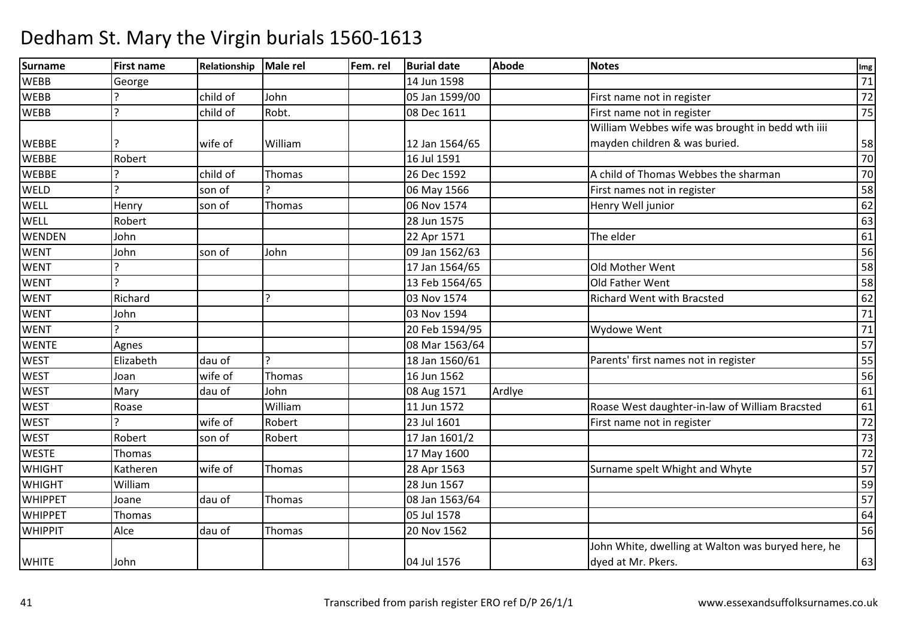| <b>Surname</b> | <b>First name</b> | Relationship | Male rel     | Fem. rel | <b>Burial date</b> | <b>Abode</b> | <b>Notes</b>                                       | Img             |
|----------------|-------------------|--------------|--------------|----------|--------------------|--------------|----------------------------------------------------|-----------------|
| <b>WEBB</b>    | George            |              |              |          | 14 Jun 1598        |              |                                                    | 71              |
| <b>WEBB</b>    |                   | child of     | John         |          | 05 Jan 1599/00     |              | First name not in register                         | 72              |
| <b>WEBB</b>    |                   | child of     | Robt.        |          | 08 Dec 1611        |              | First name not in register                         | 75              |
|                |                   |              |              |          |                    |              | William Webbes wife was brought in bedd wth iiii   |                 |
| <b>WEBBE</b>   |                   | wife of      | William      |          | 12 Jan 1564/65     |              | mayden children & was buried.                      | 58              |
| <b>WEBBE</b>   | Robert            |              |              |          | 16 Jul 1591        |              |                                                    | 70              |
| <b>WEBBE</b>   |                   | child of     | Thomas       |          | 26 Dec 1592        |              | A child of Thomas Webbes the sharman               | 70              |
| <b>WELD</b>    |                   | son of       |              |          | 06 May 1566        |              | First names not in register                        | 58              |
| <b>WELL</b>    | Henry             | son of       | Thomas       |          | 06 Nov 1574        |              | Henry Well junior                                  | 62              |
| <b>WELL</b>    | Robert            |              |              |          | 28 Jun 1575        |              |                                                    | 63              |
| <b>WENDEN</b>  | John              |              |              |          | 22 Apr 1571        |              | The elder                                          | 61              |
| <b>WENT</b>    | John              | son of       | John         |          | 09 Jan 1562/63     |              |                                                    | $\overline{56}$ |
| <b>WENT</b>    |                   |              |              |          | 17 Jan 1564/65     |              | Old Mother Went                                    | 58              |
| <b>WENT</b>    |                   |              |              |          | 13 Feb 1564/65     |              | Old Father Went                                    | 58              |
| <b>WENT</b>    | Richard           |              |              |          | 03 Nov 1574        |              | <b>Richard Went with Bracsted</b>                  | 62              |
| <b>WENT</b>    | John              |              |              |          | 03 Nov 1594        |              |                                                    | $\overline{71}$ |
| <b>WENT</b>    |                   |              |              |          | 20 Feb 1594/95     |              | Wydowe Went                                        | 71              |
| <b>WENTE</b>   | Agnes             |              |              |          | 08 Mar 1563/64     |              |                                                    | 57              |
| <b>WEST</b>    | Elizabeth         | dau of       | $\mathbf{C}$ |          | 18 Jan 1560/61     |              | Parents' first names not in register               | $\overline{55}$ |
| <b>WEST</b>    | Joan              | wife of      | Thomas       |          | 16 Jun 1562        |              |                                                    | $\overline{56}$ |
| <b>WEST</b>    | Mary              | dau of       | John         |          | 08 Aug 1571        | Ardlye       |                                                    | 61              |
| <b>WEST</b>    | Roase             |              | William      |          | 11 Jun 1572        |              | Roase West daughter-in-law of William Bracsted     | 61              |
| <b>WEST</b>    |                   | wife of      | Robert       |          | 23 Jul 1601        |              | First name not in register                         | 72              |
| <b>WEST</b>    | Robert            | son of       | Robert       |          | 17 Jan 1601/2      |              |                                                    | 73              |
| <b>WESTE</b>   | Thomas            |              |              |          | 17 May 1600        |              |                                                    | 72              |
| <b>WHIGHT</b>  | Katheren          | wife of      | Thomas       |          | 28 Apr 1563        |              | Surname spelt Whight and Whyte                     | 57              |
| <b>WHIGHT</b>  | William           |              |              |          | 28 Jun 1567        |              |                                                    | 59              |
| <b>WHIPPET</b> | Joane             | dau of       | Thomas       |          | 08 Jan 1563/64     |              |                                                    | 57              |
| <b>WHIPPET</b> | Thomas            |              |              |          | 05 Jul 1578        |              |                                                    | 64              |
| <b>WHIPPIT</b> | Alce              | dau of       | Thomas       |          | 20 Nov 1562        |              |                                                    | 56              |
|                |                   |              |              |          |                    |              | John White, dwelling at Walton was buryed here, he |                 |
| <b>WHITE</b>   | John              |              |              |          | 04 Jul 1576        |              | dyed at Mr. Pkers.                                 | 63              |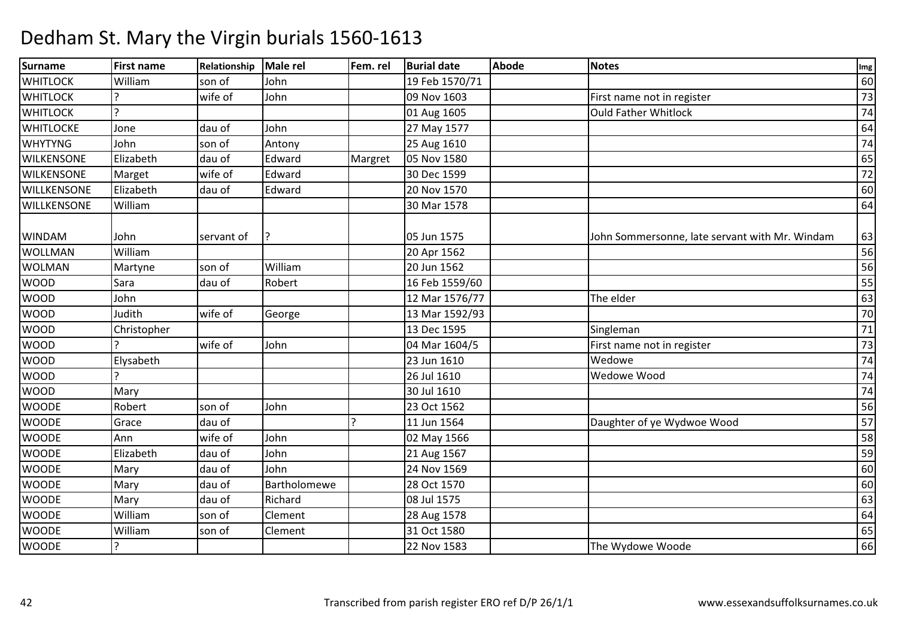| Surname           | <b>First name</b> | Relationship | <b>Male rel</b> | Fem. rel | <b>Burial date</b> | <b>Abode</b> | <b>Notes</b>                                   | Img    |
|-------------------|-------------------|--------------|-----------------|----------|--------------------|--------------|------------------------------------------------|--------|
| <b>WHITLOCK</b>   | William           | son of       | John            |          | 19 Feb 1570/71     |              |                                                | 60     |
| <b>WHITLOCK</b>   |                   | wife of      | John            |          | 09 Nov 1603        |              | First name not in register                     | 73     |
| <b>WHITLOCK</b>   | $\overline{?}$    |              |                 |          | 01 Aug 1605        |              | <b>Ould Father Whitlock</b>                    | $74$   |
| <b>WHITLOCKE</b>  | Jone              | dau of       | John            |          | 27 May 1577        |              |                                                | 64     |
| <b>WHYTYNG</b>    | John              | son of       | Antony          |          | 25 Aug 1610        |              |                                                | 74     |
| <b>WILKENSONE</b> | Elizabeth         | dau of       | Edward          | Margret  | 05 Nov 1580        |              |                                                | 65     |
| <b>WILKENSONE</b> | Marget            | wife of      | Edward          |          | 30 Dec 1599        |              |                                                | 72     |
| WILLKENSONE       | Elizabeth         | dau of       | Edward          |          | 20 Nov 1570        |              |                                                | 60     |
| WILLKENSONE       | William           |              |                 |          | 30 Mar 1578        |              |                                                | 64     |
|                   |                   |              |                 |          |                    |              |                                                |        |
| <b>WINDAM</b>     | John              | servant of   |                 |          | 05 Jun 1575        |              | John Sommersonne, late servant with Mr. Windam | 63     |
| <b>WOLLMAN</b>    | William           |              |                 |          | 20 Apr 1562        |              |                                                | 56     |
| <b>WOLMAN</b>     | Martyne           | son of       | William         |          | 20 Jun 1562        |              |                                                | 56     |
| <b>WOOD</b>       | Sara              | dau of       | Robert          |          | 16 Feb 1559/60     |              |                                                | 55     |
| <b>WOOD</b>       | John              |              |                 |          | 12 Mar 1576/77     |              | The elder                                      | 63     |
| <b>WOOD</b>       | Judith            | wife of      | George          |          | 13 Mar 1592/93     |              |                                                | 70     |
| <b>WOOD</b>       | Christopher       |              |                 |          | 13 Dec 1595        |              | Singleman                                      | $71\,$ |
| <b>WOOD</b>       |                   | wife of      | John            |          | 04 Mar 1604/5      |              | First name not in register                     | 73     |
| <b>WOOD</b>       | Elysabeth         |              |                 |          | 23 Jun 1610        |              | Wedowe                                         | 74     |
| <b>WOOD</b>       | C                 |              |                 |          | 26 Jul 1610        |              | Wedowe Wood                                    | 74     |
| <b>WOOD</b>       | Mary              |              |                 |          | 30 Jul 1610        |              |                                                | 74     |
| <b>WOODE</b>      | Robert            | son of       | John            |          | 23 Oct 1562        |              |                                                | 56     |
| <b>WOODE</b>      | Grace             | dau of       |                 |          | 11 Jun 1564        |              | Daughter of ye Wydwoe Wood                     | 57     |
| <b>WOODE</b>      | Ann               | wife of      | John            |          | 02 May 1566        |              |                                                | 58     |
| <b>WOODE</b>      | Elizabeth         | dau of       | John            |          | 21 Aug 1567        |              |                                                | 59     |
| <b>WOODE</b>      | Mary              | dau of       | John            |          | 24 Nov 1569        |              |                                                | 60     |
| <b>WOODE</b>      | Mary              | dau of       | Bartholomewe    |          | 28 Oct 1570        |              |                                                | 60     |
| <b>WOODE</b>      | Mary              | dau of       | Richard         |          | 08 Jul 1575        |              |                                                | 63     |
| <b>WOODE</b>      | William           | son of       | Clement         |          | 28 Aug 1578        |              |                                                | 64     |
| <b>WOODE</b>      | William           | son of       | Clement         |          | 31 Oct 1580        |              |                                                | 65     |
| <b>WOODE</b>      | ?                 |              |                 |          | 22 Nov 1583        |              | The Wydowe Woode                               | 66     |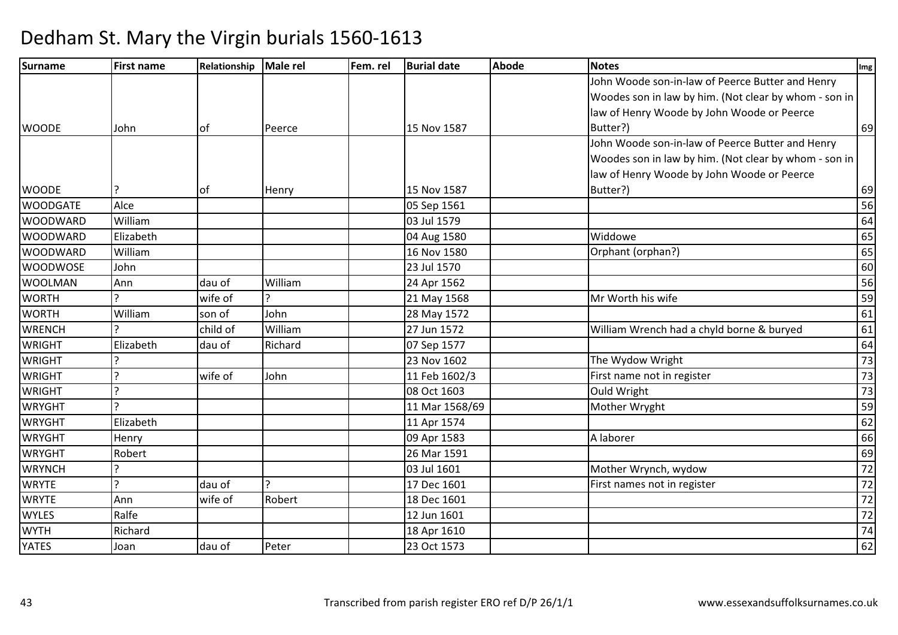| Surname         | <b>First name</b> | Relationship | Male rel | Fem. rel | <b>Burial date</b> | <b>Abode</b> | <b>Notes</b>                                          | Img             |
|-----------------|-------------------|--------------|----------|----------|--------------------|--------------|-------------------------------------------------------|-----------------|
|                 |                   |              |          |          |                    |              | John Woode son-in-law of Peerce Butter and Henry      |                 |
|                 |                   |              |          |          |                    |              | Woodes son in law by him. (Not clear by whom - son in |                 |
|                 |                   |              |          |          |                    |              | law of Henry Woode by John Woode or Peerce            |                 |
| <b>WOODE</b>    | John              | lof          | Peerce   |          | 15 Nov 1587        |              | Butter?)                                              | 69              |
|                 |                   |              |          |          |                    |              | John Woode son-in-law of Peerce Butter and Henry      |                 |
|                 |                   |              |          |          |                    |              | Woodes son in law by him. (Not clear by whom - son in |                 |
|                 |                   |              |          |          |                    |              | law of Henry Woode by John Woode or Peerce            |                 |
| <b>WOODE</b>    |                   | lof          | Henry    |          | 15 Nov 1587        |              | Butter?)                                              | 69              |
| <b>WOODGATE</b> | Alce              |              |          |          | 05 Sep 1561        |              |                                                       | 56              |
| <b>WOODWARD</b> | William           |              |          |          | 03 Jul 1579        |              |                                                       | 64              |
| <b>WOODWARD</b> | Elizabeth         |              |          |          | 04 Aug 1580        |              | Widdowe                                               | 65              |
| <b>WOODWARD</b> | William           |              |          |          | 16 Nov 1580        |              | Orphant (orphan?)                                     | 65              |
| <b>WOODWOSE</b> | John              |              |          |          | 23 Jul 1570        |              |                                                       | 60              |
| <b>WOOLMAN</b>  | Ann               | dau of       | William  |          | 24 Apr 1562        |              |                                                       | 56              |
| <b>WORTH</b>    |                   | wife of      |          |          | 21 May 1568        |              | Mr Worth his wife                                     | 59              |
| <b>WORTH</b>    | William           | son of       | John     |          | 28 May 1572        |              |                                                       | 61              |
| <b>WRENCH</b>   | C                 | child of     | William  |          | 27 Jun 1572        |              | William Wrench had a chyld borne & buryed             | 61              |
| <b>WRIGHT</b>   | Elizabeth         | dau of       | Richard  |          | 07 Sep 1577        |              |                                                       | 64              |
| <b>WRIGHT</b>   |                   |              |          |          | 23 Nov 1602        |              | The Wydow Wright                                      | 73              |
| <b>WRIGHT</b>   | ς                 | wife of      | John     |          | 11 Feb 1602/3      |              | First name not in register                            | 73              |
| <b>WRIGHT</b>   |                   |              |          |          | 08 Oct 1603        |              | Ould Wright                                           | 73              |
| <b>WRYGHT</b>   | C                 |              |          |          | 11 Mar 1568/69     |              | Mother Wryght                                         | 59              |
| <b>WRYGHT</b>   | Elizabeth         |              |          |          | 11 Apr 1574        |              |                                                       | 62              |
| <b>WRYGHT</b>   | Henry             |              |          |          | 09 Apr 1583        |              | A laborer                                             | 66              |
| <b>WRYGHT</b>   | Robert            |              |          |          | 26 Mar 1591        |              |                                                       | 69              |
| <b>WRYNCH</b>   | ς                 |              |          |          | 03 Jul 1601        |              | Mother Wrynch, wydow                                  | 72              |
| <b>WRYTE</b>    | ς                 | dau of       |          |          | 17 Dec 1601        |              | First names not in register                           | $\overline{72}$ |
| <b>WRYTE</b>    | Ann               | wife of      | Robert   |          | 18 Dec 1601        |              |                                                       | 72              |
| <b>WYLES</b>    | Ralfe             |              |          |          | 12 Jun 1601        |              |                                                       | $\overline{72}$ |
| <b>WYTH</b>     | Richard           |              |          |          | 18 Apr 1610        |              |                                                       | 74              |
| <b>YATES</b>    | Joan              | dau of       | Peter    |          | 23 Oct 1573        |              |                                                       | 62              |